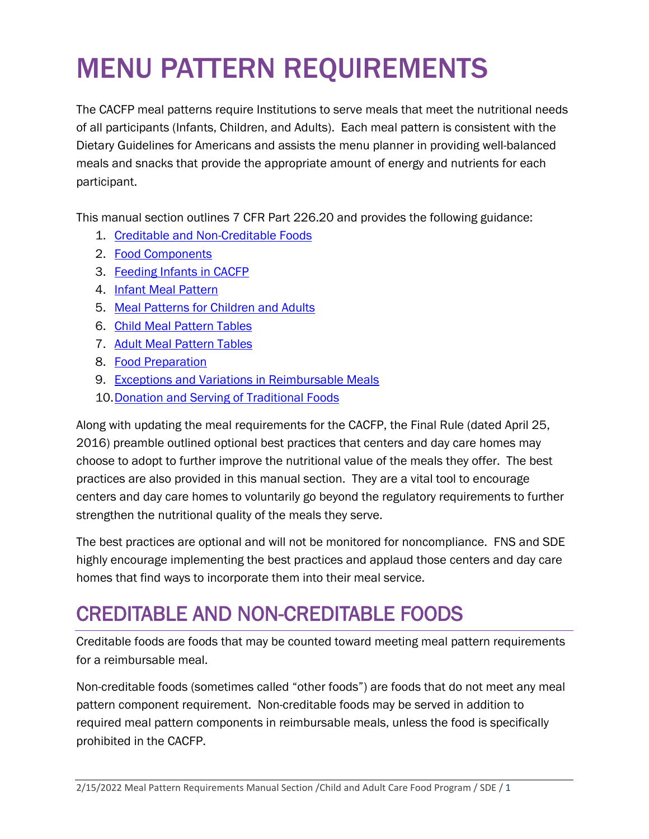# MENU PATTERN REQUIREMENTS

The CACFP meal patterns require Institutions to serve meals that meet the nutritional needs of all participants (Infants, Children, and Adults). Each meal pattern is consistent with the Dietary Guidelines for Americans and assists the menu planner in providing well-balanced meals and snacks that provide the appropriate amount of energy and nutrients for each participant.

This manual section outlines 7 CFR Part 226.20 and provides the following guidance:

- 1. [Creditable and Non-Creditable Foods](#page-0-0)
- 2. [Food Components](#page-2-0)
- 3. [Feeding Infants in CACFP](#page-17-0)
- 4. [Infant Meal Pattern](#page-23-0)
- 5. [Meal Patterns for Children and Adults](#page-27-0)
- 6. [Child Meal Pattern Tables](#page-27-1)
- 7. [Adult Meal Pattern Tables](#page-32-0)
- 8. [Food Preparation](#page-36-0)
- 9. [Exceptions and Variations in Reimbursable Meals](#page-36-1)
- 10[.Donation and Serving of Traditional Foods](#page-42-0)

Along with updating the meal requirements for the CACFP, the Final Rule (dated April 25, 2016) preamble outlined optional best practices that centers and day care homes may choose to adopt to further improve the nutritional value of the meals they offer. The best practices are also provided in this manual section. They are a vital tool to encourage centers and day care homes to voluntarily go beyond the regulatory requirements to further strengthen the nutritional quality of the meals they serve.

The best practices are optional and will not be monitored for noncompliance. FNS and SDE highly encourage implementing the best practices and applaud those centers and day care homes that find ways to incorporate them into their meal service.

# <span id="page-0-0"></span>CREDITABLE AND NON-CREDITABLE FOODS

Creditable foods are foods that may be counted toward meeting meal pattern requirements for a reimbursable meal.

Non-creditable foods (sometimes called "other foods") are foods that do not meet any meal pattern component requirement. Non-creditable foods may be served in addition to required meal pattern components in reimbursable meals, unless the food is specifically prohibited in the CACFP.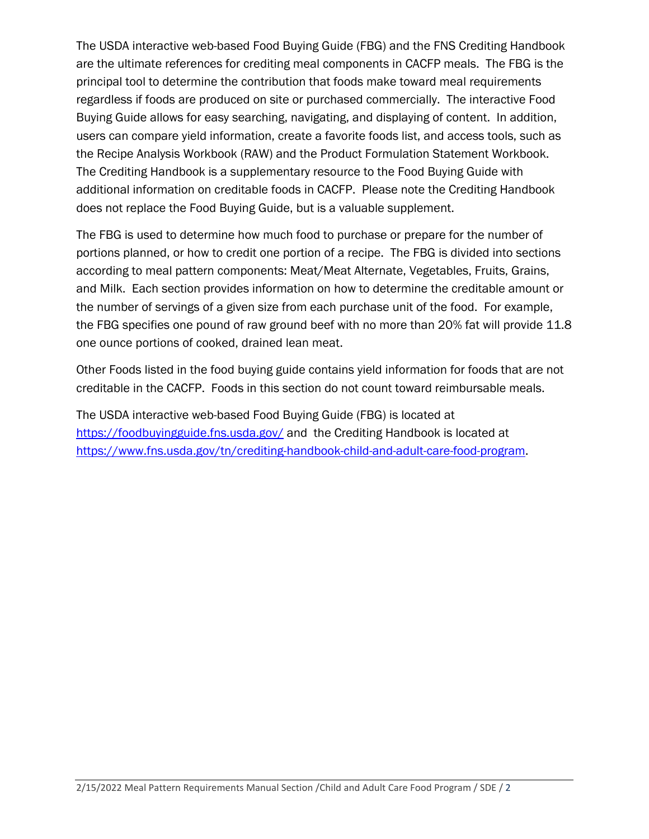The USDA interactive web-based Food Buying Guide (FBG) and the FNS Crediting Handbook are the ultimate references for crediting meal components in CACFP meals. The FBG is the principal tool to determine the contribution that foods make toward meal requirements regardless if foods are produced on site or purchased commercially. The interactive Food Buying Guide allows for easy searching, navigating, and displaying of content. In addition, users can compare yield information, create a favorite foods list, and access tools, such as the Recipe Analysis Workbook (RAW) and the Product Formulation Statement Workbook. The Crediting Handbook is a supplementary resource to the Food Buying Guide with additional information on creditable foods in CACFP. Please note the Crediting Handbook does not replace the Food Buying Guide, but is a valuable supplement.

The FBG is used to determine how much food to purchase or prepare for the number of portions planned, or how to credit one portion of a recipe. The FBG is divided into sections according to meal pattern components: Meat/Meat Alternate, Vegetables, Fruits, Grains, and Milk. Each section provides information on how to determine the creditable amount or the number of servings of a given size from each purchase unit of the food. For example, the FBG specifies one pound of raw ground beef with no more than 20% fat will provide 11.8 one ounce portions of cooked, drained lean meat.

Other Foods listed in the food buying guide contains yield information for foods that are not creditable in the CACFP. Foods in this section do not count toward reimbursable meals.

The USDA interactive web-based Food Buying Guide (FBG) is located at <https://foodbuyingguide.fns.usda.gov/> and the Crediting Handbook is located at [https://www.fns.usda.gov/tn/crediting-handbook-child-and-adult-care-food-program.](https://www.fns.usda.gov/tn/crediting-handbook-child-and-adult-care-food-program)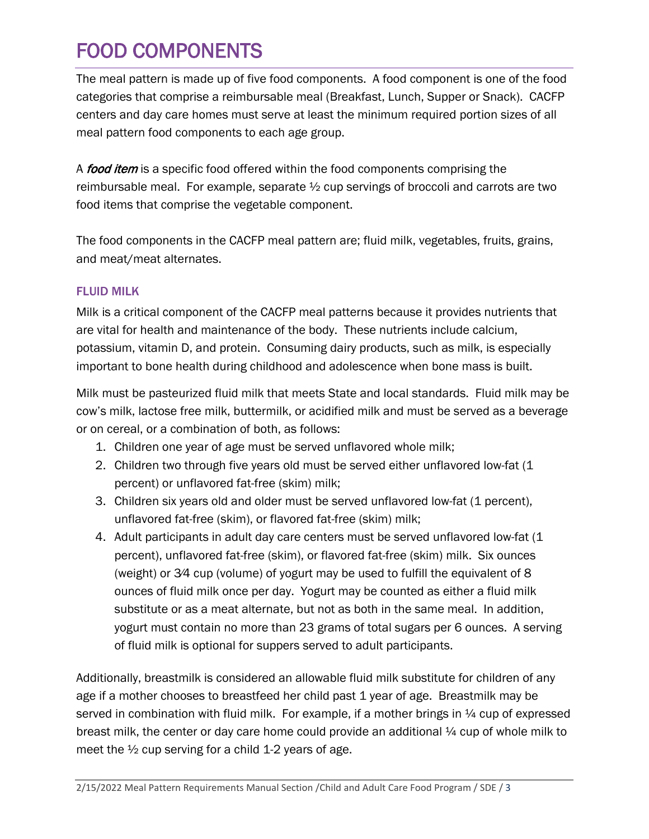# <span id="page-2-0"></span>FOOD COMPONENTS

The meal pattern is made up of five food components. A food component is one of the food categories that comprise a reimbursable meal (Breakfast, Lunch, Supper or Snack). CACFP centers and day care homes must serve at least the minimum required portion sizes of all meal pattern food components to each age group.

A food item is a specific food offered within the food components comprising the reimbursable meal. For example, separate  $\frac{1}{2}$  cup servings of broccoli and carrots are two food items that comprise the vegetable component.

The food components in the CACFP meal pattern are; fluid milk, vegetables, fruits, grains, and meat/meat alternates.

# FLUID MILK

Milk is a critical component of the CACFP meal patterns because it provides nutrients that are vital for health and maintenance of the body. These nutrients include calcium, potassium, vitamin D, and protein. Consuming dairy products, such as milk, is especially important to bone health during childhood and adolescence when bone mass is built.

Milk must be pasteurized fluid milk that meets State and local standards. Fluid milk may be cow's milk, lactose free milk, buttermilk, or acidified milk and must be served as a beverage or on cereal, or a combination of both, as follows:

- 1. Children one year of age must be served unflavored whole milk;
- 2. Children two through five years old must be served either unflavored low-fat (1 percent) or unflavored fat-free (skim) milk;
- 3. Children six years old and older must be served unflavored low-fat (1 percent), unflavored fat-free (skim), or flavored fat-free (skim) milk;
- 4. Adult participants in adult day care centers must be served unflavored low-fat (1 percent), unflavored fat-free (skim), or flavored fat-free (skim) milk. Six ounces (weight) or 3⁄4 cup (volume) of yogurt may be used to fulfill the equivalent of 8 ounces of fluid milk once per day. Yogurt may be counted as either a fluid milk substitute or as a meat alternate, but not as both in the same meal. In addition, yogurt must contain no more than 23 grams of total sugars per 6 ounces. A serving of fluid milk is optional for suppers served to adult participants.

Additionally, breastmilk is considered an allowable fluid milk substitute for children of any age if a mother chooses to breastfeed her child past 1 year of age. Breastmilk may be served in combination with fluid milk. For example, if a mother brings in  $\frac{1}{4}$  cup of expressed breast milk, the center or day care home could provide an additional  $\frac{1}{4}$  cup of whole milk to meet the  $\frac{1}{2}$  cup serving for a child 1-2 years of age.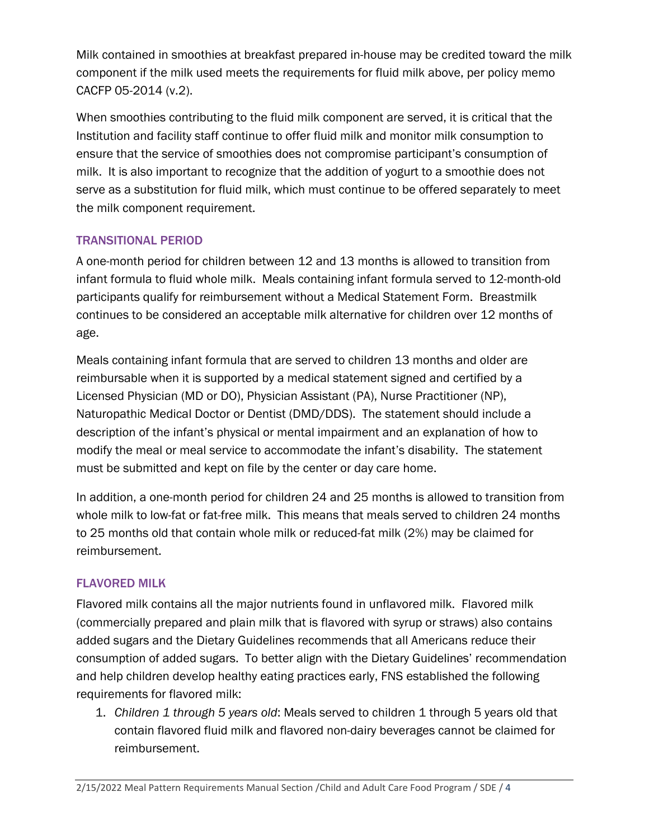Milk contained in smoothies at breakfast prepared in-house may be credited toward the milk component if the milk used meets the requirements for fluid milk above, per policy memo CACFP 05-2014 (v.2).

When smoothies contributing to the fluid milk component are served, it is critical that the Institution and facility staff continue to offer fluid milk and monitor milk consumption to ensure that the service of smoothies does not compromise participant's consumption of milk. It is also important to recognize that the addition of yogurt to a smoothie does not serve as a substitution for fluid milk, which must continue to be offered separately to meet the milk component requirement.

# TRANSITIONAL PERIOD

A one-month period for children between 12 and 13 months is allowed to transition from infant formula to fluid whole milk. Meals containing infant formula served to 12-month-old participants qualify for reimbursement without a Medical Statement Form. Breastmilk continues to be considered an acceptable milk alternative for children over 12 months of age.

Meals containing infant formula that are served to children 13 months and older are reimbursable when it is supported by a medical statement signed and certified by a Licensed Physician (MD or DO), Physician Assistant (PA), Nurse Practitioner (NP), Naturopathic Medical Doctor or Dentist (DMD/DDS). The statement should include a description of the infant's physical or mental impairment and an explanation of how to modify the meal or meal service to accommodate the infant's disability. The statement must be submitted and kept on file by the center or day care home.

In addition, a one-month period for children 24 and 25 months is allowed to transition from whole milk to low-fat or fat-free milk. This means that meals served to children 24 months to 25 months old that contain whole milk or reduced-fat milk (2%) may be claimed for reimbursement.

# FLAVORED MILK

Flavored milk contains all the major nutrients found in unflavored milk. Flavored milk (commercially prepared and plain milk that is flavored with syrup or straws) also contains added sugars and the Dietary Guidelines recommends that all Americans reduce their consumption of added sugars. To better align with the Dietary Guidelines' recommendation and help children develop healthy eating practices early, FNS established the following requirements for flavored milk:

1. *Children 1 through 5 years old*: Meals served to children 1 through 5 years old that contain flavored fluid milk and flavored non-dairy beverages cannot be claimed for reimbursement.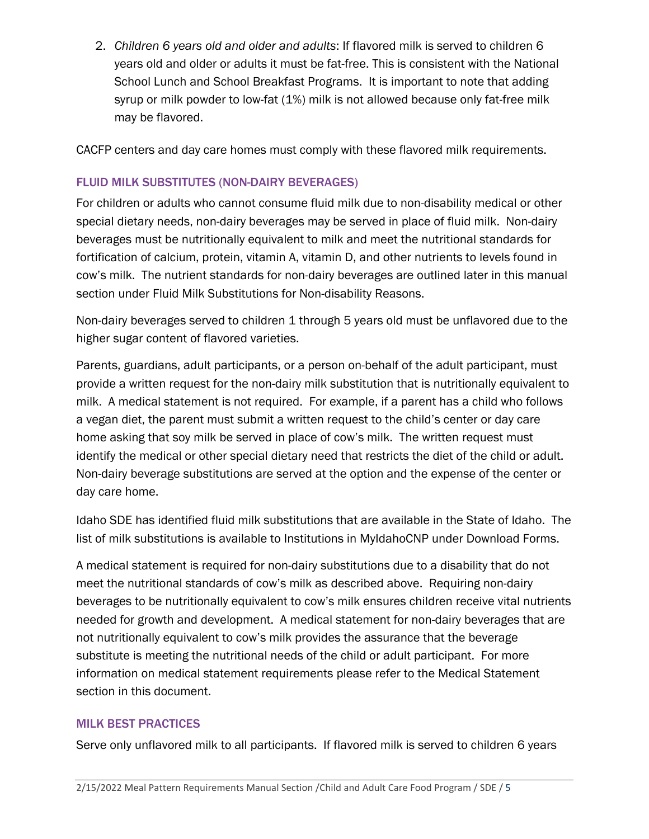2. *Children 6 years old and older and adults*: If flavored milk is served to children 6 years old and older or adults it must be fat-free. This is consistent with the National School Lunch and School Breakfast Programs. It is important to note that adding syrup or milk powder to low-fat (1%) milk is not allowed because only fat-free milk may be flavored.

CACFP centers and day care homes must comply with these flavored milk requirements.

# FLUID MILK SUBSTITUTES (NON-DAIRY BEVERAGES)

For children or adults who cannot consume fluid milk due to non-disability medical or other special dietary needs, non-dairy beverages may be served in place of fluid milk. Non-dairy beverages must be nutritionally equivalent to milk and meet the nutritional standards for fortification of calcium, protein, vitamin A, vitamin D, and other nutrients to levels found in cow's milk. The nutrient standards for non-dairy beverages are outlined later in this manual section under Fluid Milk Substitutions for Non-disability Reasons.

Non-dairy beverages served to children 1 through 5 years old must be unflavored due to the higher sugar content of flavored varieties.

Parents, guardians, adult participants, or a person on-behalf of the adult participant, must provide a written request for the non-dairy milk substitution that is nutritionally equivalent to milk. A medical statement is not required. For example, if a parent has a child who follows a vegan diet, the parent must submit a written request to the child's center or day care home asking that soy milk be served in place of cow's milk. The written request must identify the medical or other special dietary need that restricts the diet of the child or adult. Non-dairy beverage substitutions are served at the option and the expense of the center or day care home.

Idaho SDE has identified fluid milk substitutions that are available in the State of Idaho. The list of milk substitutions is available to Institutions in MyIdahoCNP under Download Forms.

A medical statement is required for non-dairy substitutions due to a disability that do not meet the nutritional standards of cow's milk as described above. Requiring non-dairy beverages to be nutritionally equivalent to cow's milk ensures children receive vital nutrients needed for growth and development. A medical statement for non-dairy beverages that are not nutritionally equivalent to cow's milk provides the assurance that the beverage substitute is meeting the nutritional needs of the child or adult participant. For more information on medical statement requirements please refer to the Medical Statement section in this document.

#### MILK BEST PRACTICES

Serve only unflavored milk to all participants. If flavored milk is served to children 6 years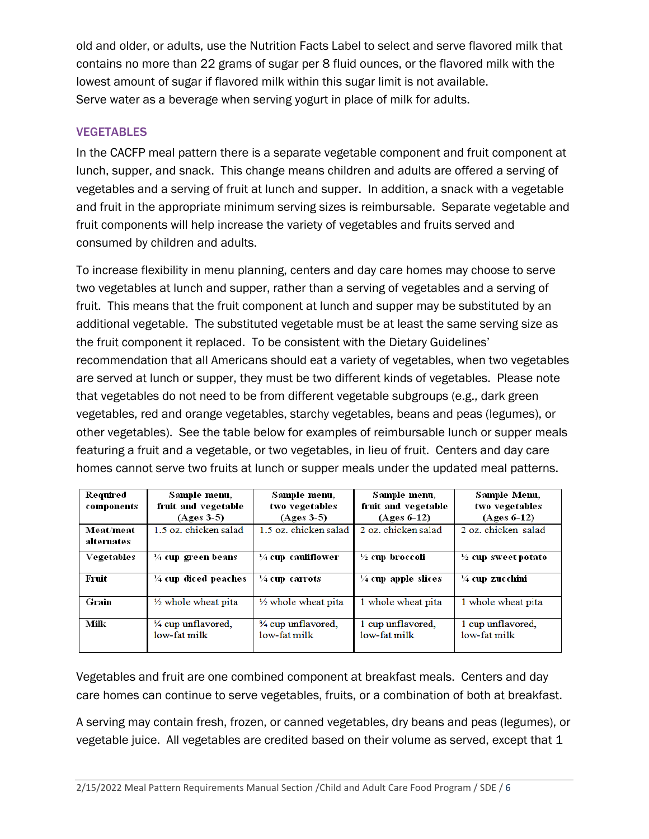old and older, or adults, use the Nutrition Facts Label to select and serve flavored milk that contains no more than 22 grams of sugar per 8 fluid ounces, or the flavored milk with the lowest amount of sugar if flavored milk within this sugar limit is not available. Serve water as a beverage when serving yogurt in place of milk for adults.

### VEGETABLES

In the CACFP meal pattern there is a separate vegetable component and fruit component at lunch, supper, and snack. This change means children and adults are offered a serving of vegetables and a serving of fruit at lunch and supper. In addition, a snack with a vegetable and fruit in the appropriate minimum serving sizes is reimbursable. Separate vegetable and fruit components will help increase the variety of vegetables and fruits served and consumed by children and adults.

To increase flexibility in menu planning, centers and day care homes may choose to serve two vegetables at lunch and supper, rather than a serving of vegetables and a serving of fruit. This means that the fruit component at lunch and supper may be substituted by an additional vegetable. The substituted vegetable must be at least the same serving size as the fruit component it replaced. To be consistent with the Dietary Guidelines' recommendation that all Americans should eat a variety of vegetables, when two vegetables are served at lunch or supper, they must be two different kinds of vegetables. Please note that vegetables do not need to be from different vegetable subgroups (e.g., dark green vegetables, red and orange vegetables, starchy vegetables, beans and peas (legumes), or other vegetables). See the table below for examples of reimbursable lunch or supper meals featuring a fruit and a vegetable, or two vegetables, in lieu of fruit. Centers and day care homes cannot serve two fruits at lunch or supper meals under the updated meal patterns.

| Required<br>components  | Sample menu,<br>fruit and vegetable<br>$(Ages 3-5)$ | Sample menu,<br>two vegetables<br>$(Ages 3-5)$ | Sample menu,<br>fruit and vegetable<br>$(Ages 6-12)$ | Sample Menu,<br>two vegetables<br>$(Ages 6-12)$ |
|-------------------------|-----------------------------------------------------|------------------------------------------------|------------------------------------------------------|-------------------------------------------------|
| Meat/meat<br>alternates | 1.5 oz. chicken salad                               | 1.5 oz. chicken salad                          | 2 oz. chicken salad                                  | 2 oz. chicken salad                             |
| Vegetables              | $\frac{1}{4}$ cup green beans                       | $\frac{1}{4}$ cup cauliflower                  | $\frac{1}{2}$ cup broccoli                           | $\frac{1}{2}$ cup sweet potato                  |
| Fruit                   | $\frac{1}{4}$ cup diced peaches                     | $\frac{1}{4}$ cup carrots                      | $\frac{1}{4}$ cup apple slices                       | $\frac{1}{4}$ cup zucchini                      |
| Grain                   | $\frac{1}{2}$ whole wheat pita                      | $\frac{1}{2}$ whole wheat pita                 | 1 whole wheat pita                                   | 1 whole wheat pita                              |
| Milk                    | 3/4 cup unflavored,<br>low-fat milk                 | 3/4 cup unflavored,<br>low-fat milk            | 1 cup unflavored,<br>low-fat milk                    | 1 cup unflavored,<br>low-fat milk               |

Vegetables and fruit are one combined component at breakfast meals. Centers and day care homes can continue to serve vegetables, fruits, or a combination of both at breakfast.

A serving may contain fresh, frozen, or canned vegetables, dry beans and peas (legumes), or vegetable juice. All vegetables are credited based on their volume as served, except that 1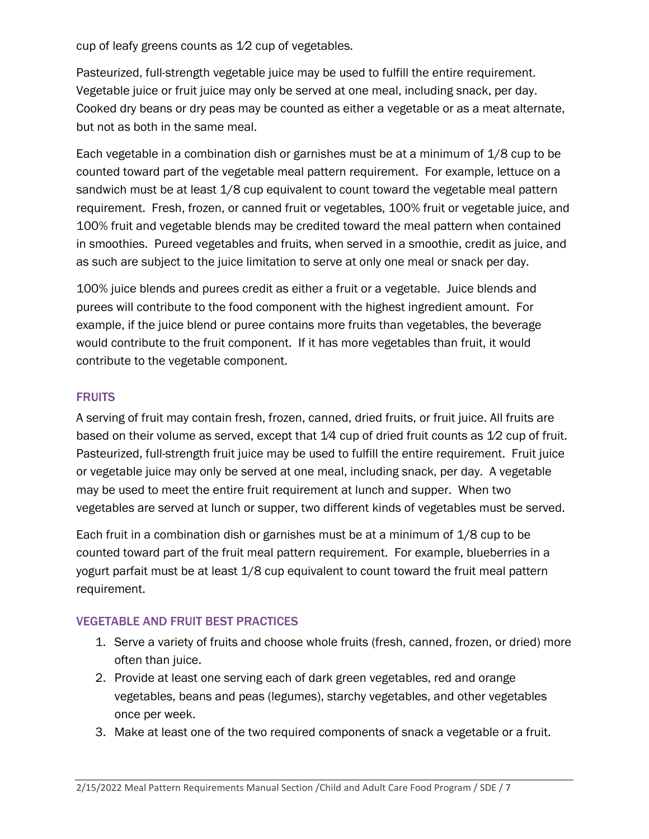cup of leafy greens counts as 1⁄2 cup of vegetables.

Pasteurized, full-strength vegetable juice may be used to fulfill the entire requirement. Vegetable juice or fruit juice may only be served at one meal, including snack, per day. Cooked dry beans or dry peas may be counted as either a vegetable or as a meat alternate, but not as both in the same meal.

Each vegetable in a combination dish or garnishes must be at a minimum of 1/8 cup to be counted toward part of the vegetable meal pattern requirement. For example, lettuce on a sandwich must be at least 1/8 cup equivalent to count toward the vegetable meal pattern requirement. Fresh, frozen, or canned fruit or vegetables, 100% fruit or vegetable juice, and 100% fruit and vegetable blends may be credited toward the meal pattern when contained in smoothies. Pureed vegetables and fruits, when served in a smoothie, credit as juice, and as such are subject to the juice limitation to serve at only one meal or snack per day.

100% juice blends and purees credit as either a fruit or a vegetable. Juice blends and purees will contribute to the food component with the highest ingredient amount. For example, if the juice blend or puree contains more fruits than vegetables, the beverage would contribute to the fruit component. If it has more vegetables than fruit, it would contribute to the vegetable component.

#### **FRUITS**

A serving of fruit may contain fresh, frozen, canned, dried fruits, or fruit juice. All fruits are based on their volume as served, except that 1/4 cup of dried fruit counts as 1/2 cup of fruit. Pasteurized, full-strength fruit juice may be used to fulfill the entire requirement. Fruit juice or vegetable juice may only be served at one meal, including snack, per day. A vegetable may be used to meet the entire fruit requirement at lunch and supper. When two vegetables are served at lunch or supper, two different kinds of vegetables must be served.

Each fruit in a combination dish or garnishes must be at a minimum of 1/8 cup to be counted toward part of the fruit meal pattern requirement. For example, blueberries in a yogurt parfait must be at least 1/8 cup equivalent to count toward the fruit meal pattern requirement.

# VEGETABLE AND FRUIT BEST PRACTICES

- 1. Serve a variety of fruits and choose whole fruits (fresh, canned, frozen, or dried) more often than juice.
- 2. Provide at least one serving each of dark green vegetables, red and orange vegetables, beans and peas (legumes), starchy vegetables, and other vegetables once per week.
- 3. Make at least one of the two required components of snack a vegetable or a fruit.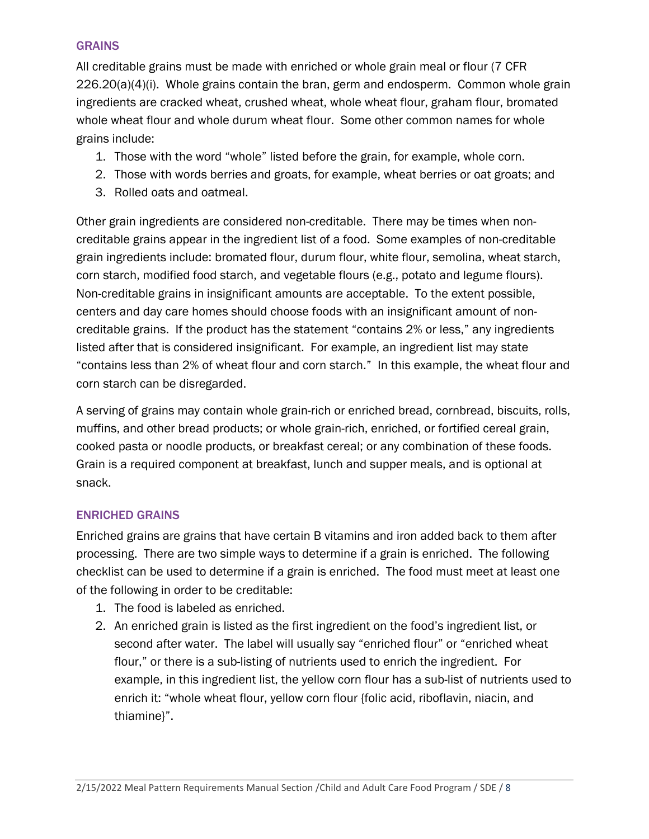#### **GRAINS**

All creditable grains must be made with enriched or whole grain meal or flour (7 CFR  $226.20(a)(4)(i)$ . Whole grains contain the bran, germ and endosperm. Common whole grain ingredients are cracked wheat, crushed wheat, whole wheat flour, graham flour, bromated whole wheat flour and whole durum wheat flour. Some other common names for whole grains include:

- 1. Those with the word "whole" listed before the grain, for example, whole corn.
- 2. Those with words berries and groats, for example, wheat berries or oat groats; and
- 3. Rolled oats and oatmeal.

Other grain ingredients are considered non-creditable. There may be times when noncreditable grains appear in the ingredient list of a food. Some examples of non-creditable grain ingredients include: bromated flour, durum flour, white flour, semolina, wheat starch, corn starch, modified food starch, and vegetable flours (e.g., potato and legume flours). Non-creditable grains in insignificant amounts are acceptable. To the extent possible, centers and day care homes should choose foods with an insignificant amount of noncreditable grains. If the product has the statement "contains 2% or less," any ingredients listed after that is considered insignificant. For example, an ingredient list may state "contains less than 2% of wheat flour and corn starch." In this example, the wheat flour and corn starch can be disregarded.

A serving of grains may contain whole grain-rich or enriched bread, cornbread, biscuits, rolls, muffins, and other bread products; or whole grain-rich, enriched, or fortified cereal grain, cooked pasta or noodle products, or breakfast cereal; or any combination of these foods. Grain is a required component at breakfast, lunch and supper meals, and is optional at snack.

#### ENRICHED GRAINS

Enriched grains are grains that have certain B vitamins and iron added back to them after processing. There are two simple ways to determine if a grain is enriched. The following checklist can be used to determine if a grain is enriched. The food must meet at least one of the following in order to be creditable:

- 1. The food is labeled as enriched.
- 2. An enriched grain is listed as the first ingredient on the food's ingredient list, or second after water. The label will usually say "enriched flour" or "enriched wheat flour," or there is a sub-listing of nutrients used to enrich the ingredient. For example, in this ingredient list, the yellow corn flour has a sub-list of nutrients used to enrich it: "whole wheat flour, yellow corn flour {folic acid, riboflavin, niacin, and thiamine}".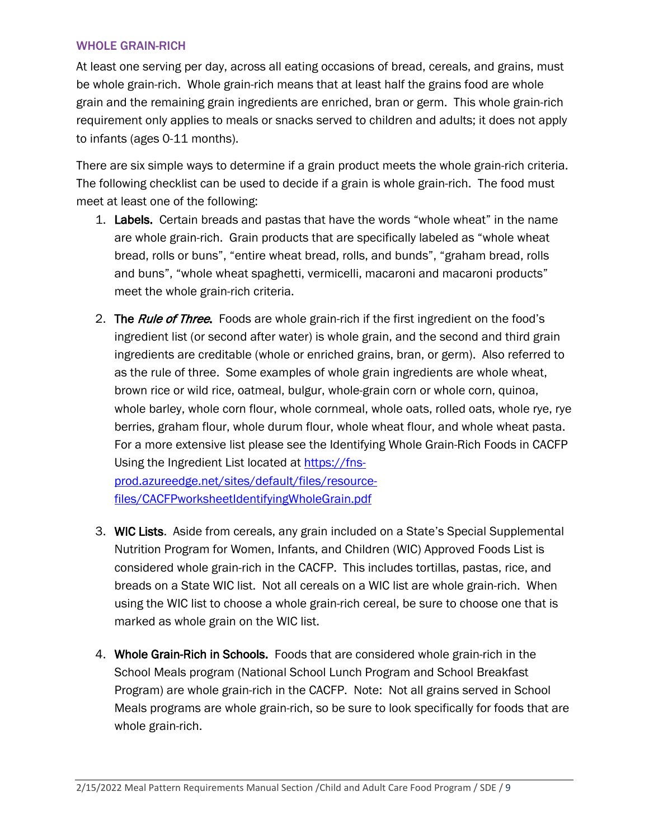#### WHOLE GRAIN-RICH

At least one serving per day, across all eating occasions of bread, cereals, and grains, must be whole grain-rich. Whole grain-rich means that at least half the grains food are whole grain and the remaining grain ingredients are enriched, bran or germ. This whole grain-rich requirement only applies to meals or snacks served to children and adults; it does not apply to infants (ages 0-11 months).

There are six simple ways to determine if a grain product meets the whole grain-rich criteria. The following checklist can be used to decide if a grain is whole grain-rich. The food must meet at least one of the following:

- 1. Labels. Certain breads and pastas that have the words "whole wheat" in the name are whole grain-rich. Grain products that are specifically labeled as "whole wheat bread, rolls or buns", "entire wheat bread, rolls, and bunds", "graham bread, rolls and buns", "whole wheat spaghetti, vermicelli, macaroni and macaroni products" meet the whole grain-rich criteria.
- 2. The *Rule of Three*. Foods are whole grain-rich if the first ingredient on the food's ingredient list (or second after water) is whole grain, and the second and third grain ingredients are creditable (whole or enriched grains, bran, or germ). Also referred to as the rule of three. Some examples of whole grain ingredients are whole wheat, brown rice or wild rice, oatmeal, bulgur, whole-grain corn or whole corn, quinoa, whole barley, whole corn flour, whole cornmeal, whole oats, rolled oats, whole rye, rye berries, graham flour, whole durum flour, whole wheat flour, and whole wheat pasta. For a more extensive list please see the Identifying Whole Grain-Rich Foods in CACFP Using the Ingredient List located at [https://fns](https://fns-prod.azureedge.net/sites/default/files/resource-files/CACFPworksheetIdentifyingWholeGrain.pdf)[prod.azureedge.net/sites/default/files/resource-](https://fns-prod.azureedge.net/sites/default/files/resource-files/CACFPworksheetIdentifyingWholeGrain.pdf)

[files/CACFPworksheetIdentifyingWholeGrain.pdf](https://fns-prod.azureedge.net/sites/default/files/resource-files/CACFPworksheetIdentifyingWholeGrain.pdf)

- 3. WIC Lists. Aside from cereals, any grain included on a State's Special Supplemental Nutrition Program for Women, Infants, and Children (WIC) Approved Foods List is considered whole grain-rich in the CACFP. This includes tortillas, pastas, rice, and breads on a State WIC list. Not all cereals on a WIC list are whole grain-rich. When using the WIC list to choose a whole grain-rich cereal, be sure to choose one that is marked as whole grain on the WIC list.
- 4. Whole Grain-Rich in Schools. Foods that are considered whole grain-rich in the School Meals program (National School Lunch Program and School Breakfast Program) are whole grain-rich in the CACFP. Note: Not all grains served in School Meals programs are whole grain-rich, so be sure to look specifically for foods that are whole grain-rich.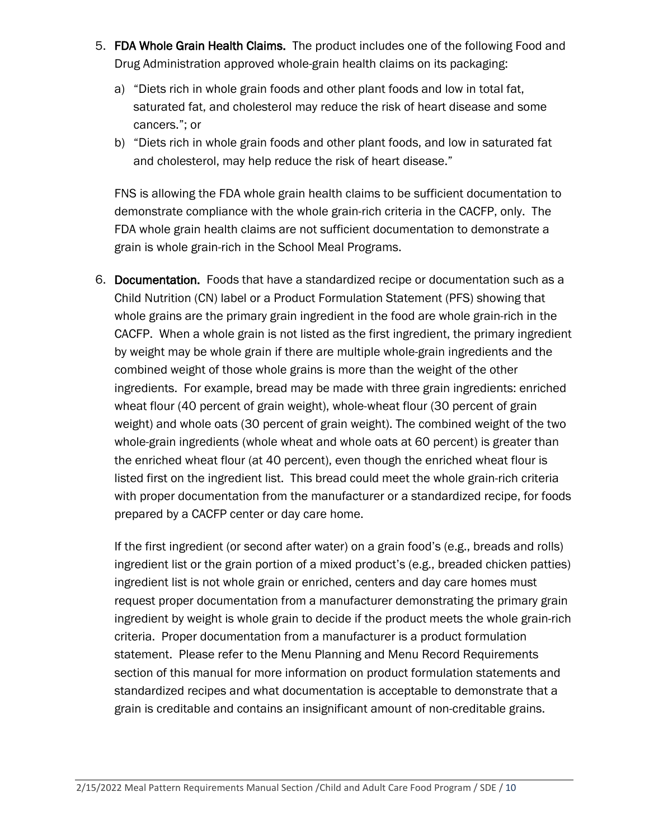- 5. FDA Whole Grain Health Claims. The product includes one of the following Food and Drug Administration approved whole-grain health claims on its packaging:
	- a) "Diets rich in whole grain foods and other plant foods and low in total fat, saturated fat, and cholesterol may reduce the risk of heart disease and some cancers."; or
	- b) "Diets rich in whole grain foods and other plant foods, and low in saturated fat and cholesterol, may help reduce the risk of heart disease."

FNS is allowing the FDA whole grain health claims to be sufficient documentation to demonstrate compliance with the whole grain-rich criteria in the CACFP, only. The FDA whole grain health claims are not sufficient documentation to demonstrate a grain is whole grain-rich in the School Meal Programs.

6. Documentation. Foods that have a standardized recipe or documentation such as a Child Nutrition (CN) label or a Product Formulation Statement (PFS) showing that whole grains are the primary grain ingredient in the food are whole grain-rich in the CACFP. When a whole grain is not listed as the first ingredient, the primary ingredient by weight may be whole grain if there are multiple whole-grain ingredients and the combined weight of those whole grains is more than the weight of the other ingredients. For example, bread may be made with three grain ingredients: enriched wheat flour (40 percent of grain weight), whole-wheat flour (30 percent of grain weight) and whole oats (30 percent of grain weight). The combined weight of the two whole-grain ingredients (whole wheat and whole oats at 60 percent) is greater than the enriched wheat flour (at 40 percent), even though the enriched wheat flour is listed first on the ingredient list. This bread could meet the whole grain-rich criteria with proper documentation from the manufacturer or a standardized recipe, for foods prepared by a CACFP center or day care home.

If the first ingredient (or second after water) on a grain food's (e.g., breads and rolls) ingredient list or the grain portion of a mixed product's (e.g., breaded chicken patties) ingredient list is not whole grain or enriched, centers and day care homes must request proper documentation from a manufacturer demonstrating the primary grain ingredient by weight is whole grain to decide if the product meets the whole grain-rich criteria. Proper documentation from a manufacturer is a product formulation statement. Please refer to the Menu Planning and Menu Record Requirements section of this manual for more information on product formulation statements and standardized recipes and what documentation is acceptable to demonstrate that a grain is creditable and contains an insignificant amount of non-creditable grains.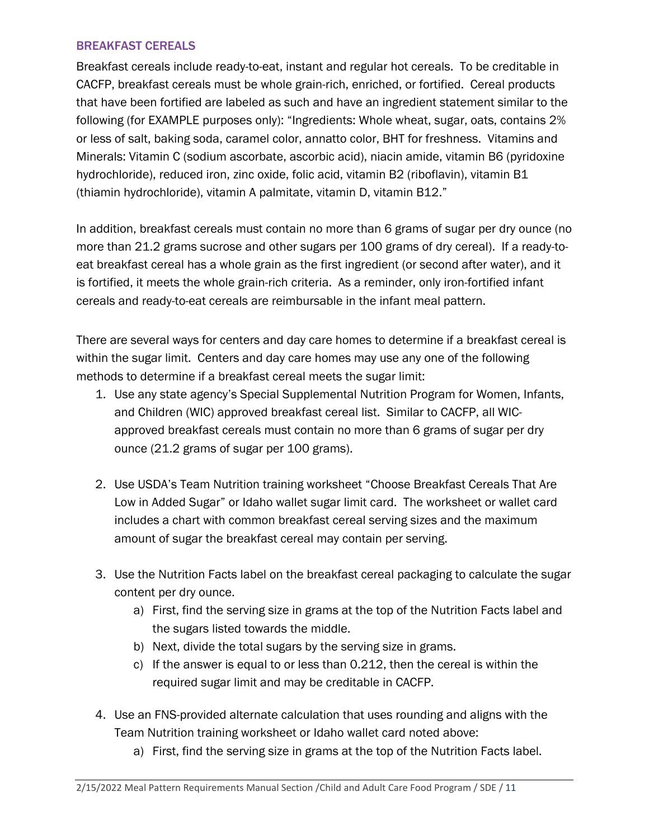#### BREAKFAST CEREALS

Breakfast cereals include ready-to-eat, instant and regular hot cereals. To be creditable in CACFP, breakfast cereals must be whole grain-rich, enriched, or fortified. Cereal products that have been fortified are labeled as such and have an ingredient statement similar to the following (for EXAMPLE purposes only): "Ingredients: Whole wheat, sugar, oats, contains 2% or less of salt, baking soda, caramel color, annatto color, BHT for freshness. Vitamins and Minerals: Vitamin C (sodium ascorbate, ascorbic acid), niacin amide, vitamin B6 (pyridoxine hydrochloride), reduced iron, zinc oxide, folic acid, vitamin B2 (riboflavin), vitamin B1 (thiamin hydrochloride), vitamin A palmitate, vitamin D, vitamin B12."

In addition, breakfast cereals must contain no more than 6 grams of sugar per dry ounce (no more than 21.2 grams sucrose and other sugars per 100 grams of dry cereal). If a ready-toeat breakfast cereal has a whole grain as the first ingredient (or second after water), and it is fortified, it meets the whole grain-rich criteria. As a reminder, only iron-fortified infant cereals and ready-to-eat cereals are reimbursable in the infant meal pattern.

There are several ways for centers and day care homes to determine if a breakfast cereal is within the sugar limit. Centers and day care homes may use any one of the following methods to determine if a breakfast cereal meets the sugar limit:

- 1. Use any state agency's Special Supplemental Nutrition Program for Women, Infants, and Children (WIC) approved breakfast cereal list. Similar to CACFP, all WICapproved breakfast cereals must contain no more than 6 grams of sugar per dry ounce (21.2 grams of sugar per 100 grams).
- 2. Use USDA's Team Nutrition training worksheet "Choose Breakfast Cereals That Are Low in Added Sugar" or Idaho wallet sugar limit card. The worksheet or wallet card includes a chart with common breakfast cereal serving sizes and the maximum amount of sugar the breakfast cereal may contain per serving.
- 3. Use the Nutrition Facts label on the breakfast cereal packaging to calculate the sugar content per dry ounce.
	- a) First, find the serving size in grams at the top of the Nutrition Facts label and the sugars listed towards the middle.
	- b) Next, divide the total sugars by the serving size in grams.
	- c) If the answer is equal to or less than 0.212, then the cereal is within the required sugar limit and may be creditable in CACFP.
- 4. Use an FNS-provided alternate calculation that uses rounding and aligns with the Team Nutrition training worksheet or Idaho wallet card noted above:
	- a) First, find the serving size in grams at the top of the Nutrition Facts label.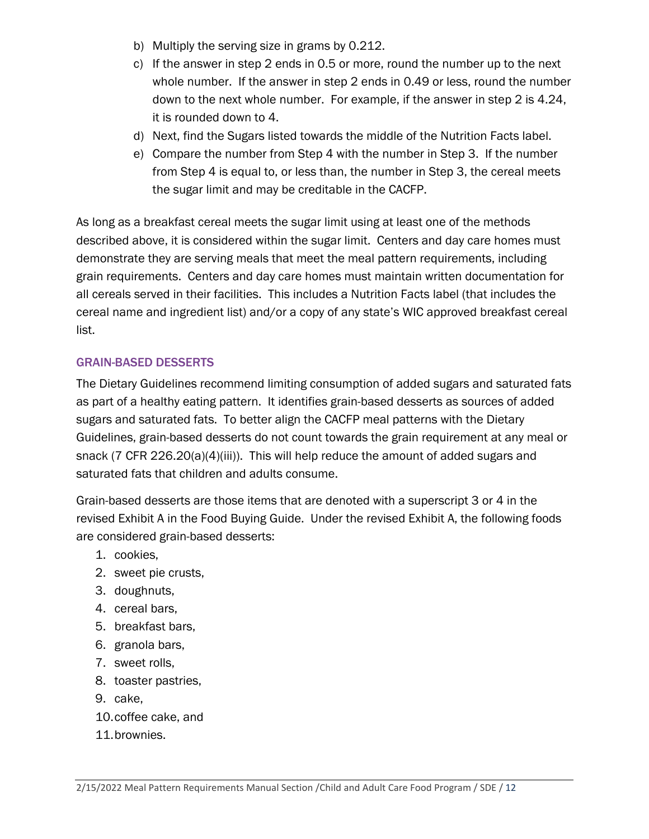- b) Multiply the serving size in grams by 0.212.
- c) If the answer in step 2 ends in 0.5 or more, round the number up to the next whole number. If the answer in step 2 ends in 0.49 or less, round the number down to the next whole number. For example, if the answer in step 2 is 4.24, it is rounded down to 4.
- d) Next, find the Sugars listed towards the middle of the Nutrition Facts label.
- e) Compare the number from Step 4 with the number in Step 3. If the number from Step 4 is equal to, or less than, the number in Step 3, the cereal meets the sugar limit and may be creditable in the CACFP.

As long as a breakfast cereal meets the sugar limit using at least one of the methods described above, it is considered within the sugar limit. Centers and day care homes must demonstrate they are serving meals that meet the meal pattern requirements, including grain requirements. Centers and day care homes must maintain written documentation for all cereals served in their facilities. This includes a Nutrition Facts label (that includes the cereal name and ingredient list) and/or a copy of any state's WIC approved breakfast cereal list.

#### GRAIN-BASED DESSERTS

The Dietary Guidelines recommend limiting consumption of added sugars and saturated fats as part of a healthy eating pattern. It identifies grain-based desserts as sources of added sugars and saturated fats. To better align the CACFP meal patterns with the Dietary Guidelines, grain-based desserts do not count towards the grain requirement at any meal or snack (7 CFR 226.20(a)(4)(iii)). This will help reduce the amount of added sugars and saturated fats that children and adults consume.

Grain-based desserts are those items that are denoted with a superscript 3 or 4 in the revised Exhibit A in the Food Buying Guide. Under the revised Exhibit A, the following foods are considered grain-based desserts:

- 1. cookies,
- 2. sweet pie crusts,
- 3. doughnuts,
- 4. cereal bars,
- 5. breakfast bars,
- 6. granola bars,
- 7. sweet rolls,
- 8. toaster pastries,
- 9. cake,
- 10.coffee cake, and
- 11.brownies.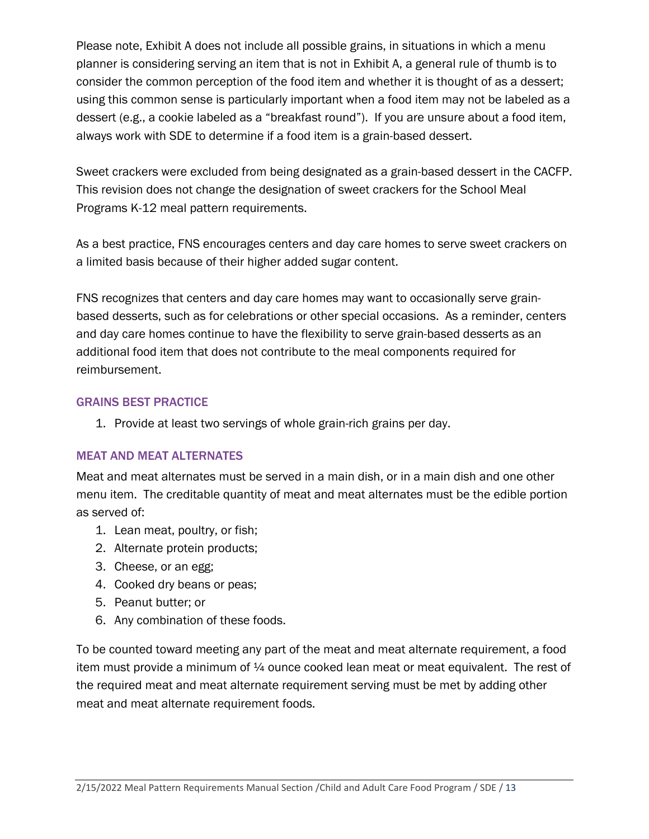Please note, Exhibit A does not include all possible grains, in situations in which a menu planner is considering serving an item that is not in Exhibit A, a general rule of thumb is to consider the common perception of the food item and whether it is thought of as a dessert; using this common sense is particularly important when a food item may not be labeled as a dessert (e.g., a cookie labeled as a "breakfast round"). If you are unsure about a food item, always work with SDE to determine if a food item is a grain-based dessert.

Sweet crackers were excluded from being designated as a grain-based dessert in the CACFP. This revision does not change the designation of sweet crackers for the School Meal Programs K-12 meal pattern requirements.

As a best practice, FNS encourages centers and day care homes to serve sweet crackers on a limited basis because of their higher added sugar content.

FNS recognizes that centers and day care homes may want to occasionally serve grainbased desserts, such as for celebrations or other special occasions. As a reminder, centers and day care homes continue to have the flexibility to serve grain-based desserts as an additional food item that does not contribute to the meal components required for reimbursement.

#### GRAINS BEST PRACTICE

1. Provide at least two servings of whole grain-rich grains per day.

#### MEAT AND MEAT ALTERNATES

Meat and meat alternates must be served in a main dish, or in a main dish and one other menu item. The creditable quantity of meat and meat alternates must be the edible portion as served of:

- 1. Lean meat, poultry, or fish;
- 2. Alternate protein products;
- 3. Cheese, or an egg;
- 4. Cooked dry beans or peas;
- 5. Peanut butter; or
- 6. Any combination of these foods.

To be counted toward meeting any part of the meat and meat alternate requirement, a food item must provide a minimum of ¼ ounce cooked lean meat or meat equivalent. The rest of the required meat and meat alternate requirement serving must be met by adding other meat and meat alternate requirement foods.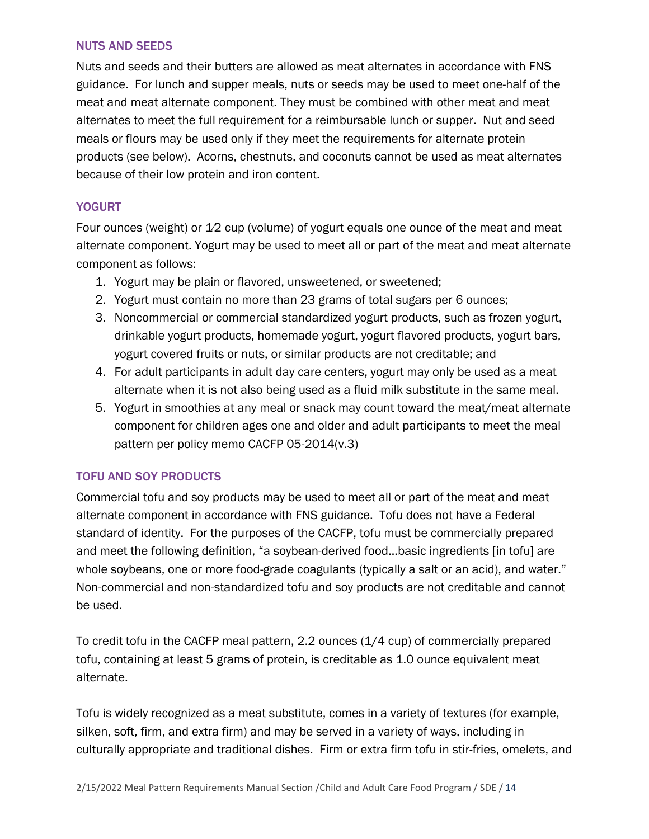#### NUTS AND SEEDS

Nuts and seeds and their butters are allowed as meat alternates in accordance with FNS guidance. For lunch and supper meals, nuts or seeds may be used to meet one-half of the meat and meat alternate component. They must be combined with other meat and meat alternates to meet the full requirement for a reimbursable lunch or supper. Nut and seed meals or flours may be used only if they meet the requirements for alternate protein products (see below). Acorns, chestnuts, and coconuts cannot be used as meat alternates because of their low protein and iron content.

#### **YOGURT**

Four ounces (weight) or 1⁄2 cup (volume) of yogurt equals one ounce of the meat and meat alternate component. Yogurt may be used to meet all or part of the meat and meat alternate component as follows:

- 1. Yogurt may be plain or flavored, unsweetened, or sweetened;
- 2. Yogurt must contain no more than 23 grams of total sugars per 6 ounces;
- 3. Noncommercial or commercial standardized yogurt products, such as frozen yogurt, drinkable yogurt products, homemade yogurt, yogurt flavored products, yogurt bars, yogurt covered fruits or nuts, or similar products are not creditable; and
- 4. For adult participants in adult day care centers, yogurt may only be used as a meat alternate when it is not also being used as a fluid milk substitute in the same meal.
- 5. Yogurt in smoothies at any meal or snack may count toward the meat/meat alternate component for children ages one and older and adult participants to meet the meal pattern per policy memo CACFP 05-2014(v.3)

#### TOFU AND SOY PRODUCTS

Commercial tofu and soy products may be used to meet all or part of the meat and meat alternate component in accordance with FNS guidance. Tofu does not have a Federal standard of identity. For the purposes of the CACFP, tofu must be commercially prepared and meet the following definition, "a soybean-derived food…basic ingredients [in tofu] are whole soybeans, one or more food-grade coagulants (typically a salt or an acid), and water." Non-commercial and non-standardized tofu and soy products are not creditable and cannot be used.

To credit tofu in the CACFP meal pattern, 2.2 ounces (1/4 cup) of commercially prepared tofu, containing at least 5 grams of protein, is creditable as 1.0 ounce equivalent meat alternate.

Tofu is widely recognized as a meat substitute, comes in a variety of textures (for example, silken, soft, firm, and extra firm) and may be served in a variety of ways, including in culturally appropriate and traditional dishes. Firm or extra firm tofu in stir-fries, omelets, and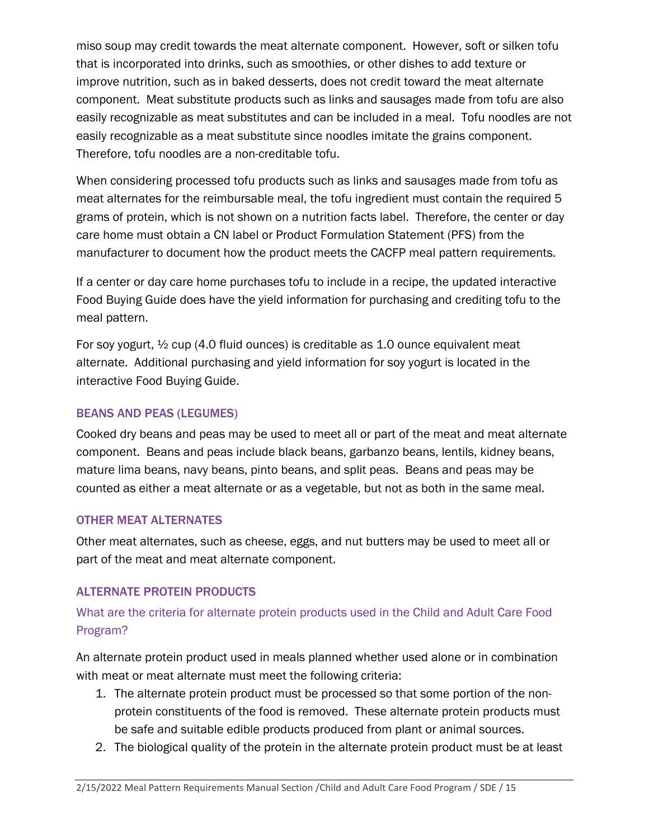miso soup may credit towards the meat alternate component. However, soft or silken tofu that is incorporated into drinks, such as smoothies, or other dishes to add texture or improve nutrition, such as in baked desserts, does not credit toward the meat alternate component. Meat substitute products such as links and sausages made from tofu are also easily recognizable as meat substitutes and can be included in a meal. Tofu noodles are not easily recognizable as a meat substitute since noodles imitate the grains component. Therefore, tofu noodles are a non-creditable tofu.

When considering processed tofu products such as links and sausages made from tofu as meat alternates for the reimbursable meal, the tofu ingredient must contain the required 5 grams of protein, which is not shown on a nutrition facts label. Therefore, the center or day care home must obtain a CN label or Product Formulation Statement (PFS) from the manufacturer to document how the product meets the CACFP meal pattern requirements.

If a center or day care home purchases tofu to include in a recipe, the updated interactive Food Buying Guide does have the yield information for purchasing and crediting tofu to the meal pattern.

For soy yogurt,  $\frac{1}{2}$  cup (4.0 fluid ounces) is creditable as 1.0 ounce equivalent meat alternate. Additional purchasing and yield information for soy yogurt is located in the interactive Food Buying Guide.

# BEANS AND PEAS (LEGUMES)

Cooked dry beans and peas may be used to meet all or part of the meat and meat alternate component. Beans and peas include black beans, garbanzo beans, lentils, kidney beans, mature lima beans, navy beans, pinto beans, and split peas. Beans and peas may be counted as either a meat alternate or as a vegetable, but not as both in the same meal.

#### OTHER MEAT ALTERNATES

Other meat alternates, such as cheese, eggs, and nut butters may be used to meet all or part of the meat and meat alternate component.

# ALTERNATE PROTEIN PRODUCTS

# What are the criteria for alternate protein products used in the Child and Adult Care Food Program?

An alternate protein product used in meals planned whether used alone or in combination with meat or meat alternate must meet the following criteria:

- 1. The alternate protein product must be processed so that some portion of the nonprotein constituents of the food is removed. These alternate protein products must be safe and suitable edible products produced from plant or animal sources.
- 2. The biological quality of the protein in the alternate protein product must be at least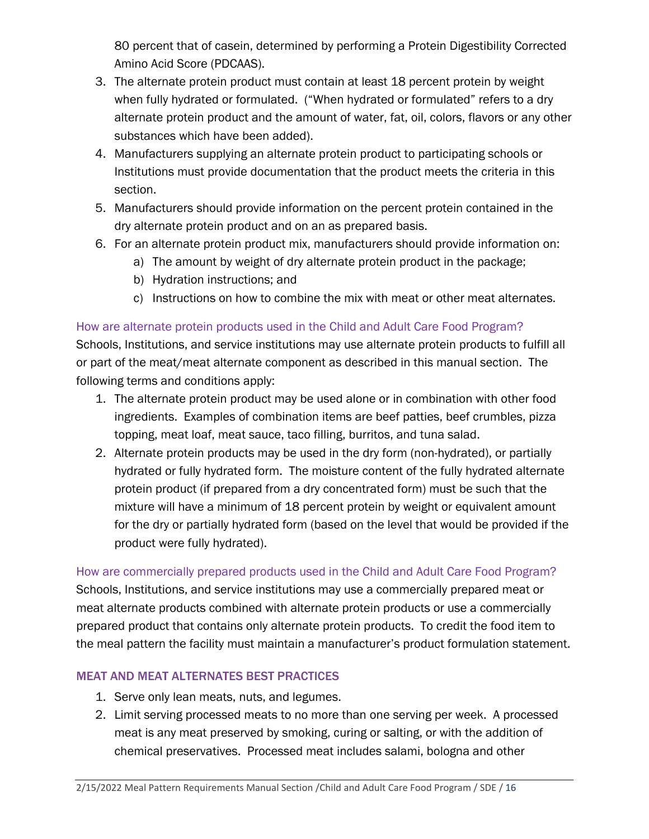80 percent that of casein, determined by performing a Protein Digestibility Corrected Amino Acid Score (PDCAAS).

- 3. The alternate protein product must contain at least 18 percent protein by weight when fully hydrated or formulated. ("When hydrated or formulated" refers to a dry alternate protein product and the amount of water, fat, oil, colors, flavors or any other substances which have been added).
- 4. Manufacturers supplying an alternate protein product to participating schools or Institutions must provide documentation that the product meets the criteria in this section.
- 5. Manufacturers should provide information on the percent protein contained in the dry alternate protein product and on an as prepared basis.
- 6. For an alternate protein product mix, manufacturers should provide information on:
	- a) The amount by weight of dry alternate protein product in the package;
	- b) Hydration instructions; and
	- c) Instructions on how to combine the mix with meat or other meat alternates.

# How are alternate protein products used in the Child and Adult Care Food Program?

Schools, Institutions, and service institutions may use alternate protein products to fulfill all or part of the meat/meat alternate component as described in this manual section. The following terms and conditions apply:

- 1. The alternate protein product may be used alone or in combination with other food ingredients. Examples of combination items are beef patties, beef crumbles, pizza topping, meat loaf, meat sauce, taco filling, burritos, and tuna salad.
- 2. Alternate protein products may be used in the dry form (non-hydrated), or partially hydrated or fully hydrated form. The moisture content of the fully hydrated alternate protein product (if prepared from a dry concentrated form) must be such that the mixture will have a minimum of 18 percent protein by weight or equivalent amount for the dry or partially hydrated form (based on the level that would be provided if the product were fully hydrated).

#### How are commercially prepared products used in the Child and Adult Care Food Program?

Schools, Institutions, and service institutions may use a commercially prepared meat or meat alternate products combined with alternate protein products or use a commercially prepared product that contains only alternate protein products. To credit the food item to the meal pattern the facility must maintain a manufacturer's product formulation statement.

# MEAT AND MEAT ALTERNATES BEST PRACTICES

- 1. Serve only lean meats, nuts, and legumes.
- 2. Limit serving processed meats to no more than one serving per week. A processed meat is any meat preserved by smoking, curing or salting, or with the addition of chemical preservatives. Processed meat includes salami, bologna and other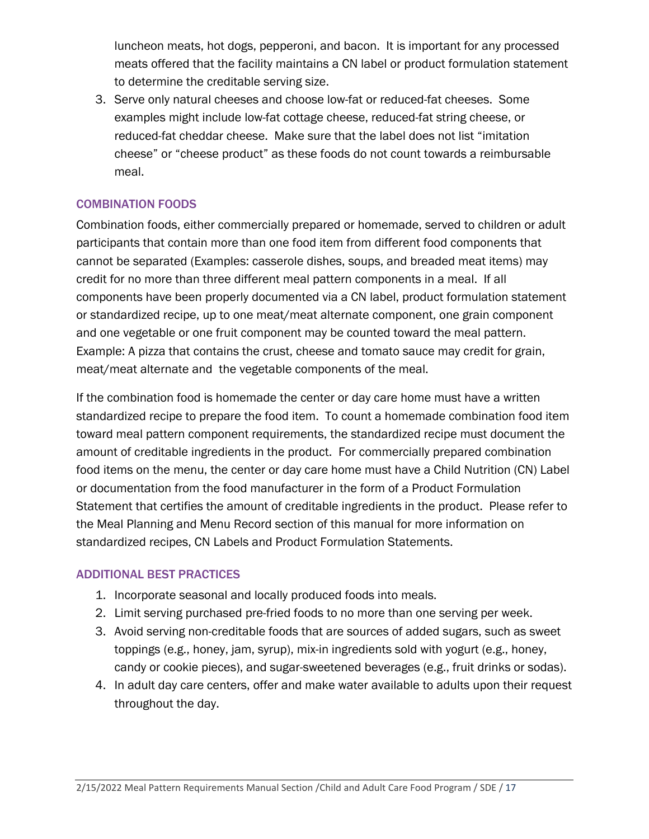luncheon meats, hot dogs, pepperoni, and bacon. It is important for any processed meats offered that the facility maintains a CN label or product formulation statement to determine the creditable serving size.

3. Serve only natural cheeses and choose low-fat or reduced-fat cheeses. Some examples might include low-fat cottage cheese, reduced-fat string cheese, or reduced-fat cheddar cheese. Make sure that the label does not list "imitation cheese" or "cheese product" as these foods do not count towards a reimbursable meal.

# COMBINATION FOODS

Combination foods, either commercially prepared or homemade, served to children or adult participants that contain more than one food item from different food components that cannot be separated (Examples: casserole dishes, soups, and breaded meat items) may credit for no more than three different meal pattern components in a meal. If all components have been properly documented via a CN label, product formulation statement or standardized recipe, up to one meat/meat alternate component, one grain component and one vegetable or one fruit component may be counted toward the meal pattern. Example: A pizza that contains the crust, cheese and tomato sauce may credit for grain, meat/meat alternate and the vegetable components of the meal.

If the combination food is homemade the center or day care home must have a written standardized recipe to prepare the food item. To count a homemade combination food item toward meal pattern component requirements, the standardized recipe must document the amount of creditable ingredients in the product. For commercially prepared combination food items on the menu, the center or day care home must have a Child Nutrition (CN) Label or documentation from the food manufacturer in the form of a Product Formulation Statement that certifies the amount of creditable ingredients in the product. Please refer to the Meal Planning and Menu Record section of this manual for more information on standardized recipes, CN Labels and Product Formulation Statements.

#### ADDITIONAL BEST PRACTICES

- 1. Incorporate seasonal and locally produced foods into meals.
- 2. Limit serving purchased pre-fried foods to no more than one serving per week.
- 3. Avoid serving non-creditable foods that are sources of added sugars, such as sweet toppings (e.g., honey, jam, syrup), mix-in ingredients sold with yogurt (e.g., honey, candy or cookie pieces), and sugar-sweetened beverages (e.g., fruit drinks or sodas).
- 4. In adult day care centers, offer and make water available to adults upon their request throughout the day.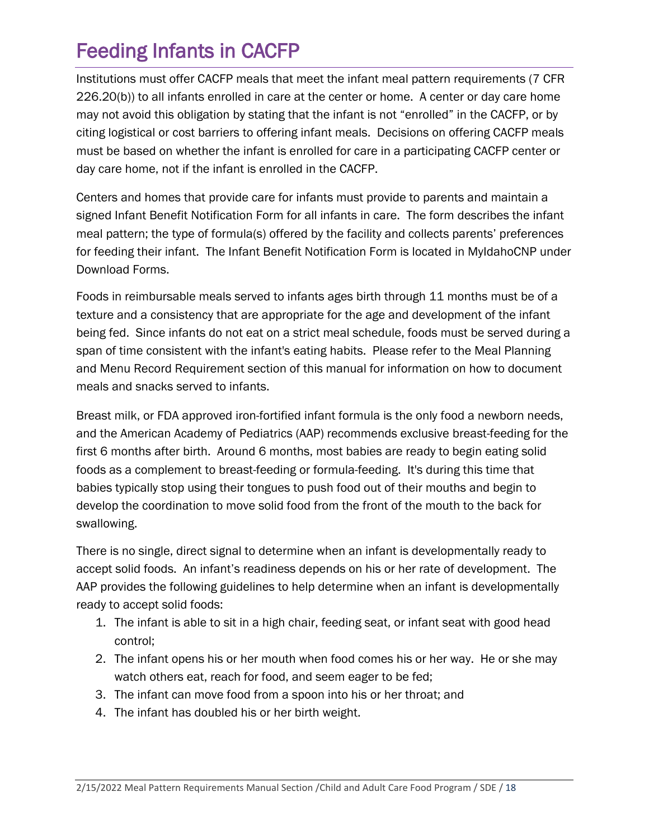# <span id="page-17-0"></span>Feeding Infants in CACFP

Institutions must offer CACFP meals that meet the infant meal pattern requirements (7 CFR 226.20(b)) to all infants enrolled in care at the center or home. A center or day care home may not avoid this obligation by stating that the infant is not "enrolled" in the CACFP, or by citing logistical or cost barriers to offering infant meals. Decisions on offering CACFP meals must be based on whether the infant is enrolled for care in a participating CACFP center or day care home, not if the infant is enrolled in the CACFP.

Centers and homes that provide care for infants must provide to parents and maintain a signed Infant Benefit Notification Form for all infants in care. The form describes the infant meal pattern; the type of formula(s) offered by the facility and collects parents' preferences for feeding their infant. The Infant Benefit Notification Form is located in MyIdahoCNP under Download Forms.

Foods in reimbursable meals served to infants ages birth through 11 months must be of a texture and a consistency that are appropriate for the age and development of the infant being fed. Since infants do not eat on a strict meal schedule, foods must be served during a span of time consistent with the infant's eating habits. Please refer to the Meal Planning and Menu Record Requirement section of this manual for information on how to document meals and snacks served to infants.

Breast milk, or FDA approved iron-fortified infant formula is the only food a newborn needs, and the American Academy of Pediatrics (AAP) recommends exclusive breast-feeding for the first 6 months after birth. Around 6 months, most babies are ready to begin eating solid foods as a complement to breast-feeding or formula-feeding. It's during this time that babies typically stop using their tongues to push food out of their mouths and begin to develop the coordination to move solid food from the front of the mouth to the back for swallowing.

There is no single, direct signal to determine when an infant is developmentally ready to accept solid foods. An infant's readiness depends on his or her rate of development. The AAP provides the following guidelines to help determine when an infant is developmentally ready to accept solid foods:

- 1. The infant is able to sit in a high chair, feeding seat, or infant seat with good head control;
- 2. The infant opens his or her mouth when food comes his or her way. He or she may watch others eat, reach for food, and seem eager to be fed;
- 3. The infant can move food from a spoon into his or her throat; and
- 4. The infant has doubled his or her birth weight.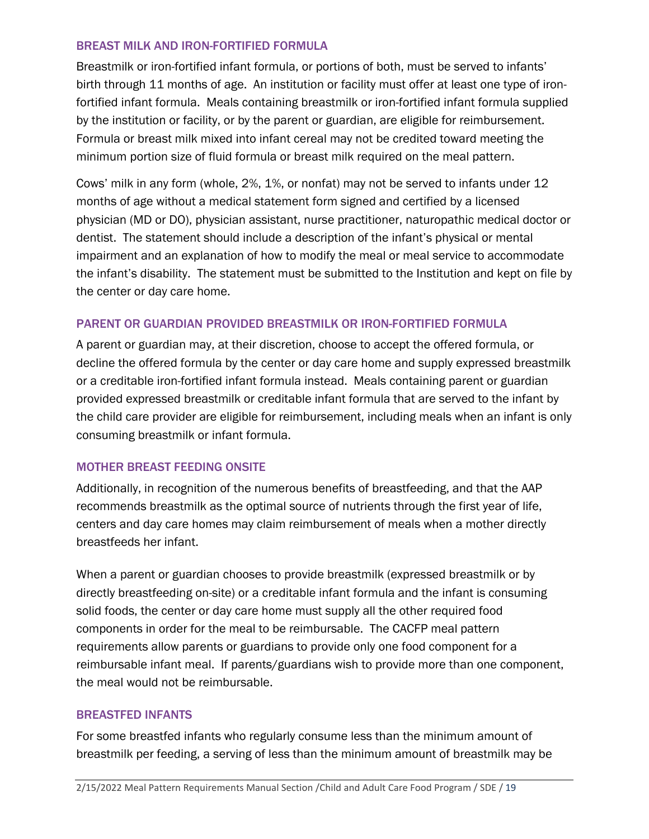#### BREAST MILK AND IRON-FORTIFIED FORMULA

Breastmilk or iron-fortified infant formula, or portions of both, must be served to infants' birth through 11 months of age. An institution or facility must offer at least one type of ironfortified infant formula. Meals containing breastmilk or iron-fortified infant formula supplied by the institution or facility, or by the parent or guardian, are eligible for reimbursement. Formula or breast milk mixed into infant cereal may not be credited toward meeting the minimum portion size of fluid formula or breast milk required on the meal pattern.

Cows' milk in any form (whole, 2%, 1%, or nonfat) may not be served to infants under 12 months of age without a medical statement form signed and certified by a licensed physician (MD or DO), physician assistant, nurse practitioner, naturopathic medical doctor or dentist. The statement should include a description of the infant's physical or mental impairment and an explanation of how to modify the meal or meal service to accommodate the infant's disability. The statement must be submitted to the Institution and kept on file by the center or day care home.

# PARENT OR GUARDIAN PROVIDED BREASTMILK OR IRON-FORTIFIED FORMULA

A parent or guardian may, at their discretion, choose to accept the offered formula, or decline the offered formula by the center or day care home and supply expressed breastmilk or a creditable iron-fortified infant formula instead. Meals containing parent or guardian provided expressed breastmilk or creditable infant formula that are served to the infant by the child care provider are eligible for reimbursement, including meals when an infant is only consuming breastmilk or infant formula.

#### MOTHER BREAST FEEDING ONSITE

Additionally, in recognition of the numerous benefits of breastfeeding, and that the AAP recommends breastmilk as the optimal source of nutrients through the first year of life, centers and day care homes may claim reimbursement of meals when a mother directly breastfeeds her infant.

When a parent or guardian chooses to provide breastmilk (expressed breastmilk or by directly breastfeeding on-site) or a creditable infant formula and the infant is consuming solid foods, the center or day care home must supply all the other required food components in order for the meal to be reimbursable. The CACFP meal pattern requirements allow parents or guardians to provide only one food component for a reimbursable infant meal. If parents/guardians wish to provide more than one component, the meal would not be reimbursable.

#### BREASTFED INFANTS

For some breastfed infants who regularly consume less than the minimum amount of breastmilk per feeding, a serving of less than the minimum amount of breastmilk may be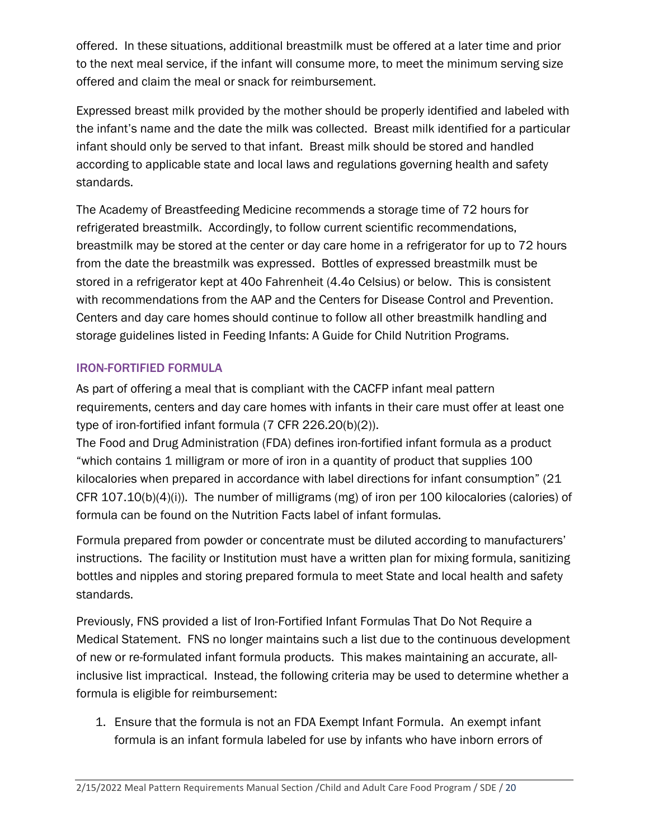offered. In these situations, additional breastmilk must be offered at a later time and prior to the next meal service, if the infant will consume more, to meet the minimum serving size offered and claim the meal or snack for reimbursement.

Expressed breast milk provided by the mother should be properly identified and labeled with the infant's name and the date the milk was collected. Breast milk identified for a particular infant should only be served to that infant. Breast milk should be stored and handled according to applicable state and local laws and regulations governing health and safety standards.

The Academy of Breastfeeding Medicine recommends a storage time of 72 hours for refrigerated breastmilk. Accordingly, to follow current scientific recommendations, breastmilk may be stored at the center or day care home in a refrigerator for up to 72 hours from the date the breastmilk was expressed. Bottles of expressed breastmilk must be stored in a refrigerator kept at 40o Fahrenheit (4.4o Celsius) or below. This is consistent with recommendations from the AAP and the Centers for Disease Control and Prevention. Centers and day care homes should continue to follow all other breastmilk handling and storage guidelines listed in Feeding Infants: A Guide for Child Nutrition Programs.

# IRON-FORTIFIED FORMULA

As part of offering a meal that is compliant with the CACFP infant meal pattern requirements, centers and day care homes with infants in their care must offer at least one type of iron-fortified infant formula (7 CFR 226.20(b)(2)).

The Food and Drug Administration (FDA) defines iron-fortified infant formula as a product "which contains 1 milligram or more of iron in a quantity of product that supplies 100 kilocalories when prepared in accordance with label directions for infant consumption" (21 CFR 107.10(b)(4)(i)). The number of milligrams (mg) of iron per 100 kilocalories (calories) of formula can be found on the Nutrition Facts label of infant formulas.

Formula prepared from powder or concentrate must be diluted according to manufacturers' instructions. The facility or Institution must have a written plan for mixing formula, sanitizing bottles and nipples and storing prepared formula to meet State and local health and safety standards.

Previously, FNS provided a list of Iron-Fortified Infant Formulas That Do Not Require a Medical Statement. FNS no longer maintains such a list due to the continuous development of new or re-formulated infant formula products. This makes maintaining an accurate, allinclusive list impractical. Instead, the following criteria may be used to determine whether a formula is eligible for reimbursement:

1. Ensure that the formula is not an FDA Exempt Infant Formula. An exempt infant formula is an infant formula labeled for use by infants who have inborn errors of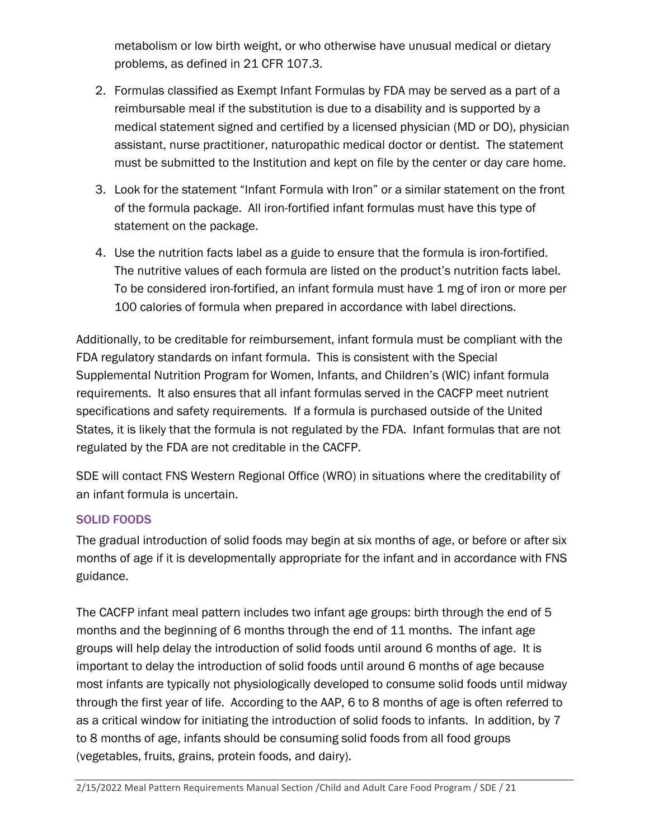metabolism or low birth weight, or who otherwise have unusual medical or dietary problems, as defined in 21 CFR 107.3.

- 2. Formulas classified as Exempt Infant Formulas by FDA may be served as a part of a reimbursable meal if the substitution is due to a disability and is supported by a medical statement signed and certified by a licensed physician (MD or DO), physician assistant, nurse practitioner, naturopathic medical doctor or dentist. The statement must be submitted to the Institution and kept on file by the center or day care home.
- 3. Look for the statement "Infant Formula with Iron" or a similar statement on the front of the formula package. All iron-fortified infant formulas must have this type of statement on the package.
- 4. Use the nutrition facts label as a guide to ensure that the formula is iron-fortified. The nutritive values of each formula are listed on the product's nutrition facts label. To be considered iron-fortified, an infant formula must have 1 mg of iron or more per 100 calories of formula when prepared in accordance with label directions.

Additionally, to be creditable for reimbursement, infant formula must be compliant with the FDA regulatory standards on infant formula. This is consistent with the Special Supplemental Nutrition Program for Women, Infants, and Children's (WIC) infant formula requirements. It also ensures that all infant formulas served in the CACFP meet nutrient specifications and safety requirements. If a formula is purchased outside of the United States, it is likely that the formula is not regulated by the FDA. Infant formulas that are not regulated by the FDA are not creditable in the CACFP.

SDE will contact FNS Western Regional Office (WRO) in situations where the creditability of an infant formula is uncertain.

# SOLID FOODS

The gradual introduction of solid foods may begin at six months of age, or before or after six months of age if it is developmentally appropriate for the infant and in accordance with FNS guidance.

The CACFP infant meal pattern includes two infant age groups: birth through the end of 5 months and the beginning of 6 months through the end of 11 months. The infant age groups will help delay the introduction of solid foods until around 6 months of age. It is important to delay the introduction of solid foods until around 6 months of age because most infants are typically not physiologically developed to consume solid foods until midway through the first year of life. According to the AAP, 6 to 8 months of age is often referred to as a critical window for initiating the introduction of solid foods to infants. In addition, by 7 to 8 months of age, infants should be consuming solid foods from all food groups (vegetables, fruits, grains, protein foods, and dairy).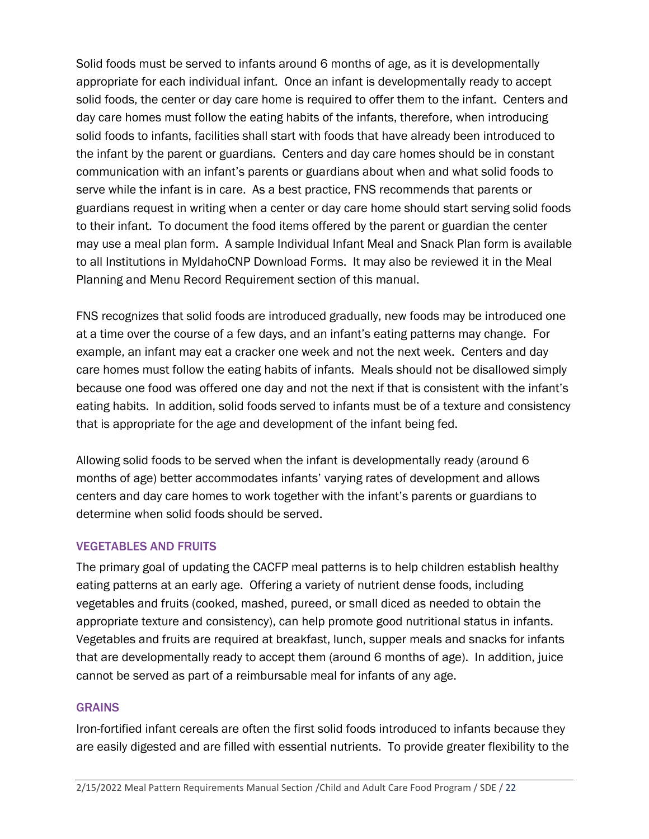Solid foods must be served to infants around 6 months of age, as it is developmentally appropriate for each individual infant. Once an infant is developmentally ready to accept solid foods, the center or day care home is required to offer them to the infant. Centers and day care homes must follow the eating habits of the infants, therefore, when introducing solid foods to infants, facilities shall start with foods that have already been introduced to the infant by the parent or guardians. Centers and day care homes should be in constant communication with an infant's parents or guardians about when and what solid foods to serve while the infant is in care. As a best practice, FNS recommends that parents or guardians request in writing when a center or day care home should start serving solid foods to their infant. To document the food items offered by the parent or guardian the center may use a meal plan form. A sample Individual Infant Meal and Snack Plan form is available to all Institutions in MyIdahoCNP Download Forms. It may also be reviewed it in the Meal Planning and Menu Record Requirement section of this manual.

FNS recognizes that solid foods are introduced gradually, new foods may be introduced one at a time over the course of a few days, and an infant's eating patterns may change. For example, an infant may eat a cracker one week and not the next week. Centers and day care homes must follow the eating habits of infants. Meals should not be disallowed simply because one food was offered one day and not the next if that is consistent with the infant's eating habits. In addition, solid foods served to infants must be of a texture and consistency that is appropriate for the age and development of the infant being fed.

Allowing solid foods to be served when the infant is developmentally ready (around 6 months of age) better accommodates infants' varying rates of development and allows centers and day care homes to work together with the infant's parents or guardians to determine when solid foods should be served.

#### VEGETABLES AND FRUITS

The primary goal of updating the CACFP meal patterns is to help children establish healthy eating patterns at an early age. Offering a variety of nutrient dense foods, including vegetables and fruits (cooked, mashed, pureed, or small diced as needed to obtain the appropriate texture and consistency), can help promote good nutritional status in infants. Vegetables and fruits are required at breakfast, lunch, supper meals and snacks for infants that are developmentally ready to accept them (around 6 months of age). In addition, juice cannot be served as part of a reimbursable meal for infants of any age.

#### **GRAINS**

Iron-fortified infant cereals are often the first solid foods introduced to infants because they are easily digested and are filled with essential nutrients. To provide greater flexibility to the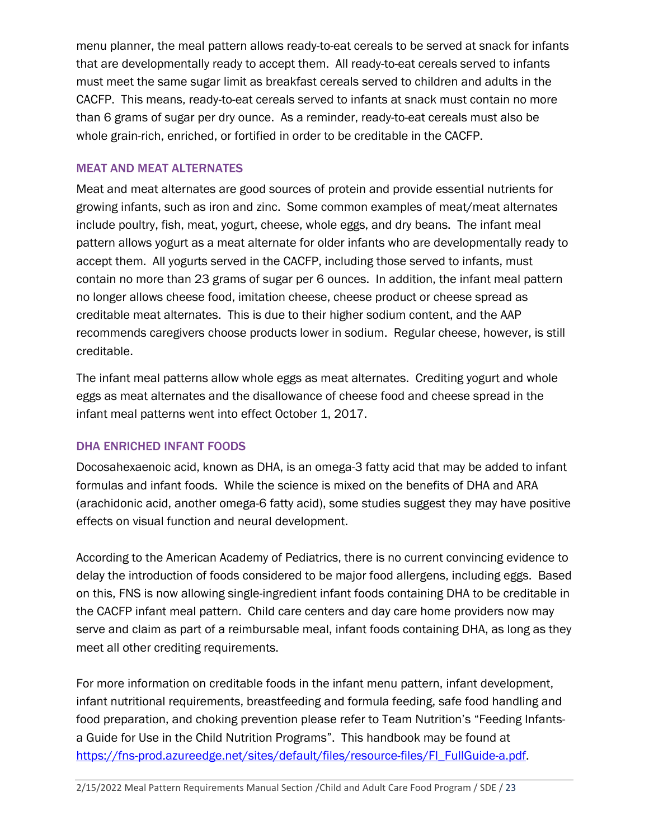menu planner, the meal pattern allows ready-to-eat cereals to be served at snack for infants that are developmentally ready to accept them. All ready-to-eat cereals served to infants must meet the same sugar limit as breakfast cereals served to children and adults in the CACFP. This means, ready-to-eat cereals served to infants at snack must contain no more than 6 grams of sugar per dry ounce. As a reminder, ready-to-eat cereals must also be whole grain-rich, enriched, or fortified in order to be creditable in the CACFP.

### MEAT AND MEAT ALTERNATES

Meat and meat alternates are good sources of protein and provide essential nutrients for growing infants, such as iron and zinc. Some common examples of meat/meat alternates include poultry, fish, meat, yogurt, cheese, whole eggs, and dry beans. The infant meal pattern allows yogurt as a meat alternate for older infants who are developmentally ready to accept them. All yogurts served in the CACFP, including those served to infants, must contain no more than 23 grams of sugar per 6 ounces. In addition, the infant meal pattern no longer allows cheese food, imitation cheese, cheese product or cheese spread as creditable meat alternates. This is due to their higher sodium content, and the AAP recommends caregivers choose products lower in sodium. Regular cheese, however, is still creditable.

The infant meal patterns allow whole eggs as meat alternates. Crediting yogurt and whole eggs as meat alternates and the disallowance of cheese food and cheese spread in the infant meal patterns went into effect October 1, 2017.

# DHA ENRICHED INFANT FOODS

Docosahexaenoic acid, known as DHA, is an omega-3 fatty acid that may be added to infant formulas and infant foods. While the science is mixed on the benefits of DHA and ARA (arachidonic acid, another omega-6 fatty acid), some studies suggest they may have positive effects on visual function and neural development.

According to the American Academy of Pediatrics, there is no current convincing evidence to delay the introduction of foods considered to be major food allergens, including eggs. Based on this, FNS is now allowing single-ingredient infant foods containing DHA to be creditable in the CACFP infant meal pattern. Child care centers and day care home providers now may serve and claim as part of a reimbursable meal, infant foods containing DHA, as long as they meet all other crediting requirements.

For more information on creditable foods in the infant menu pattern, infant development, infant nutritional requirements, breastfeeding and formula feeding, safe food handling and food preparation, and choking prevention please refer to Team Nutrition's "Feeding Infantsa Guide for Use in the Child Nutrition Programs". This handbook may be found at [https://fns-prod.azureedge.net/sites/default/files/resource-files/FI\\_FullGuide-a.pdf.](https://fns-prod.azureedge.net/sites/default/files/resource-files/FI_FullGuide-a.pdf)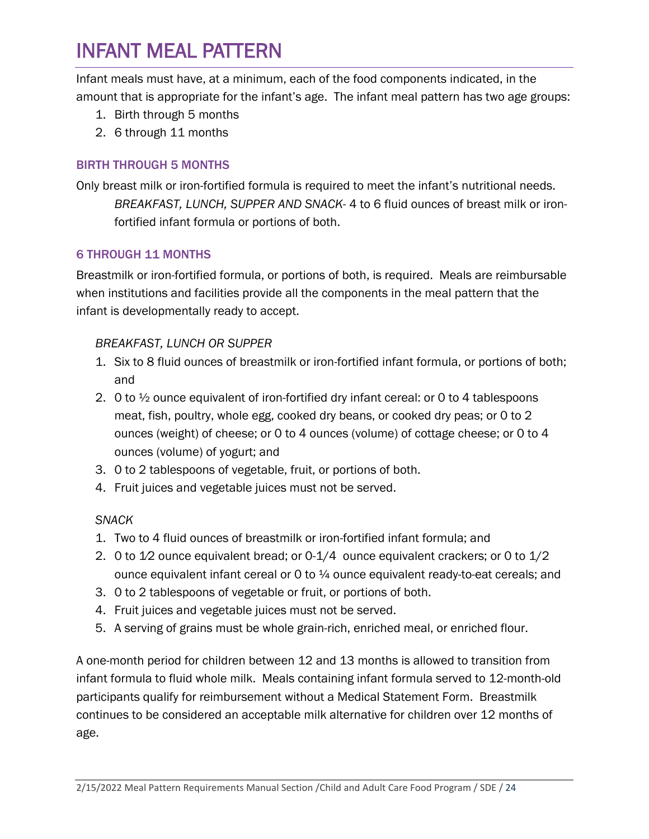# <span id="page-23-0"></span>INFANT MEAL PATTERN

Infant meals must have, at a minimum, each of the food components indicated, in the amount that is appropriate for the infant's age. The infant meal pattern has two age groups:

- 1. Birth through 5 months
- 2. 6 through 11 months

# BIRTH THROUGH 5 MONTHS

Only breast milk or iron-fortified formula is required to meet the infant's nutritional needs. *BREAKFAST, LUNCH, SUPPER AND SNACK*- 4 to 6 fluid ounces of breast milk or ironfortified infant formula or portions of both.

# 6 THROUGH 11 MONTHS

Breastmilk or iron-fortified formula, or portions of both, is required. Meals are reimbursable when institutions and facilities provide all the components in the meal pattern that the infant is developmentally ready to accept.

# *BREAKFAST, LUNCH OR SUPPER*

- 1. Six to 8 fluid ounces of breastmilk or iron-fortified infant formula, or portions of both; and
- 2. 0 to ½ ounce equivalent of iron-fortified dry infant cereal: or 0 to 4 tablespoons meat, fish, poultry, whole egg, cooked dry beans, or cooked dry peas; or 0 to 2 ounces (weight) of cheese; or 0 to 4 ounces (volume) of cottage cheese; or 0 to 4 ounces (volume) of yogurt; and
- 3. 0 to 2 tablespoons of vegetable, fruit, or portions of both.
- 4. Fruit juices and vegetable juices must not be served.

# *SNACK*

- 1. Two to 4 fluid ounces of breastmilk or iron-fortified infant formula; and
- 2. 0 to 1⁄2 ounce equivalent bread; or 0-1/4 ounce equivalent crackers; or 0 to 1/2 ounce equivalent infant cereal or  $0$  to  $\frac{1}{4}$  ounce equivalent ready-to-eat cereals; and
- 3. 0 to 2 tablespoons of vegetable or fruit, or portions of both.
- 4. Fruit juices and vegetable juices must not be served.
- 5. A serving of grains must be whole grain-rich, enriched meal, or enriched flour.

A one-month period for children between 12 and 13 months is allowed to transition from infant formula to fluid whole milk. Meals containing infant formula served to 12-month-old participants qualify for reimbursement without a Medical Statement Form. Breastmilk continues to be considered an acceptable milk alternative for children over 12 months of age.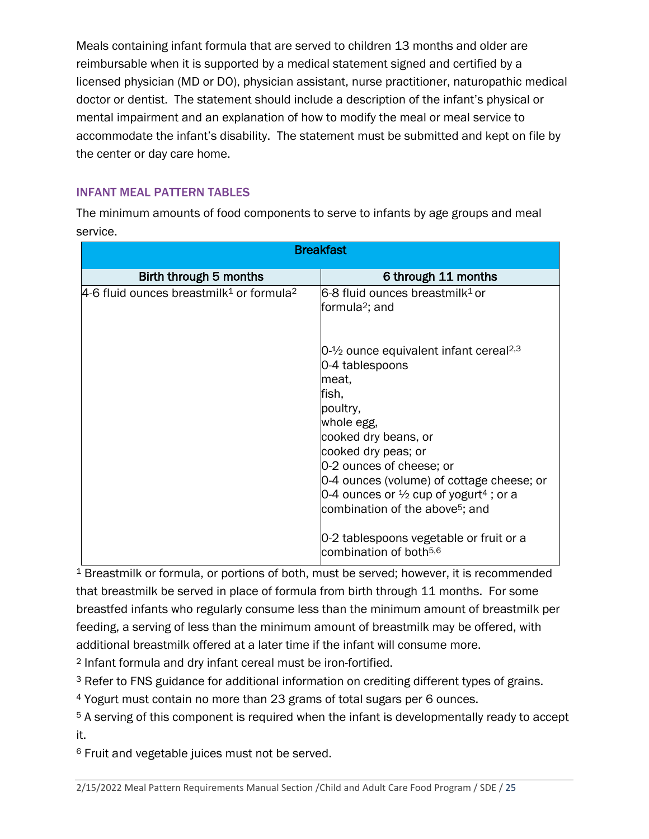Meals containing infant formula that are served to children 13 months and older are reimbursable when it is supported by a medical statement signed and certified by a licensed physician (MD or DO), physician assistant, nurse practitioner, naturopathic medical doctor or dentist. The statement should include a description of the infant's physical or mental impairment and an explanation of how to modify the meal or meal service to accommodate the infant's disability. The statement must be submitted and kept on file by the center or day care home.

# INFANT MEAL PATTERN TABLES

The minimum amounts of food components to serve to infants by age groups and meal service.

| <b>Breakfast</b>                                                 |                                                                                                                                                                                                                                                                                                                                                           |  |  |  |
|------------------------------------------------------------------|-----------------------------------------------------------------------------------------------------------------------------------------------------------------------------------------------------------------------------------------------------------------------------------------------------------------------------------------------------------|--|--|--|
| Birth through 5 months                                           | 6 through 11 months                                                                                                                                                                                                                                                                                                                                       |  |  |  |
| 4-6 fluid ounces breastmilk <sup>1</sup> or formula <sup>2</sup> | 6-8 fluid ounces breastmilk <sup>1</sup> or<br>formula <sup>2</sup> ; and                                                                                                                                                                                                                                                                                 |  |  |  |
|                                                                  | $04$ ounce equivalent infant cereal <sup>2,3</sup><br>0-4 tablespoons<br>meat,<br>fish,<br>poultry,<br>whole egg,<br>cooked dry beans, or<br>cooked dry peas; or<br>0-2 ounces of cheese; or<br>0-4 ounces (volume) of cottage cheese; or<br>0-4 ounces or $\frac{1}{2}$ cup of yogurt <sup>4</sup> ; or a<br>combination of the above <sup>5</sup> ; and |  |  |  |
|                                                                  | 0-2 tablespoons vegetable or fruit or a<br>combination of both <sup>5,6</sup>                                                                                                                                                                                                                                                                             |  |  |  |

<sup>1</sup> Breastmilk or formula, or portions of both, must be served; however, it is recommended that breastmilk be served in place of formula from birth through 11 months. For some breastfed infants who regularly consume less than the minimum amount of breastmilk per feeding, a serving of less than the minimum amount of breastmilk may be offered, with additional breastmilk offered at a later time if the infant will consume more.

<sup>2</sup> Infant formula and dry infant cereal must be iron-fortified.

<sup>3</sup> Refer to FNS guidance for additional information on crediting different types of grains.

<sup>4</sup> Yogurt must contain no more than 23 grams of total sugars per 6 ounces.

5 A serving of this component is required when the infant is developmentally ready to accept it.

<sup>6</sup> Fruit and vegetable juices must not be served.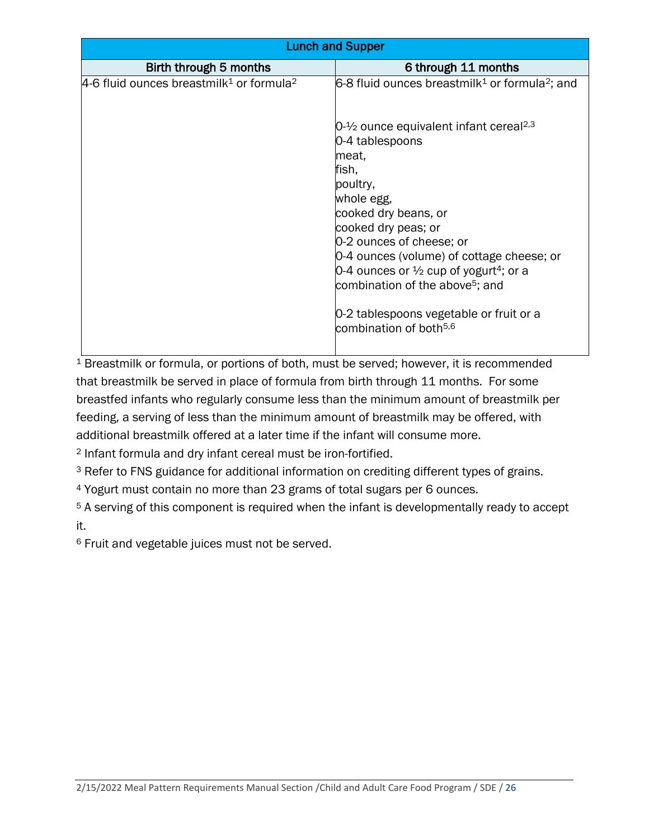| <b>Lunch and Supper</b>                                            |                                                                                                                                                                                                                                                                                                                                                                                                                                            |  |  |
|--------------------------------------------------------------------|--------------------------------------------------------------------------------------------------------------------------------------------------------------------------------------------------------------------------------------------------------------------------------------------------------------------------------------------------------------------------------------------------------------------------------------------|--|--|
| Birth through 5 months                                             | 6 through 11 months                                                                                                                                                                                                                                                                                                                                                                                                                        |  |  |
| $4-6$ fluid ounces breastmilk <sup>1</sup> or formula <sup>2</sup> | 6-8 fluid ounces breastmilk <sup>1</sup> or formula <sup>2</sup> ; and                                                                                                                                                                                                                                                                                                                                                                     |  |  |
|                                                                    | $04$ ounce equivalent infant cereal <sup>2,3</sup><br>0-4 tablespoons<br>meat,<br>fish,<br>poultry,<br>whole egg,<br>cooked dry beans, or<br>cooked dry peas; or<br>0-2 ounces of cheese; or<br>0-4 ounces (volume) of cottage cheese; or<br>0-4 ounces or $\frac{1}{2}$ cup of yogurt <sup>4</sup> ; or a<br>combination of the above <sup>5</sup> ; and<br>0-2 tablespoons vegetable or fruit or a<br>combination of both <sup>5,6</sup> |  |  |

<sup>1</sup> Breastmilk or formula, or portions of both, must be served; however, it is recommended that breastmilk be served in place of formula from birth through 11 months. For some breastfed infants who regularly consume less than the minimum amount of breastmilk per feeding, a serving of less than the minimum amount of breastmilk may be offered, with additional breastmilk offered at a later time if the infant will consume more.

2 Infant formula and dry infant cereal must be iron-fortified.

<sup>3</sup> Refer to FNS guidance for additional information on crediting different types of grains.

<sup>4</sup> Yogurt must contain no more than 23 grams of total sugars per 6 ounces.

<sup>5</sup> A serving of this component is required when the infant is developmentally ready to accept it.

6 Fruit and vegetable juices must not be served.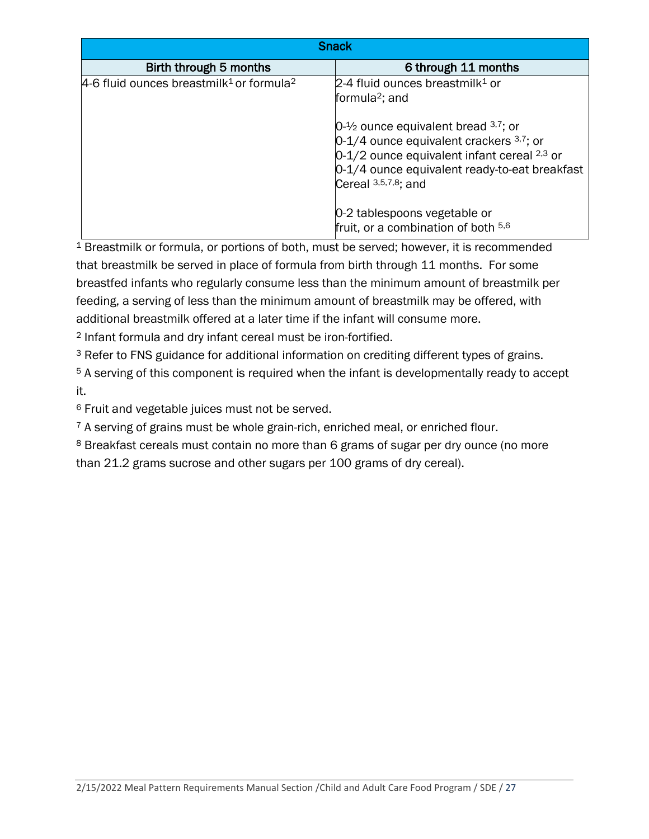| <b>Snack</b>                                                       |                                                                                                                                                                                                                        |  |  |
|--------------------------------------------------------------------|------------------------------------------------------------------------------------------------------------------------------------------------------------------------------------------------------------------------|--|--|
| Birth through 5 months                                             | 6 through 11 months                                                                                                                                                                                                    |  |  |
| $4-6$ fluid ounces breastmilk <sup>1</sup> or formula <sup>2</sup> | $2-4$ fluid ounces breastmilk <sup>1</sup> or<br>formula <sup>2</sup> ; and                                                                                                                                            |  |  |
|                                                                    | $0-1/2$ ounce equivalent bread $37$ ; or<br>$0-1/4$ ounce equivalent crackers $3,7$ ; or<br>$0-1/2$ ounce equivalent infant cereal $2,3$ or<br>0-1/4 ounce equivalent ready-to-eat breakfast<br>Cereal $3,5,7,8$ ; and |  |  |
|                                                                    | 0-2 tablespoons vegetable or<br>fruit, or a combination of both 5,6                                                                                                                                                    |  |  |

<sup>1</sup> Breastmilk or formula, or portions of both, must be served; however, it is recommended that breastmilk be served in place of formula from birth through 11 months. For some breastfed infants who regularly consume less than the minimum amount of breastmilk per feeding, a serving of less than the minimum amount of breastmilk may be offered, with additional breastmilk offered at a later time if the infant will consume more.

2 Infant formula and dry infant cereal must be iron-fortified.

<sup>3</sup> Refer to FNS guidance for additional information on crediting different types of grains.

5 A serving of this component is required when the infant is developmentally ready to accept it.

<sup>6</sup> Fruit and vegetable juices must not be served.

<sup>7</sup> A serving of grains must be whole grain-rich, enriched meal, or enriched flour.

8 Breakfast cereals must contain no more than 6 grams of sugar per dry ounce (no more than 21.2 grams sucrose and other sugars per 100 grams of dry cereal).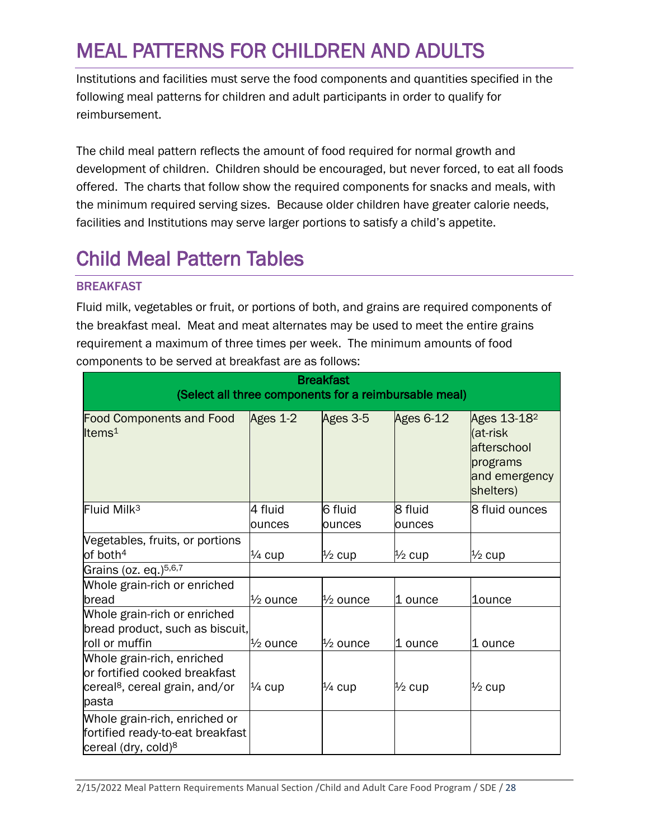# <span id="page-27-0"></span>MEAL PATTERNS FOR CHILDREN AND ADULTS

Institutions and facilities must serve the food components and quantities specified in the following meal patterns for children and adult participants in order to qualify for reimbursement.

The child meal pattern reflects the amount of food required for normal growth and development of children. Children should be encouraged, but never forced, to eat all foods offered. The charts that follow show the required components for snacks and meals, with the minimum required serving sizes. Because older children have greater calorie needs, facilities and Institutions may serve larger portions to satisfy a child's appetite.

# <span id="page-27-1"></span>Child Meal Pattern Tables

# BREAKFAST

Fluid milk, vegetables or fruit, or portions of both, and grains are required components of the breakfast meal. Meat and meat alternates may be used to meet the entire grains requirement a maximum of three times per week. The minimum amounts of food components to be served at breakfast are as follows:

| <b>Breakfast</b><br>(Select all three components for a reimbursable meal)                                          |                     |                     |                   |                                                                                              |
|--------------------------------------------------------------------------------------------------------------------|---------------------|---------------------|-------------------|----------------------------------------------------------------------------------------------|
| <b>Food Components and Food</b><br>Items $1$                                                                       | Ages 1-2            | Ages 3-5            | Ages 6-12         | Ages 13-18 <sup>2</sup><br>(at-risk<br>afterschool<br>programs<br>and emergency<br>shelters) |
| Fluid Milk <sup>3</sup>                                                                                            | 4 fluid<br>ounces   | 6 fluid<br>ounces   | 8 fluid<br>ounces | 8 fluid ounces                                                                               |
| Vegetables, fruits, or portions<br>of both $4$                                                                     | $\frac{1}{4}$ cup   | $\frac{1}{2}$ cup   | $\frac{1}{2}$ cup | $\frac{1}{2}$ cup                                                                            |
| Grains (oz. eq.) <sup>5,6,7</sup>                                                                                  |                     |                     |                   |                                                                                              |
| Whole grain-rich or enriched<br>bread                                                                              | $\frac{1}{2}$ ounce | $\frac{1}{2}$ ounce | 1 ounce           | <b>1ounce</b>                                                                                |
| Whole grain-rich or enriched<br>bread product, such as biscuit,<br>roll or muffin                                  | l½ ounce            | $\frac{1}{2}$ ounce | 1 ounce           | 1 ounce                                                                                      |
| Whole grain-rich, enriched<br>or fortified cooked breakfast<br>cereal <sup>8</sup> , cereal grain, and/or<br>pasta | $\frac{1}{4}$ cup   | $\frac{1}{4}$ cup   | $\frac{1}{2}$ cup | $\frac{1}{2}$ cup                                                                            |
| Whole grain-rich, enriched or<br>fortified ready-to-eat breakfast<br>cereal (dry, cold) <sup>8</sup>               |                     |                     |                   |                                                                                              |

2/15/2022 Meal Pattern Requirements Manual Section /Child and Adult Care Food Program / SDE / 28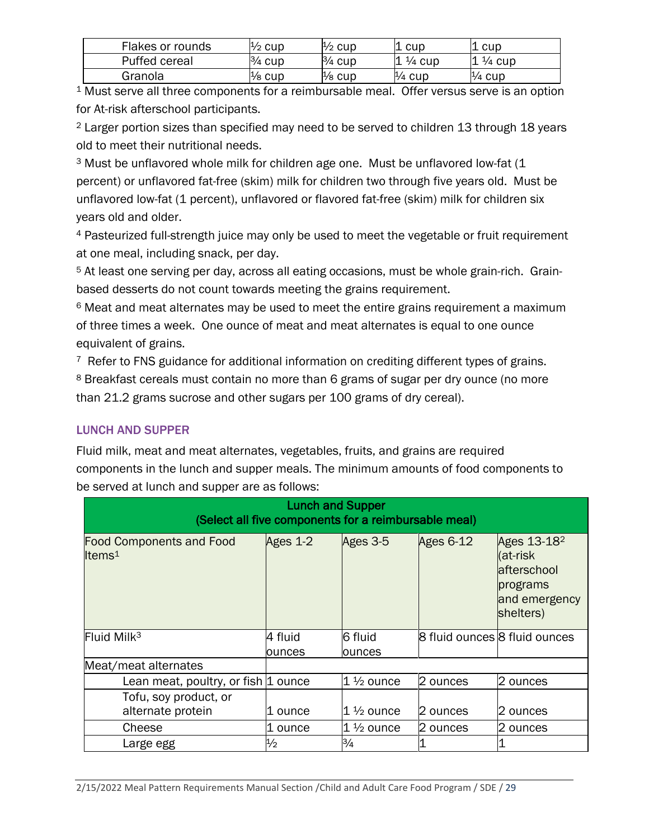| Flakes or rounds | $\frac{1}{2}$ cup | ½ cup     | cup               | . cup             |
|------------------|-------------------|-----------|-------------------|-------------------|
| Puffed cereal    | $\frac{3}{4}$ cup | $3/4$ cup | $\frac{1}{4}$ cup | $\frac{1}{4}$ cup |
| Granola          | $\frac{1}{8}$ cup | ½ cup     | $\frac{1}{4}$ cup | $\frac{1}{4}$ cup |

1 Must serve all three components for a reimbursable meal. Offer versus serve is an option for At-risk afterschool participants.

2 Larger portion sizes than specified may need to be served to children 13 through 18 years old to meet their nutritional needs.

<sup>3</sup> Must be unflavored whole milk for children age one. Must be unflavored low-fat (1 percent) or unflavored fat-free (skim) milk for children two through five years old. Must be unflavored low-fat (1 percent), unflavored or flavored fat-free (skim) milk for children six years old and older.

4 Pasteurized full-strength juice may only be used to meet the vegetable or fruit requirement at one meal, including snack, per day.

<sup>5</sup> At least one serving per day, across all eating occasions, must be whole grain-rich. Grainbased desserts do not count towards meeting the grains requirement.

<sup>6</sup> Meat and meat alternates may be used to meet the entire grains requirement a maximum of three times a week. One ounce of meat and meat alternates is equal to one ounce equivalent of grains.

<sup>7</sup> Refer to FNS guidance for additional information on crediting different types of grains. 8 Breakfast cereals must contain no more than 6 grams of sugar per dry ounce (no more than 21.2 grams sucrose and other sugars per 100 grams of dry cereal).

# LUNCH AND SUPPER

Fluid milk, meat and meat alternates, vegetables, fruits, and grains are required components in the lunch and supper meals. The minimum amounts of food components to be served at lunch and supper are as follows:

| <b>Lunch and Supper</b><br>(Select all five components for a reimbursable meal) |               |                      |                               |                                                                                               |
|---------------------------------------------------------------------------------|---------------|----------------------|-------------------------------|-----------------------------------------------------------------------------------------------|
| <b>Food Components and Food</b><br>Items $1$                                    | Ages 1-2      | Ages 3-5             | Ages $6-12$                   | Ages 13-18 <sup>2</sup><br>(at-risk<br>lafterschool<br>programs<br>and emergency<br>shelters) |
| Fluid Milk <sup>3</sup>                                                         | 4 fluid       | 6 fluid              | 8 fluid ounces 8 fluid ounces |                                                                                               |
|                                                                                 | ounces        | ounces               |                               |                                                                                               |
| Meat/meat alternates                                                            |               |                      |                               |                                                                                               |
| Lean meat, poultry, or fish 1 ounce                                             |               | $1\frac{1}{2}$ ounce | 2 ounces                      | 2 ounces                                                                                      |
| Tofu, soy product, or                                                           |               |                      |                               |                                                                                               |
| alternate protein                                                               | 1 ounce       | $1\frac{1}{2}$ ounce | 2 ounces                      | l2 ounces                                                                                     |
| Cheese                                                                          | 1 ounce       | $1 \, \%$ ounce      | 2 ounces                      | 2 ounces                                                                                      |
| Large egg                                                                       | $\frac{1}{2}$ | $\frac{3}{4}$        |                               |                                                                                               |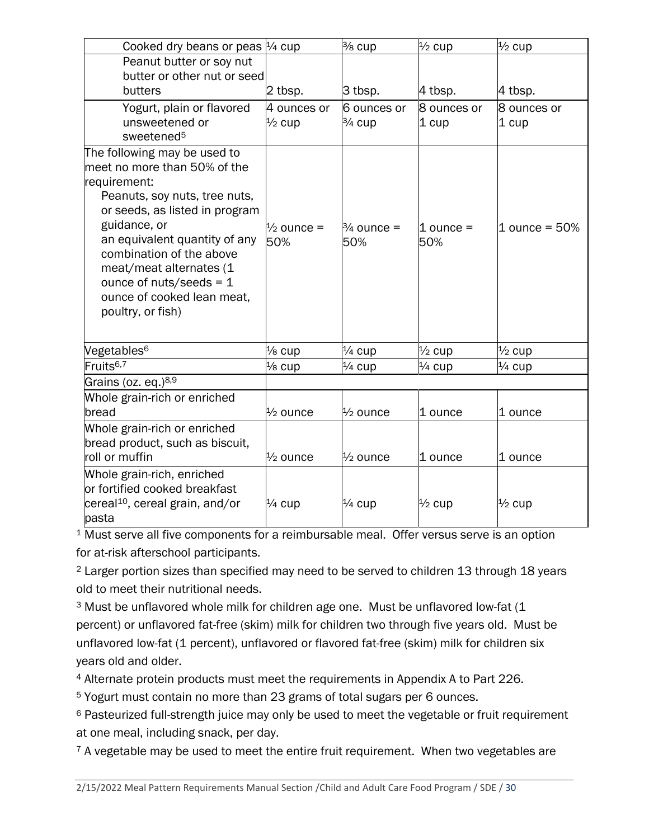| Cooked dry beans or peas $\frac{1}{4}$ cup    |                       | % cup                 | $\frac{1}{2}$ cup | $\frac{1}{2}$ cup  |
|-----------------------------------------------|-----------------------|-----------------------|-------------------|--------------------|
| Peanut butter or soy nut                      |                       |                       |                   |                    |
| butter or other nut or seed                   |                       |                       |                   |                    |
| butters                                       | 2 tbsp.               | $3$ tbsp.             | 4 tbsp.           | 4 tbsp.            |
| Yogurt, plain or flavored                     | 4 ounces or           | 6 ounces or           | 8 ounces or       | 8 ounces or        |
| unsweetened or                                | $\frac{1}{2}$ cup     | $3/4$ cup             | 1 cup             | 1 cup              |
| sweetened <sup>5</sup>                        |                       |                       |                   |                    |
| The following may be used to                  |                       |                       |                   |                    |
| meet no more than 50% of the                  |                       |                       |                   |                    |
| requirement:                                  |                       |                       |                   |                    |
| Peanuts, soy nuts, tree nuts,                 |                       |                       |                   |                    |
| or seeds, as listed in program                |                       |                       |                   |                    |
| guidance, or<br>an equivalent quantity of any | $\frac{1}{2}$ ounce = | $\frac{3}{4}$ ounce = | $1$ ounce $=$     | $1$ ounce = $50\%$ |
| combination of the above                      | 50%                   | 50%                   | 50%               |                    |
| meat/meat alternates (1                       |                       |                       |                   |                    |
| ounce of nuts/seeds = $1$                     |                       |                       |                   |                    |
| ounce of cooked lean meat,                    |                       |                       |                   |                    |
| poultry, or fish)                             |                       |                       |                   |                    |
|                                               |                       |                       |                   |                    |
| Vegetables <sup>6</sup>                       | $\frac{1}{8}$ cup     | $\frac{1}{4}$ cup     | $\frac{1}{2}$ cup | $\frac{1}{2}$ cup  |
| Fruits <sup>6,7</sup>                         | $\frac{1}{8}$ cup     | $\frac{1}{4}$ cup     | $\frac{1}{4}$ cup | $\frac{1}{4}$ cup  |
| Grains (oz. eq.) <sup>8,9</sup>               |                       |                       |                   |                    |
| Whole grain-rich or enriched                  |                       |                       |                   |                    |
| bread                                         | $\frac{1}{2}$ ounce   | $\frac{1}{2}$ ounce   | 1 ounce           | 1 ounce            |
| Whole grain-rich or enriched                  |                       |                       |                   |                    |
| bread product, such as biscuit,               |                       |                       |                   |                    |
| roll or muffin                                | $\frac{1}{2}$ ounce   | $\frac{1}{2}$ ounce   | 1 ounce           | 1 ounce            |
| Whole grain-rich, enriched                    |                       |                       |                   |                    |
| or fortified cooked breakfast                 |                       |                       |                   |                    |
| cereal <sup>10</sup> , cereal grain, and/or   | $\frac{1}{4}$ cup     | $\frac{1}{4}$ cup     | $\frac{1}{2}$ cup | $\frac{1}{2}$ cup  |
| pasta                                         |                       |                       |                   |                    |

<sup>1</sup> Must serve all five components for a reimbursable meal. Offer versus serve is an option for at-risk afterschool participants.

<sup>2</sup> Larger portion sizes than specified may need to be served to children 13 through 18 years old to meet their nutritional needs.

<sup>3</sup> Must be unflavored whole milk for children age one. Must be unflavored low-fat (1 percent) or unflavored fat-free (skim) milk for children two through five years old. Must be unflavored low-fat (1 percent), unflavored or flavored fat-free (skim) milk for children six years old and older.

<sup>4</sup> Alternate protein products must meet the requirements in Appendix A to Part 226.

<sup>5</sup> Yogurt must contain no more than 23 grams of total sugars per 6 ounces.

<sup>6</sup> Pasteurized full-strength juice may only be used to meet the vegetable or fruit requirement at one meal, including snack, per day.

 $7$  A vegetable may be used to meet the entire fruit requirement. When two vegetables are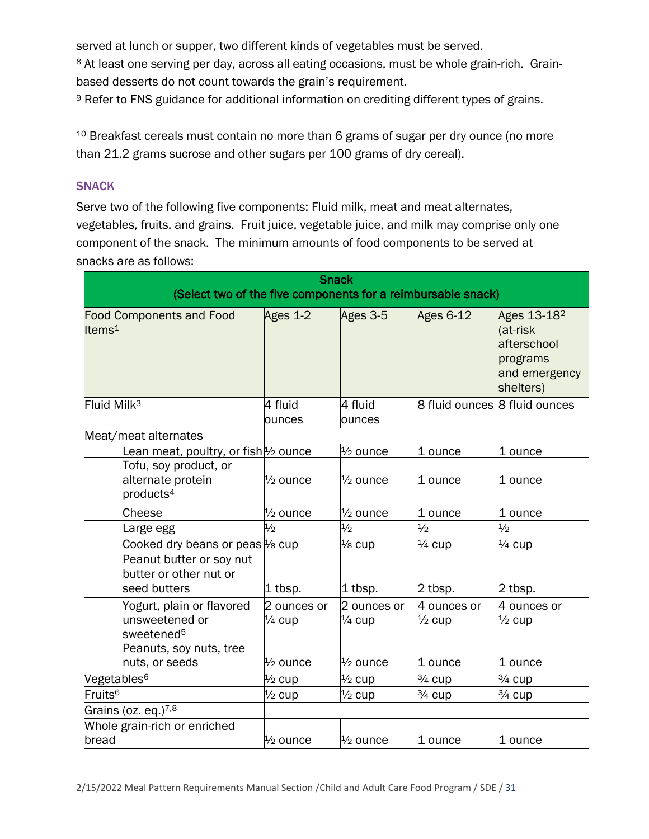served at lunch or supper, two different kinds of vegetables must be served.

<sup>8</sup> At least one serving per day, across all eating occasions, must be whole grain-rich. Grainbased desserts do not count towards the grain's requirement.

9 Refer to FNS guidance for additional information on crediting different types of grains.

<sup>10</sup> Breakfast cereals must contain no more than 6 grams of sugar per dry ounce (no more than 21.2 grams sucrose and other sugars per 100 grams of dry cereal).

#### SNACK

Serve two of the following five components: Fluid milk, meat and meat alternates, vegetables, fruits, and grains. Fruit juice, vegetable juice, and milk may comprise only one component of the snack. The minimum amounts of food components to be served at snacks are as follows:

| <b>Snack</b>                                                        |                     |                     |                   |                                                                                              |
|---------------------------------------------------------------------|---------------------|---------------------|-------------------|----------------------------------------------------------------------------------------------|
| (Select two of the five components for a reimbursable snack)        |                     |                     |                   |                                                                                              |
| <b>Food Components and Food</b><br>Items <sup>1</sup>               | Ages 1-2            | Ages 3-5            | Ages 6-12         | Ages 13-18 <sup>2</sup><br>(at-risk<br>afterschool<br>programs<br>and emergency<br>shelters) |
| Fluid Milk <sup>3</sup>                                             | 4 fluid             | 4 fluid             |                   | 8 fluid ounces 8 fluid ounces                                                                |
|                                                                     | ounces              | ounces              |                   |                                                                                              |
| Meat/meat alternates                                                |                     |                     |                   |                                                                                              |
| Lean meat, poultry, or fish $\frac{1}{2}$ ounce                     |                     | $\frac{1}{2}$ ounce | 1 ounce           | 1 ounce                                                                                      |
| Tofu, soy product, or<br>alternate protein<br>products <sup>4</sup> | $\frac{1}{2}$ ounce | $\frac{1}{2}$ ounce | l1 ounce          | l1 ounce                                                                                     |
| Cheese                                                              | $\frac{1}{2}$ ounce | $\frac{1}{2}$ ounce | 1 ounce           | 1 ounce                                                                                      |
| Large egg                                                           | $\frac{1}{2}$       | $\frac{1}{2}$       | $\frac{1}{2}$     | $\frac{1}{2}$                                                                                |
| Cooked dry beans or peas <sup>1</sup> / <sub>8</sub> cup            |                     | $\frac{1}{8}$ cup   | $\frac{1}{4}$ cup | $\frac{1}{4}$ cup                                                                            |
| Peanut butter or soy nut<br>butter or other nut or<br>seed butters  | 1 tbsp.             | 1 tbsp.             | 2 tbsp.           | 2 tbsp.                                                                                      |
| Yogurt, plain or flavored                                           | 2 ounces or         | 2 ounces or         | 4 ounces or       | 4 ounces or                                                                                  |
| unsweetened or<br>sweetened <sup>5</sup>                            | $\frac{1}{4}$ cup   | $\frac{1}{4}$ cup   | $\frac{1}{2}$ cup | $\frac{1}{2}$ cup                                                                            |
| Peanuts, soy nuts, tree                                             |                     |                     |                   |                                                                                              |
| nuts, or seeds                                                      | $\frac{1}{2}$ ounce | $\frac{1}{2}$ ounce | 1 ounce           | 1 ounce                                                                                      |
| Vegetables <sup>6</sup>                                             | $\frac{1}{2}$ cup   | $\frac{1}{2}$ cup   | $3/4$ cup         | 3/ <sub>4</sub> cup                                                                          |
| Fruits <sup>6</sup>                                                 | $\frac{1}{2}$ cup   | $\frac{1}{2}$ cup   | $\frac{3}{4}$ cup | 3⁄4 cup                                                                                      |
| Grains (oz. eq.) <sup>7,8</sup>                                     |                     |                     |                   |                                                                                              |
| Whole grain-rich or enriched                                        |                     |                     |                   |                                                                                              |
| bread                                                               | $\frac{1}{2}$ ounce | $\frac{1}{2}$ ounce | 1 ounce           | 1 ounce                                                                                      |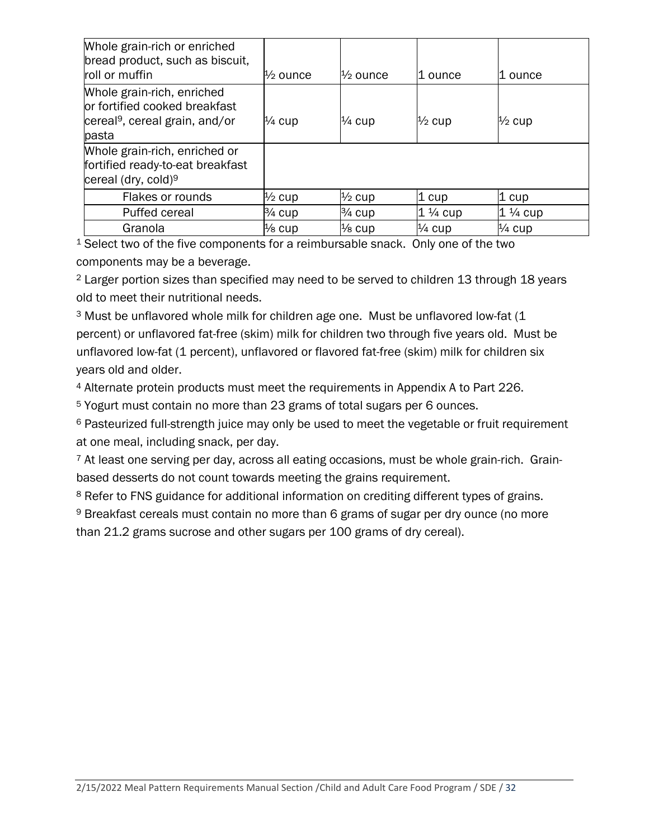| Whole grain-rich or enriched<br>bread product, such as biscuit,<br>roll or muffin                                  | $\frac{1}{2}$ ounce | $\frac{1}{2}$ ounce | 11 ounce           | l1 ounce           |
|--------------------------------------------------------------------------------------------------------------------|---------------------|---------------------|--------------------|--------------------|
| Whole grain-rich, enriched<br>or fortified cooked breakfast<br>cereal <sup>9</sup> , cereal grain, and/or<br>pasta | $\frac{1}{4}$ cup   | $\frac{1}{4}$ cup   | $\frac{1}{2}$ cup  | $\frac{1}{2}$ cup  |
| Whole grain-rich, enriched or<br>fortified ready-to-eat breakfast<br>cereal (dry, cold) <sup>9</sup>               |                     |                     |                    |                    |
| Flakes or rounds                                                                                                   | $\frac{1}{2}$ cup   | $\frac{1}{2}$ cup   | 1 cup              | $1 \text{ cup}$    |
| Puffed cereal                                                                                                      | $\frac{3}{4}$ cup   | $3/4$ cup           | $1\frac{1}{4}$ cup | $1\frac{1}{4}$ cup |
| Granola                                                                                                            | $\frac{1}{8}$ cup   | $\frac{1}{8}$ cup   | $\frac{1}{4}$ cup  | $\frac{1}{4}$ cup  |

<sup>1</sup> Select two of the five components for a reimbursable snack. Only one of the two components may be a beverage.

<sup>2</sup> Larger portion sizes than specified may need to be served to children 13 through 18 years old to meet their nutritional needs.

<sup>3</sup> Must be unflavored whole milk for children age one. Must be unflavored low-fat (1 percent) or unflavored fat-free (skim) milk for children two through five years old. Must be unflavored low-fat (1 percent), unflavored or flavored fat-free (skim) milk for children six years old and older.

<sup>4</sup> Alternate protein products must meet the requirements in Appendix A to Part 226.

<sup>5</sup> Yogurt must contain no more than 23 grams of total sugars per 6 ounces.

<sup>6</sup> Pasteurized full-strength juice may only be used to meet the vegetable or fruit requirement at one meal, including snack, per day.

<sup>7</sup> At least one serving per day, across all eating occasions, must be whole grain-rich. Grainbased desserts do not count towards meeting the grains requirement.

<sup>8</sup> Refer to FNS guidance for additional information on crediting different types of grains.

<sup>9</sup> Breakfast cereals must contain no more than 6 grams of sugar per dry ounce (no more

than 21.2 grams sucrose and other sugars per 100 grams of dry cereal).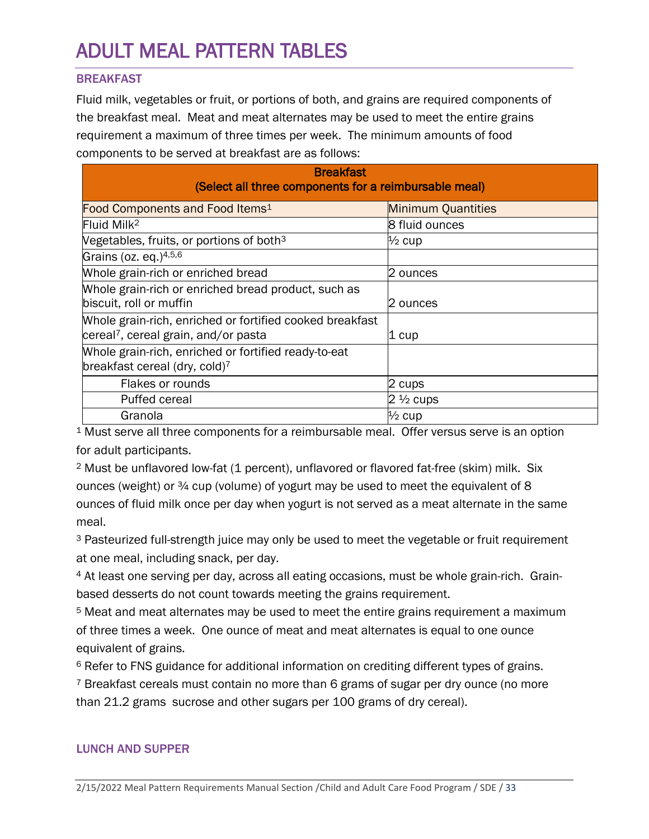# <span id="page-32-0"></span>ADULT MEAL PATTERN TABLES

# **BREAKFAST**

Fluid milk, vegetables or fruit, or portions of both, and grains are required components of the breakfast meal. Meat and meat alternates may be used to meet the entire grains requirement a maximum of three times per week. The minimum amounts of food components to be served at breakfast are as follows:

| <b>Breakfast</b><br>(Select all three components for a reimbursable meal)                                    |                           |  |  |
|--------------------------------------------------------------------------------------------------------------|---------------------------|--|--|
| Food Components and Food Items <sup>1</sup>                                                                  | <b>Minimum Quantities</b> |  |  |
| Fluid Milk <sup>2</sup>                                                                                      | 8 fluid ounces            |  |  |
| Vegetables, fruits, or portions of both <sup>3</sup>                                                         | $\frac{1}{2}$ cup         |  |  |
| Grains (oz. eq.)4,5,6                                                                                        |                           |  |  |
| Whole grain-rich or enriched bread                                                                           | 2 ounces                  |  |  |
| Whole grain-rich or enriched bread product, such as<br>biscuit, roll or muffin                               | 2 ounces                  |  |  |
| Whole grain-rich, enriched or fortified cooked breakfast<br>cereal <sup>7</sup> , cereal grain, and/or pasta | 1 cup                     |  |  |
| Whole grain-rich, enriched or fortified ready-to-eat<br>breakfast cereal (dry, cold) <sup>7</sup>            |                           |  |  |
| Flakes or rounds                                                                                             | 2 cups                    |  |  |
| Puffed cereal                                                                                                | $2\frac{1}{2}$ cups       |  |  |
| Granola                                                                                                      | $\frac{1}{2}$ cup         |  |  |

<sup>1</sup> Must serve all three components for a reimbursable meal. Offer versus serve is an option for adult participants.

<sup>2</sup> Must be unflavored low-fat (1 percent), unflavored or flavored fat-free (skim) milk. Six ounces (weight) or  $\frac{3}{4}$  cup (volume) of yogurt may be used to meet the equivalent of 8 ounces of fluid milk once per day when yogurt is not served as a meat alternate in the same meal.

<sup>3</sup> Pasteurized full-strength juice may only be used to meet the vegetable or fruit requirement at one meal, including snack, per day.

<sup>4</sup> At least one serving per day, across all eating occasions, must be whole grain-rich. Grainbased desserts do not count towards meeting the grains requirement.

5 Meat and meat alternates may be used to meet the entire grains requirement a maximum of three times a week. One ounce of meat and meat alternates is equal to one ounce equivalent of grains.

<sup>6</sup> Refer to FNS guidance for additional information on crediting different types of grains.

7 Breakfast cereals must contain no more than 6 grams of sugar per dry ounce (no more than 21.2 grams sucrose and other sugars per 100 grams of dry cereal).

# LUNCH AND SUPPER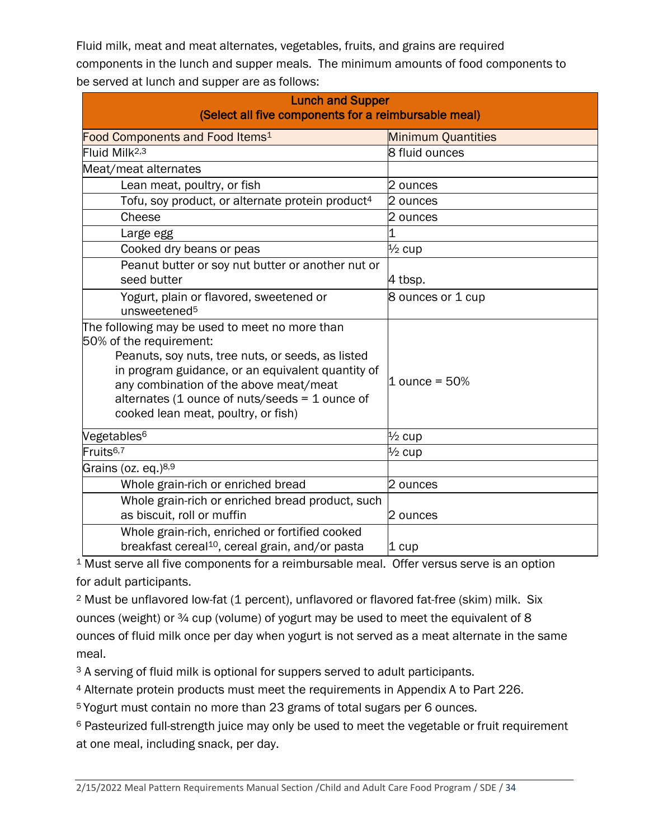Fluid milk, meat and meat alternates, vegetables, fruits, and grains are required components in the lunch and supper meals. The minimum amounts of food components to be served at lunch and supper are as follows:

| <b>Lunch and Supper</b><br>(Select all five components for a reimbursable meal)                                                                                                                                                                                                                                        |                           |  |
|------------------------------------------------------------------------------------------------------------------------------------------------------------------------------------------------------------------------------------------------------------------------------------------------------------------------|---------------------------|--|
| Food Components and Food Items <sup>1</sup>                                                                                                                                                                                                                                                                            | <b>Minimum Quantities</b> |  |
| Fluid Milk <sup>2,3</sup>                                                                                                                                                                                                                                                                                              | 8 fluid ounces            |  |
| Meat/meat alternates                                                                                                                                                                                                                                                                                                   |                           |  |
| Lean meat, poultry, or fish                                                                                                                                                                                                                                                                                            | 2 ounces                  |  |
| Tofu, soy product, or alternate protein product <sup>4</sup>                                                                                                                                                                                                                                                           | 2 ounces                  |  |
| Cheese                                                                                                                                                                                                                                                                                                                 | 2 ounces                  |  |
| Large egg                                                                                                                                                                                                                                                                                                              |                           |  |
| Cooked dry beans or peas                                                                                                                                                                                                                                                                                               | $\frac{1}{2}$ cup         |  |
| Peanut butter or soy nut butter or another nut or<br>seed butter                                                                                                                                                                                                                                                       | 4 tbsp.                   |  |
| Yogurt, plain or flavored, sweetened or<br>unsweetened <sup>5</sup>                                                                                                                                                                                                                                                    | 8 ounces or 1 cup         |  |
| The following may be used to meet no more than<br>50% of the requirement:<br>Peanuts, soy nuts, tree nuts, or seeds, as listed<br>in program guidance, or an equivalent quantity of<br>any combination of the above meat/meat<br>alternates (1 ounce of nuts/seeds = 1 ounce of<br>cooked lean meat, poultry, or fish) | $1$ ounce = $50%$         |  |
| Vegetables <sup>6</sup>                                                                                                                                                                                                                                                                                                | $\frac{1}{2}$ cup         |  |
| Fruits <sup>6,7</sup>                                                                                                                                                                                                                                                                                                  | $\frac{1}{2}$ cup         |  |
| Grains (oz. eq.) <sup>8,9</sup>                                                                                                                                                                                                                                                                                        |                           |  |
| Whole grain-rich or enriched bread                                                                                                                                                                                                                                                                                     | 2 ounces                  |  |
| Whole grain-rich or enriched bread product, such<br>as biscuit, roll or muffin                                                                                                                                                                                                                                         | 2 ounces                  |  |
| Whole grain-rich, enriched or fortified cooked<br>breakfast cereal <sup>10</sup> , cereal grain, and/or pasta                                                                                                                                                                                                          | $1 \text{ cup}$           |  |

<sup>1</sup> Must serve all five components for a reimbursable meal. Offer versus serve is an option for adult participants.

<sup>2</sup> Must be unflavored low-fat (1 percent), unflavored or flavored fat-free (skim) milk. Six ounces (weight) or ¾ cup (volume) of yogurt may be used to meet the equivalent of 8 ounces of fluid milk once per day when yogurt is not served as a meat alternate in the same meal.

<sup>3</sup> A serving of fluid milk is optional for suppers served to adult participants.

4 Alternate protein products must meet the requirements in Appendix A to Part 226.

5 Yogurt must contain no more than 23 grams of total sugars per 6 ounces.

<sup>6</sup> Pasteurized full-strength juice may only be used to meet the vegetable or fruit requirement at one meal, including snack, per day.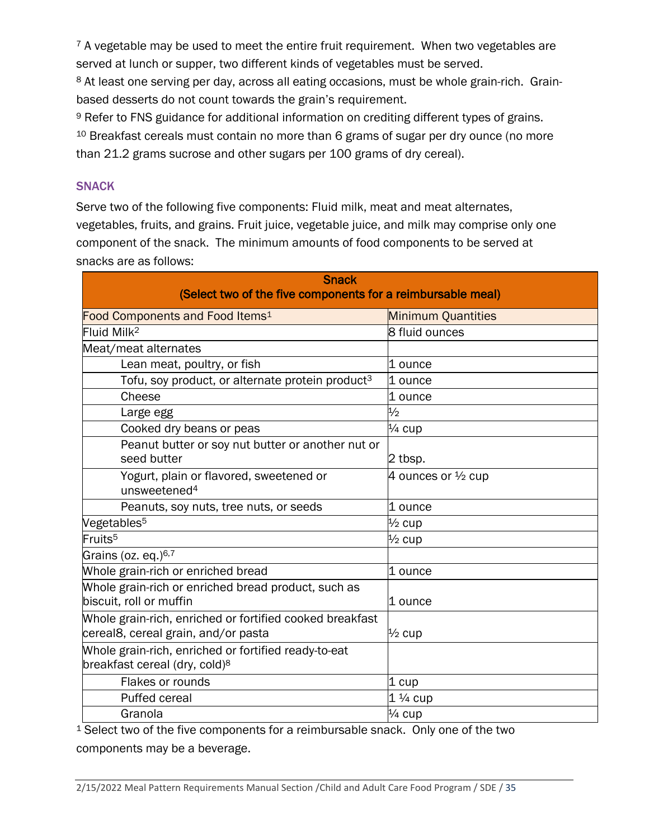$7$  A vegetable may be used to meet the entire fruit requirement. When two vegetables are served at lunch or supper, two different kinds of vegetables must be served.

8 At least one serving per day, across all eating occasions, must be whole grain-rich. Grainbased desserts do not count towards the grain's requirement.

<sup>9</sup> Refer to FNS guidance for additional information on crediting different types of grains. <sup>10</sup> Breakfast cereals must contain no more than 6 grams of sugar per dry ounce (no more than 21.2 grams sucrose and other sugars per 100 grams of dry cereal).

# SNACK

Serve two of the following five components: Fluid milk, meat and meat alternates, vegetables, fruits, and grains. Fruit juice, vegetable juice, and milk may comprise only one component of the snack. The minimum amounts of food components to be served at snacks are as follows:

| <b>Snack</b><br>(Select two of the five components for a reimbursable meal)                       |                               |  |
|---------------------------------------------------------------------------------------------------|-------------------------------|--|
| Food Components and Food Items <sup>1</sup>                                                       | <b>Minimum Quantities</b>     |  |
| Fluid Milk <sup>2</sup>                                                                           | <b>8 fluid ounces</b>         |  |
| Meat/meat alternates                                                                              |                               |  |
| Lean meat, poultry, or fish                                                                       | 1 ounce                       |  |
| Tofu, soy product, or alternate protein product <sup>3</sup>                                      | 1 ounce                       |  |
| Cheese                                                                                            | 1 ounce                       |  |
| Large egg                                                                                         | $\frac{1}{2}$                 |  |
| Cooked dry beans or peas                                                                          | $\frac{1}{4}$ cup             |  |
| Peanut butter or soy nut butter or another nut or<br>seed butter                                  | 2 tbsp.                       |  |
| Yogurt, plain or flavored, sweetened or<br>unsweetened <sup>4</sup>                               | 4 ounces or $\frac{1}{2}$ cup |  |
| Peanuts, soy nuts, tree nuts, or seeds                                                            | 1 ounce                       |  |
| Vegetables <sup>5</sup>                                                                           | $\frac{1}{2}$ cup             |  |
| Fruits <sup>5</sup>                                                                               | $\frac{1}{2}$ cup             |  |
| Grains (oz. eq.) <sup>6,7</sup>                                                                   |                               |  |
| Whole grain-rich or enriched bread                                                                | 1 ounce                       |  |
| Whole grain-rich or enriched bread product, such as<br>biscuit, roll or muffin                    | l1 ounce                      |  |
| Whole grain-rich, enriched or fortified cooked breakfast<br>cereal8, cereal grain, and/or pasta   | $\frac{1}{2}$ cup             |  |
| Whole grain-rich, enriched or fortified ready-to-eat<br>breakfast cereal (dry, cold) <sup>8</sup> |                               |  |
| Flakes or rounds                                                                                  | $1$ cup                       |  |
| <b>Puffed cereal</b>                                                                              | $1\frac{1}{4}$ cup            |  |
| Granola                                                                                           | $\frac{1}{4}$ cup             |  |

<sup>1</sup> Select two of the five components for a reimbursable snack. Only one of the two components may be a beverage.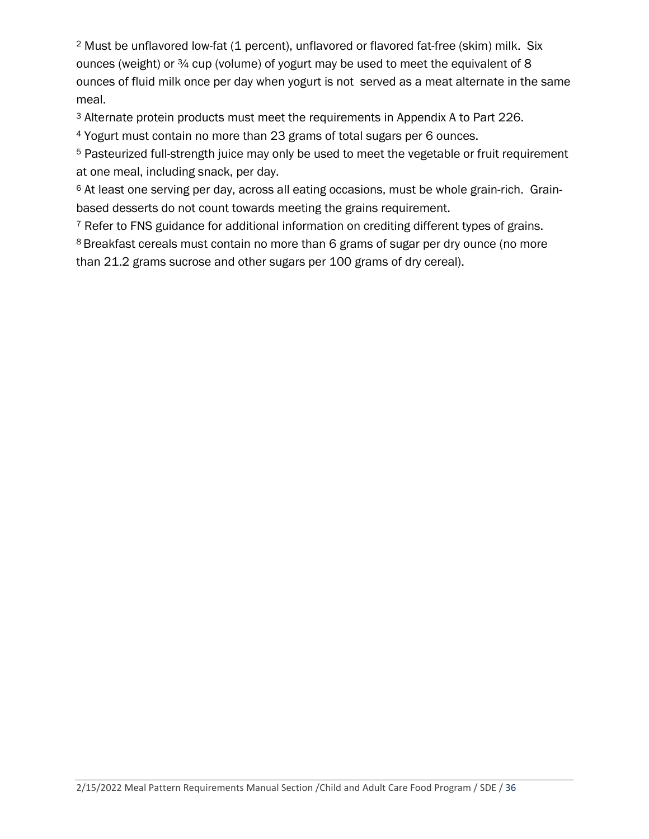<sup>2</sup> Must be unflavored low-fat (1 percent), unflavored or flavored fat-free (skim) milk. Six ounces (weight) or ¾ cup (volume) of yogurt may be used to meet the equivalent of 8 ounces of fluid milk once per day when yogurt is not served as a meat alternate in the same meal.

<sup>3</sup> Alternate protein products must meet the requirements in Appendix A to Part 226.

<sup>4</sup> Yogurt must contain no more than 23 grams of total sugars per 6 ounces.

<sup>5</sup> Pasteurized full-strength juice may only be used to meet the vegetable or fruit requirement at one meal, including snack, per day.

<sup>6</sup> At least one serving per day, across all eating occasions, must be whole grain-rich. Grainbased desserts do not count towards meeting the grains requirement.

<sup>7</sup> Refer to FNS guidance for additional information on crediting different types of grains.

8 Breakfast cereals must contain no more than 6 grams of sugar per dry ounce (no more than 21.2 grams sucrose and other sugars per 100 grams of dry cereal).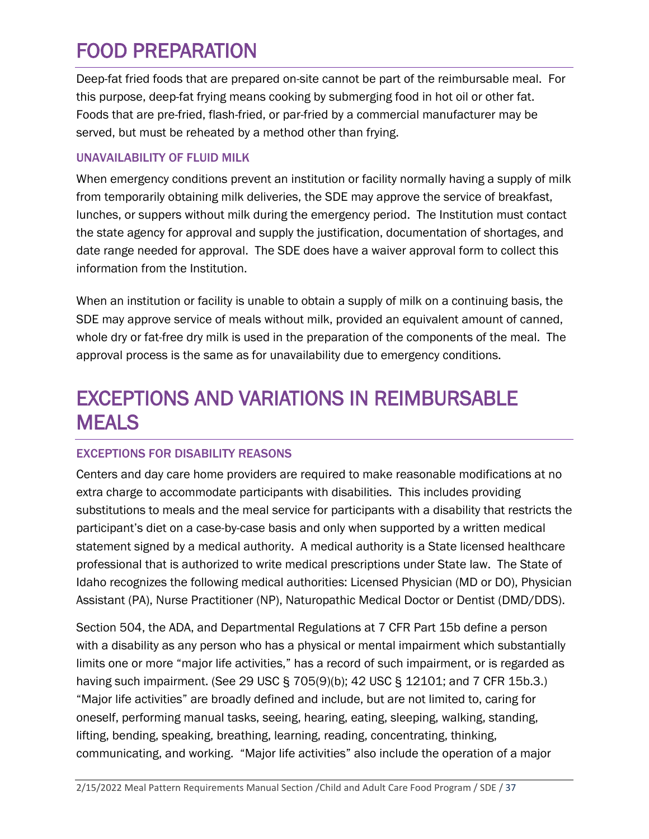# <span id="page-36-0"></span>FOOD PREPARATION

Deep-fat fried foods that are prepared on-site cannot be part of the reimbursable meal. For this purpose, deep-fat frying means cooking by submerging food in hot oil or other fat. Foods that are pre-fried, flash-fried, or par-fried by a commercial manufacturer may be served, but must be reheated by a method other than frying.

# UNAVAILABILITY OF FLUID MILK

When emergency conditions prevent an institution or facility normally having a supply of milk from temporarily obtaining milk deliveries, the SDE may approve the service of breakfast, lunches, or suppers without milk during the emergency period. The Institution must contact the state agency for approval and supply the justification, documentation of shortages, and date range needed for approval. The SDE does have a waiver approval form to collect this information from the Institution.

When an institution or facility is unable to obtain a supply of milk on a continuing basis, the SDE may approve service of meals without milk, provided an equivalent amount of canned, whole dry or fat-free dry milk is used in the preparation of the components of the meal. The approval process is the same as for unavailability due to emergency conditions.

# <span id="page-36-1"></span>EXCEPTIONS AND VARIATIONS IN REIMBURSABLE MEALS

# EXCEPTIONS FOR DISABILITY REASONS

Centers and day care home providers are required to make reasonable modifications at no extra charge to accommodate participants with disabilities. This includes providing substitutions to meals and the meal service for participants with a disability that restricts the participant's diet on a case-by-case basis and only when supported by a written medical statement signed by a medical authority. A medical authority is a State licensed healthcare professional that is authorized to write medical prescriptions under State law. The State of Idaho recognizes the following medical authorities: Licensed Physician (MD or DO), Physician Assistant (PA), Nurse Practitioner (NP), Naturopathic Medical Doctor or Dentist (DMD/DDS).

Section 504, the ADA, and Departmental Regulations at 7 CFR Part 15b define a person with a disability as any person who has a physical or mental impairment which substantially limits one or more "major life activities," has a record of such impairment, or is regarded as having such impairment. (See 29 USC § 705(9)(b); 42 USC § 12101; and 7 CFR 15b.3.) "Major life activities" are broadly defined and include, but are not limited to, caring for oneself, performing manual tasks, seeing, hearing, eating, sleeping, walking, standing, lifting, bending, speaking, breathing, learning, reading, concentrating, thinking, communicating, and working. "Major life activities" also include the operation of a major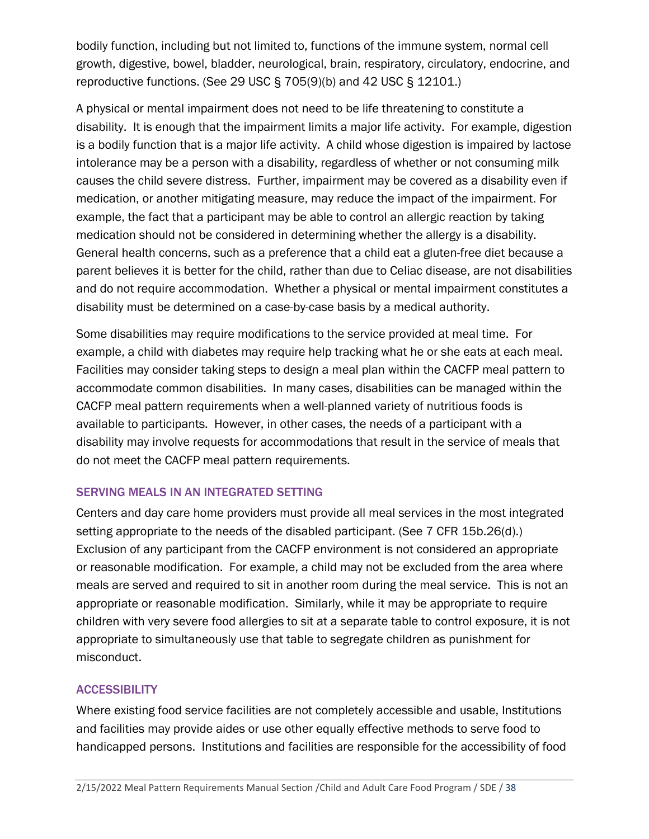bodily function, including but not limited to, functions of the immune system, normal cell growth, digestive, bowel, bladder, neurological, brain, respiratory, circulatory, endocrine, and reproductive functions. (See 29 USC § 705(9)(b) and 42 USC § 12101.)

A physical or mental impairment does not need to be life threatening to constitute a disability. It is enough that the impairment limits a major life activity. For example, digestion is a bodily function that is a major life activity. A child whose digestion is impaired by lactose intolerance may be a person with a disability, regardless of whether or not consuming milk causes the child severe distress. Further, impairment may be covered as a disability even if medication, or another mitigating measure, may reduce the impact of the impairment. For example, the fact that a participant may be able to control an allergic reaction by taking medication should not be considered in determining whether the allergy is a disability. General health concerns, such as a preference that a child eat a gluten-free diet because a parent believes it is better for the child, rather than due to Celiac disease, are not disabilities and do not require accommodation. Whether a physical or mental impairment constitutes a disability must be determined on a case-by-case basis by a medical authority.

Some disabilities may require modifications to the service provided at meal time. For example, a child with diabetes may require help tracking what he or she eats at each meal. Facilities may consider taking steps to design a meal plan within the CACFP meal pattern to accommodate common disabilities. In many cases, disabilities can be managed within the CACFP meal pattern requirements when a well-planned variety of nutritious foods is available to participants. However, in other cases, the needs of a participant with a disability may involve requests for accommodations that result in the service of meals that do not meet the CACFP meal pattern requirements.

# SERVING MEALS IN AN INTEGRATED SETTING

Centers and day care home providers must provide all meal services in the most integrated setting appropriate to the needs of the disabled participant. (See 7 CFR 15b.26(d).) Exclusion of any participant from the CACFP environment is not considered an appropriate or reasonable modification. For example, a child may not be excluded from the area where meals are served and required to sit in another room during the meal service. This is not an appropriate or reasonable modification. Similarly, while it may be appropriate to require children with very severe food allergies to sit at a separate table to control exposure, it is not appropriate to simultaneously use that table to segregate children as punishment for misconduct.

# **ACCESSIBILITY**

Where existing food service facilities are not completely accessible and usable, Institutions and facilities may provide aides or use other equally effective methods to serve food to handicapped persons. Institutions and facilities are responsible for the accessibility of food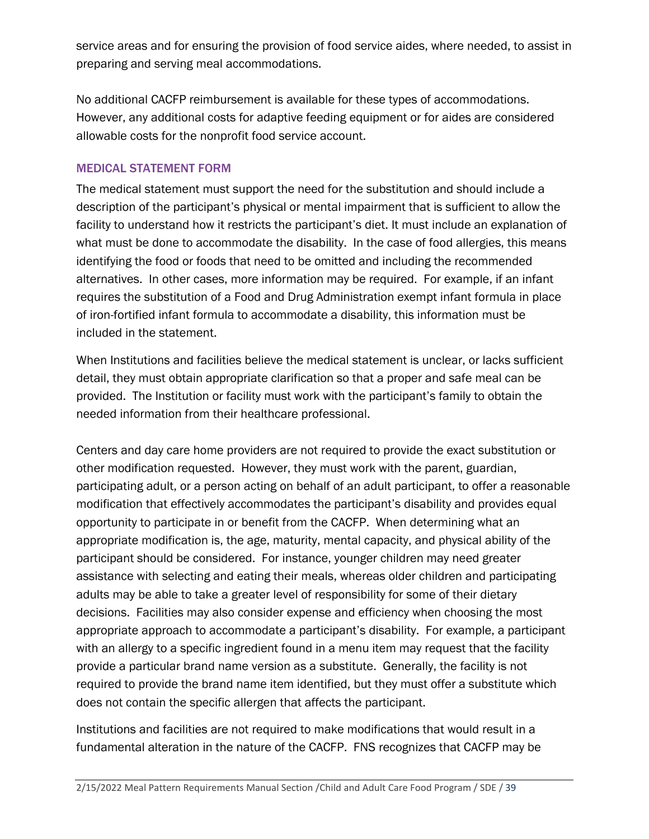service areas and for ensuring the provision of food service aides, where needed, to assist in preparing and serving meal accommodations.

No additional CACFP reimbursement is available for these types of accommodations. However, any additional costs for adaptive feeding equipment or for aides are considered allowable costs for the nonprofit food service account.

#### MEDICAL STATEMENT FORM

The medical statement must support the need for the substitution and should include a description of the participant's physical or mental impairment that is sufficient to allow the facility to understand how it restricts the participant's diet. It must include an explanation of what must be done to accommodate the disability. In the case of food allergies, this means identifying the food or foods that need to be omitted and including the recommended alternatives. In other cases, more information may be required. For example, if an infant requires the substitution of a Food and Drug Administration exempt infant formula in place of iron-fortified infant formula to accommodate a disability, this information must be included in the statement.

When Institutions and facilities believe the medical statement is unclear, or lacks sufficient detail, they must obtain appropriate clarification so that a proper and safe meal can be provided. The Institution or facility must work with the participant's family to obtain the needed information from their healthcare professional.

Centers and day care home providers are not required to provide the exact substitution or other modification requested. However, they must work with the parent, guardian, participating adult, or a person acting on behalf of an adult participant, to offer a reasonable modification that effectively accommodates the participant's disability and provides equal opportunity to participate in or benefit from the CACFP. When determining what an appropriate modification is, the age, maturity, mental capacity, and physical ability of the participant should be considered. For instance, younger children may need greater assistance with selecting and eating their meals, whereas older children and participating adults may be able to take a greater level of responsibility for some of their dietary decisions. Facilities may also consider expense and efficiency when choosing the most appropriate approach to accommodate a participant's disability. For example, a participant with an allergy to a specific ingredient found in a menu item may request that the facility provide a particular brand name version as a substitute. Generally, the facility is not required to provide the brand name item identified, but they must offer a substitute which does not contain the specific allergen that affects the participant.

Institutions and facilities are not required to make modifications that would result in a fundamental alteration in the nature of the CACFP. FNS recognizes that CACFP may be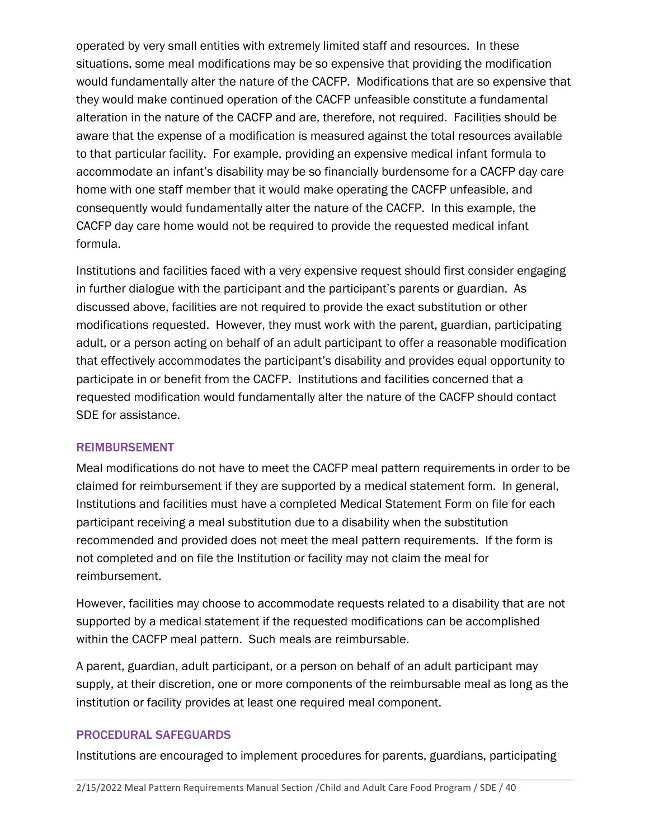operated by very small entities with extremely limited staff and resources. In these situations, some meal modifications may be so expensive that providing the modification would fundamentally alter the nature of the CACFP. Modifications that are so expensive that they would make continued operation of the CACFP unfeasible constitute a fundamental alteration in the nature of the CACFP and are, therefore, not required. Facilities should be aware that the expense of a modification is measured against the total resources available to that particular facility. For example, providing an expensive medical infant formula to accommodate an infant's disability may be so financially burdensome for a CACFP day care home with one staff member that it would make operating the CACFP unfeasible, and consequently would fundamentally alter the nature of the CACFP. In this example, the CACFP day care home would not be required to provide the requested medical infant formula.

Institutions and facilities faced with a very expensive request should first consider engaging in further dialogue with the participant and the participant's parents or guardian. As discussed above, facilities are not required to provide the exact substitution or other modifications requested. However, they must work with the parent, guardian, participating adult, or a person acting on behalf of an adult participant to offer a reasonable modification that effectively accommodates the participant's disability and provides equal opportunity to participate in or benefit from the CACFP. Institutions and facilities concerned that a requested modification would fundamentally alter the nature of the CACFP should contact SDE for assistance.

#### REIMBURSEMENT

Meal modifications do not have to meet the CACFP meal pattern requirements in order to be claimed for reimbursement if they are supported by a medical statement form. In general, Institutions and facilities must have a completed Medical Statement Form on file for each participant receiving a meal substitution due to a disability when the substitution recommended and provided does not meet the meal pattern requirements. If the form is not completed and on file the Institution or facility may not claim the meal for reimbursement.

However, facilities may choose to accommodate requests related to a disability that are not supported by a medical statement if the requested modifications can be accomplished within the CACFP meal pattern. Such meals are reimbursable.

A parent, guardian, adult participant, or a person on behalf of an adult participant may supply, at their discretion, one or more components of the reimbursable meal as long as the institution or facility provides at least one required meal component.

#### PROCEDURAL SAFEGUARDS

Institutions are encouraged to implement procedures for parents, guardians, participating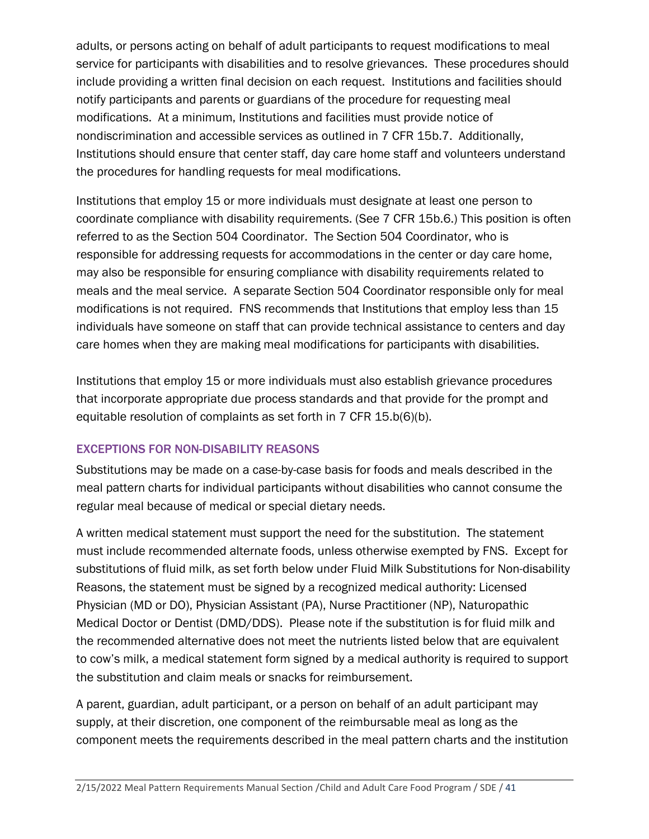adults, or persons acting on behalf of adult participants to request modifications to meal service for participants with disabilities and to resolve grievances. These procedures should include providing a written final decision on each request. Institutions and facilities should notify participants and parents or guardians of the procedure for requesting meal modifications. At a minimum, Institutions and facilities must provide notice of nondiscrimination and accessible services as outlined in 7 CFR 15b.7. Additionally, Institutions should ensure that center staff, day care home staff and volunteers understand the procedures for handling requests for meal modifications.

Institutions that employ 15 or more individuals must designate at least one person to coordinate compliance with disability requirements. (See 7 CFR 15b.6.) This position is often referred to as the Section 504 Coordinator. The Section 504 Coordinator, who is responsible for addressing requests for accommodations in the center or day care home, may also be responsible for ensuring compliance with disability requirements related to meals and the meal service. A separate Section 504 Coordinator responsible only for meal modifications is not required. FNS recommends that Institutions that employ less than 15 individuals have someone on staff that can provide technical assistance to centers and day care homes when they are making meal modifications for participants with disabilities.

Institutions that employ 15 or more individuals must also establish grievance procedures that incorporate appropriate due process standards and that provide for the prompt and equitable resolution of complaints as set forth in 7 CFR 15.b(6)(b).

# EXCEPTIONS FOR NON-DISABILITY REASONS

Substitutions may be made on a case-by-case basis for foods and meals described in the meal pattern charts for individual participants without disabilities who cannot consume the regular meal because of medical or special dietary needs.

A written medical statement must support the need for the substitution. The statement must include recommended alternate foods, unless otherwise exempted by FNS. Except for substitutions of fluid milk, as set forth below under Fluid Milk Substitutions for Non-disability Reasons, the statement must be signed by a recognized medical authority: Licensed Physician (MD or DO), Physician Assistant (PA), Nurse Practitioner (NP), Naturopathic Medical Doctor or Dentist (DMD/DDS). Please note if the substitution is for fluid milk and the recommended alternative does not meet the nutrients listed below that are equivalent to cow's milk, a medical statement form signed by a medical authority is required to support the substitution and claim meals or snacks for reimbursement.

A parent, guardian, adult participant, or a person on behalf of an adult participant may supply, at their discretion, one component of the reimbursable meal as long as the component meets the requirements described in the meal pattern charts and the institution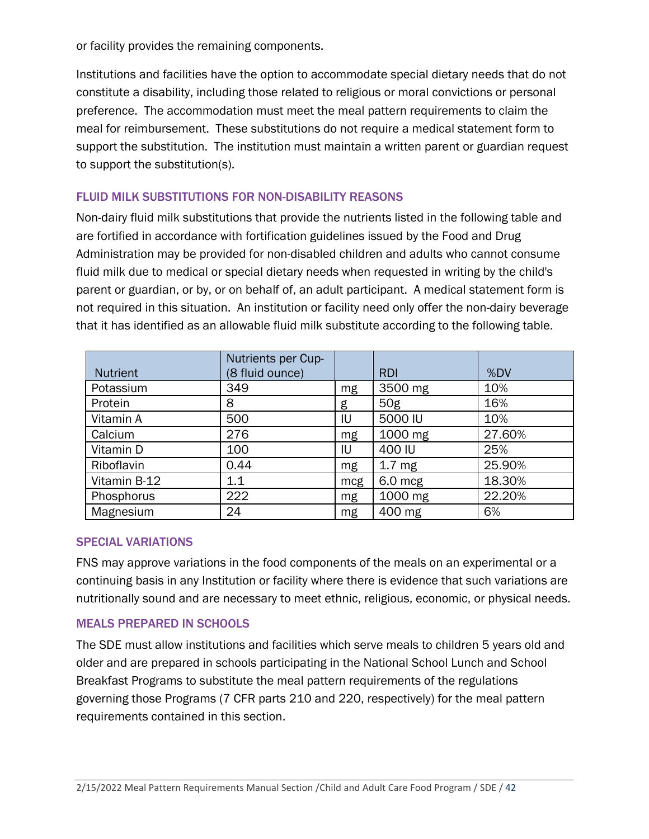or facility provides the remaining components.

Institutions and facilities have the option to accommodate special dietary needs that do not constitute a disability, including those related to religious or moral convictions or personal preference. The accommodation must meet the meal pattern requirements to claim the meal for reimbursement. These substitutions do not require a medical statement form to support the substitution. The institution must maintain a written parent or guardian request to support the substitution(s).

# FLUID MILK SUBSTITUTIONS FOR NON-DISABILITY REASONS

Non-dairy fluid milk substitutions that provide the nutrients listed in the following table and are fortified in accordance with fortification guidelines issued by the Food and Drug Administration may be provided for non-disabled children and adults who cannot consume fluid milk due to medical or special dietary needs when requested in writing by the child's parent or guardian, or by, or on behalf of, an adult participant. A medical statement form is not required in this situation. An institution or facility need only offer the non-dairy beverage that it has identified as an allowable fluid milk substitute according to the following table.

|                 | Nutrients per Cup- |     |                   |        |
|-----------------|--------------------|-----|-------------------|--------|
| <b>Nutrient</b> | (8 fluid ounce)    |     | <b>RDI</b>        | %DV    |
| Potassium       | 349                | mg  | 3500 mg           | 10%    |
| Protein         | 8                  | g   | 50g               | 16%    |
| Vitamin A       | 500                | IU  | 5000 IU           | 10%    |
| Calcium         | 276                | mg  | 1000 mg           | 27.60% |
| Vitamin D       | 100                | IU  | 400 IU            | 25%    |
| Riboflavin      | 0.44               | mg  | 1.7 <sub>mg</sub> | 25.90% |
| Vitamin B-12    | 1.1                | mcg | $6.0$ mcg         | 18.30% |
| Phosphorus      | 222                | mg  | 1000 mg           | 22.20% |
| Magnesium       | 24                 | mg  | 400 mg            | 6%     |

#### SPECIAL VARIATIONS

FNS may approve variations in the food components of the meals on an experimental or a continuing basis in any Institution or facility where there is evidence that such variations are nutritionally sound and are necessary to meet ethnic, religious, economic, or physical needs.

#### MEALS PREPARED IN SCHOOLS

The SDE must allow institutions and facilities which serve meals to children 5 years old and older and are prepared in schools participating in the National School Lunch and School Breakfast Programs to substitute the meal pattern requirements of the regulations governing those Programs (7 CFR parts 210 and 220, respectively) for the meal pattern requirements contained in this section.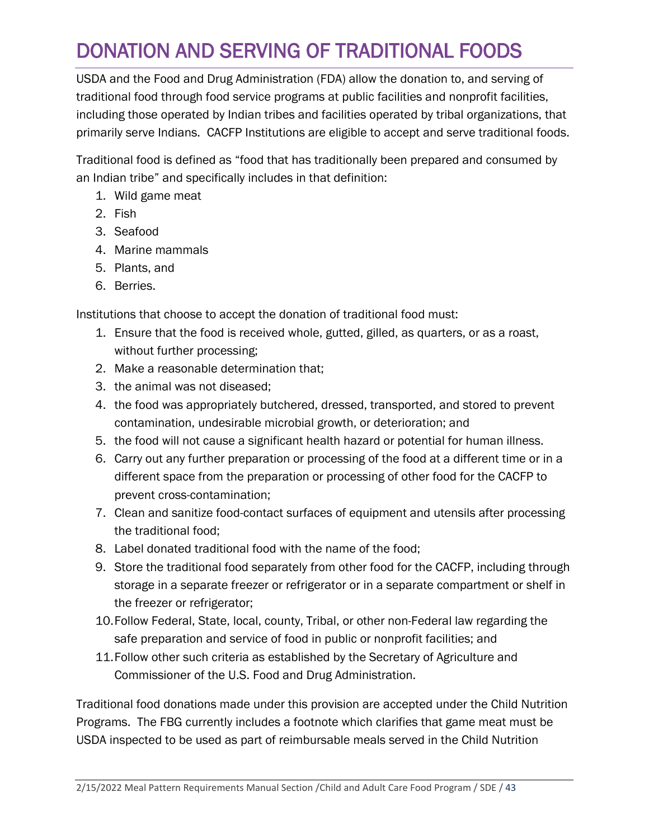# <span id="page-42-0"></span>DONATION AND SERVING OF TRADITIONAL FOODS

USDA and the Food and Drug Administration (FDA) allow the donation to, and serving of traditional food through food service programs at public facilities and nonprofit facilities, including those operated by Indian tribes and facilities operated by tribal organizations, that primarily serve Indians. CACFP Institutions are eligible to accept and serve traditional foods.

Traditional food is defined as "food that has traditionally been prepared and consumed by an Indian tribe" and specifically includes in that definition:

- 1. Wild game meat
- 2. Fish
- 3. Seafood
- 4. Marine mammals
- 5. Plants, and
- 6. Berries.

Institutions that choose to accept the donation of traditional food must:

- 1. Ensure that the food is received whole, gutted, gilled, as quarters, or as a roast, without further processing;
- 2. Make a reasonable determination that;
- 3. the animal was not diseased;
- 4. the food was appropriately butchered, dressed, transported, and stored to prevent contamination, undesirable microbial growth, or deterioration; and
- 5. the food will not cause a significant health hazard or potential for human illness.
- 6. Carry out any further preparation or processing of the food at a different time or in a different space from the preparation or processing of other food for the CACFP to prevent cross-contamination;
- 7. Clean and sanitize food-contact surfaces of equipment and utensils after processing the traditional food;
- 8. Label donated traditional food with the name of the food;
- 9. Store the traditional food separately from other food for the CACFP, including through storage in a separate freezer or refrigerator or in a separate compartment or shelf in the freezer or refrigerator;
- 10.Follow Federal, State, local, county, Tribal, or other non-Federal law regarding the safe preparation and service of food in public or nonprofit facilities; and
- 11.Follow other such criteria as established by the Secretary of Agriculture and Commissioner of the U.S. Food and Drug Administration.

Traditional food donations made under this provision are accepted under the Child Nutrition Programs. The FBG currently includes a footnote which clarifies that game meat must be USDA inspected to be used as part of reimbursable meals served in the Child Nutrition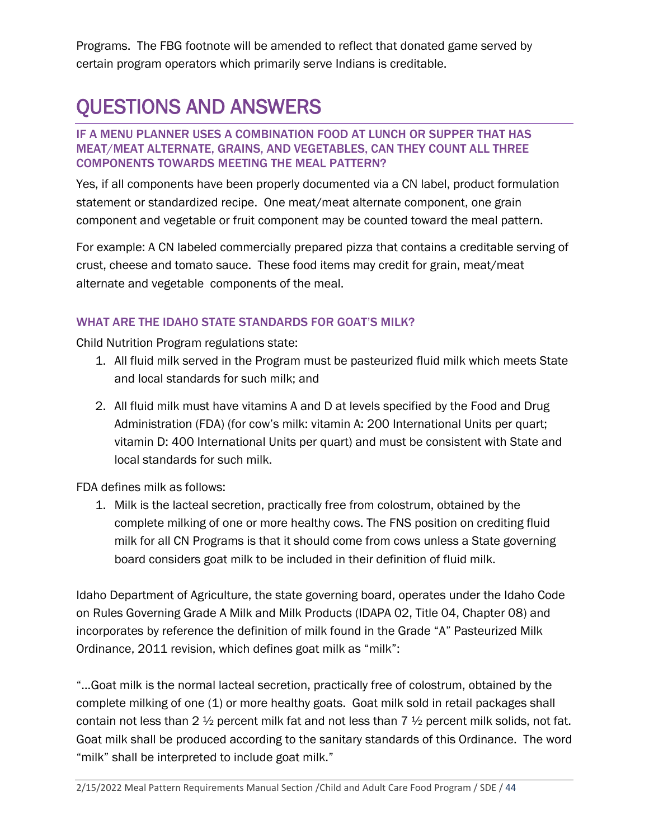Programs. The FBG footnote will be amended to reflect that donated game served by certain program operators which primarily serve Indians is creditable.

# QUESTIONS AND ANSWERS

#### IF A MENU PLANNER USES A COMBINATION FOOD AT LUNCH OR SUPPER THAT HAS MEAT/MEAT ALTERNATE, GRAINS, AND VEGETABLES, CAN THEY COUNT ALL THREE COMPONENTS TOWARDS MEETING THE MEAL PATTERN?

Yes, if all components have been properly documented via a CN label, product formulation statement or standardized recipe. One meat/meat alternate component, one grain component and vegetable or fruit component may be counted toward the meal pattern.

For example: A CN labeled commercially prepared pizza that contains a creditable serving of crust, cheese and tomato sauce. These food items may credit for grain, meat/meat alternate and vegetable components of the meal.

# WHAT ARE THE IDAHO STATE STANDARDS FOR GOAT'S MILK?

Child Nutrition Program regulations state:

- 1. All fluid milk served in the Program must be pasteurized fluid milk which meets State and local standards for such milk; and
- 2. All fluid milk must have vitamins A and D at levels specified by the Food and Drug Administration (FDA) (for cow's milk: vitamin A: 200 International Units per quart; vitamin D: 400 International Units per quart) and must be consistent with State and local standards for such milk.

FDA defines milk as follows:

1. Milk is the lacteal secretion, practically free from colostrum, obtained by the complete milking of one or more healthy cows. The FNS position on crediting fluid milk for all CN Programs is that it should come from cows unless a State governing board considers goat milk to be included in their definition of fluid milk.

Idaho Department of Agriculture, the state governing board, operates under the Idaho Code on Rules Governing Grade A Milk and Milk Products (IDAPA 02, Title 04, Chapter 08) and incorporates by reference the definition of milk found in the Grade "A" Pasteurized Milk Ordinance, 2011 revision, which defines goat milk as "milk":

"…Goat milk is the normal lacteal secretion, practically free of colostrum, obtained by the complete milking of one (1) or more healthy goats. Goat milk sold in retail packages shall contain not less than 2  $\frac{1}{2}$  percent milk fat and not less than 7  $\frac{1}{2}$  percent milk solids, not fat. Goat milk shall be produced according to the sanitary standards of this Ordinance. The word "milk" shall be interpreted to include goat milk."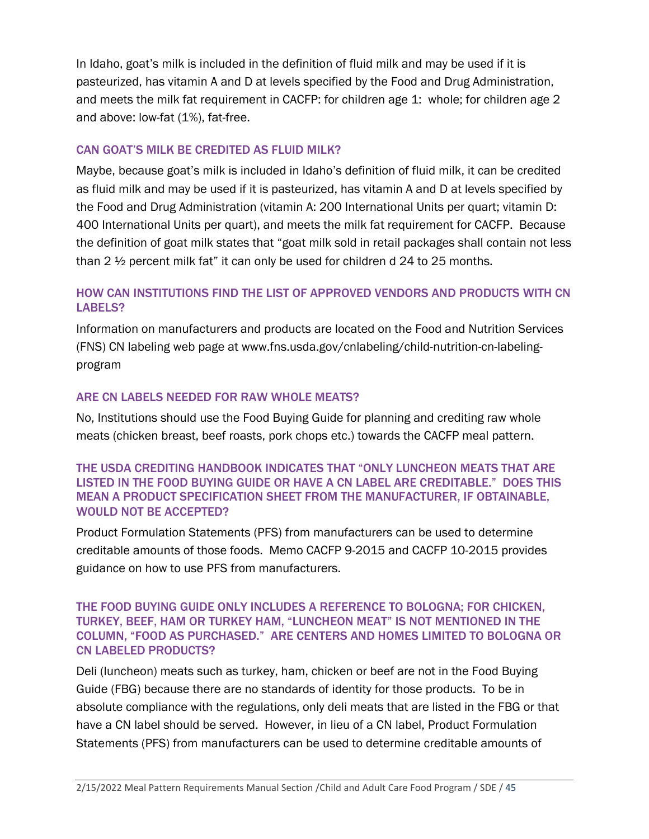In Idaho, goat's milk is included in the definition of fluid milk and may be used if it is pasteurized, has vitamin A and D at levels specified by the Food and Drug Administration, and meets the milk fat requirement in CACFP: for children age 1: whole; for children age 2 and above: low-fat (1%), fat-free.

# CAN GOAT'S MILK BE CREDITED AS FLUID MILK?

Maybe, because goat's milk is included in Idaho's definition of fluid milk, it can be credited as fluid milk and may be used if it is pasteurized, has vitamin A and D at levels specified by the Food and Drug Administration (vitamin A: 200 International Units per quart; vitamin D: 400 International Units per quart), and meets the milk fat requirement for CACFP. Because the definition of goat milk states that "goat milk sold in retail packages shall contain not less than 2 ½ percent milk fat" it can only be used for children d 24 to 25 months.

# HOW CAN INSTITUTIONS FIND THE LIST OF APPROVED VENDORS AND PRODUCTS WITH CN LABELS?

Information on manufacturers and products are located on the Food and Nutrition Services (FNS) CN labeling web page at www.fns.usda.gov/cnlabeling/child-nutrition-cn-labelingprogram

#### ARE CN LABELS NEEDED FOR RAW WHOLE MEATS?

No, Institutions should use the Food Buying Guide for planning and crediting raw whole meats (chicken breast, beef roasts, pork chops etc.) towards the CACFP meal pattern.

#### THE USDA CREDITING HANDBOOK INDICATES THAT "ONLY LUNCHEON MEATS THAT ARE LISTED IN THE FOOD BUYING GUIDE OR HAVE A CN LABEL ARE CREDITABLE." DOES THIS MEAN A PRODUCT SPECIFICATION SHEET FROM THE MANUFACTURER, IF OBTAINABLE, WOULD NOT BE ACCEPTED?

Product Formulation Statements (PFS) from manufacturers can be used to determine creditable amounts of those foods. Memo CACFP 9-2015 and CACFP 10-2015 provides guidance on how to use PFS from manufacturers.

#### THE FOOD BUYING GUIDE ONLY INCLUDES A REFERENCE TO BOLOGNA; FOR CHICKEN, TURKEY, BEEF, HAM OR TURKEY HAM, "LUNCHEON MEAT" IS NOT MENTIONED IN THE COLUMN, "FOOD AS PURCHASED." ARE CENTERS AND HOMES LIMITED TO BOLOGNA OR CN LABELED PRODUCTS?

Deli (luncheon) meats such as turkey, ham, chicken or beef are not in the Food Buying Guide (FBG) because there are no standards of identity for those products. To be in absolute compliance with the regulations, only deli meats that are listed in the FBG or that have a CN label should be served. However, in lieu of a CN label, Product Formulation Statements (PFS) from manufacturers can be used to determine creditable amounts of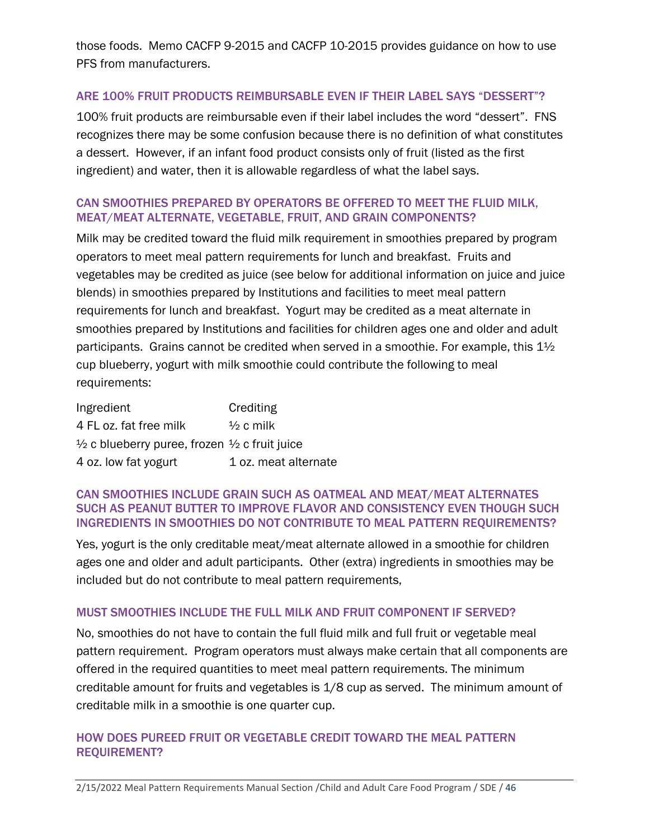those foods. Memo CACFP 9-2015 and CACFP 10-2015 provides guidance on how to use PFS from manufacturers.

### ARE 100% FRUIT PRODUCTS REIMBURSABLE EVEN IF THEIR LABEL SAYS "DESSERT"?

100% fruit products are reimbursable even if their label includes the word "dessert". FNS recognizes there may be some confusion because there is no definition of what constitutes a dessert. However, if an infant food product consists only of fruit (listed as the first ingredient) and water, then it is allowable regardless of what the label says.

#### CAN SMOOTHIES PREPARED BY OPERATORS BE OFFERED TO MEET THE FLUID MILK, MEAT/MEAT ALTERNATE, VEGETABLE, FRUIT, AND GRAIN COMPONENTS?

Milk may be credited toward the fluid milk requirement in smoothies prepared by program operators to meet meal pattern requirements for lunch and breakfast. Fruits and vegetables may be credited as juice (see below for additional information on juice and juice blends) in smoothies prepared by Institutions and facilities to meet meal pattern requirements for lunch and breakfast. Yogurt may be credited as a meat alternate in smoothies prepared by Institutions and facilities for children ages one and older and adult participants. Grains cannot be credited when served in a smoothie. For example, this  $1\frac{1}{2}$ cup blueberry, yogurt with milk smoothie could contribute the following to meal requirements:

| Ingredient                                                          | Crediting            |
|---------------------------------------------------------------------|----------------------|
| 4 FL oz. fat free milk                                              | $\frac{1}{2}$ c milk |
| $\frac{1}{2}$ c blueberry puree, frozen $\frac{1}{2}$ c fruit juice |                      |
| 4 oz. low fat yogurt                                                | 1 oz. meat alternate |

#### CAN SMOOTHIES INCLUDE GRAIN SUCH AS OATMEAL AND MEAT/MEAT ALTERNATES SUCH AS PEANUT BUTTER TO IMPROVE FLAVOR AND CONSISTENCY EVEN THOUGH SUCH INGREDIENTS IN SMOOTHIES DO NOT CONTRIBUTE TO MEAL PATTERN REQUIREMENTS?

Yes, yogurt is the only creditable meat/meat alternate allowed in a smoothie for children ages one and older and adult participants. Other (extra) ingredients in smoothies may be included but do not contribute to meal pattern requirements,

#### MUST SMOOTHIES INCLUDE THE FULL MILK AND FRUIT COMPONENT IF SERVED?

No, smoothies do not have to contain the full fluid milk and full fruit or vegetable meal pattern requirement. Program operators must always make certain that all components are offered in the required quantities to meet meal pattern requirements. The minimum creditable amount for fruits and vegetables is 1/8 cup as served. The minimum amount of creditable milk in a smoothie is one quarter cup.

### HOW DOES PUREED FRUIT OR VEGETABLE CREDIT TOWARD THE MEAL PATTERN REQUIREMENT?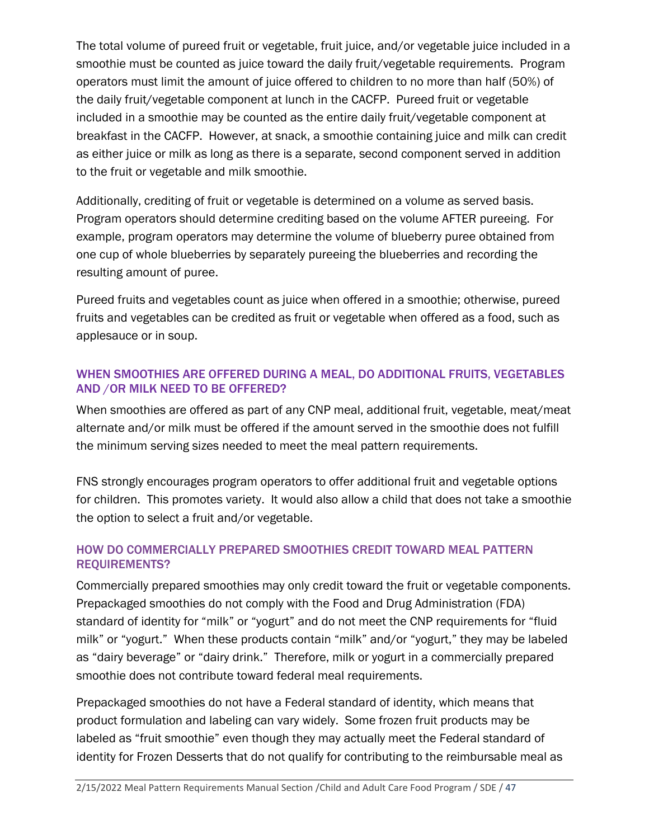The total volume of pureed fruit or vegetable, fruit juice, and/or vegetable juice included in a smoothie must be counted as juice toward the daily fruit/vegetable requirements. Program operators must limit the amount of juice offered to children to no more than half (50%) of the daily fruit/vegetable component at lunch in the CACFP. Pureed fruit or vegetable included in a smoothie may be counted as the entire daily fruit/vegetable component at breakfast in the CACFP. However, at snack, a smoothie containing juice and milk can credit as either juice or milk as long as there is a separate, second component served in addition to the fruit or vegetable and milk smoothie.

Additionally, crediting of fruit or vegetable is determined on a volume as served basis. Program operators should determine crediting based on the volume AFTER pureeing. For example, program operators may determine the volume of blueberry puree obtained from one cup of whole blueberries by separately pureeing the blueberries and recording the resulting amount of puree.

Pureed fruits and vegetables count as juice when offered in a smoothie; otherwise, pureed fruits and vegetables can be credited as fruit or vegetable when offered as a food, such as applesauce or in soup.

# WHEN SMOOTHIES ARE OFFERED DURING A MEAL, DO ADDITIONAL FRUITS, VEGETABLES AND /OR MILK NEED TO BE OFFERED?

When smoothies are offered as part of any CNP meal, additional fruit, vegetable, meat/meat alternate and/or milk must be offered if the amount served in the smoothie does not fulfill the minimum serving sizes needed to meet the meal pattern requirements.

FNS strongly encourages program operators to offer additional fruit and vegetable options for children. This promotes variety. It would also allow a child that does not take a smoothie the option to select a fruit and/or vegetable.

# HOW DO COMMERCIALLY PREPARED SMOOTHIES CREDIT TOWARD MEAL PATTERN REQUIREMENTS?

Commercially prepared smoothies may only credit toward the fruit or vegetable components. Prepackaged smoothies do not comply with the Food and Drug Administration (FDA) standard of identity for "milk" or "yogurt" and do not meet the CNP requirements for "fluid milk" or "yogurt." When these products contain "milk" and/or "yogurt," they may be labeled as "dairy beverage" or "dairy drink." Therefore, milk or yogurt in a commercially prepared smoothie does not contribute toward federal meal requirements.

Prepackaged smoothies do not have a Federal standard of identity, which means that product formulation and labeling can vary widely. Some frozen fruit products may be labeled as "fruit smoothie" even though they may actually meet the Federal standard of identity for Frozen Desserts that do not qualify for contributing to the reimbursable meal as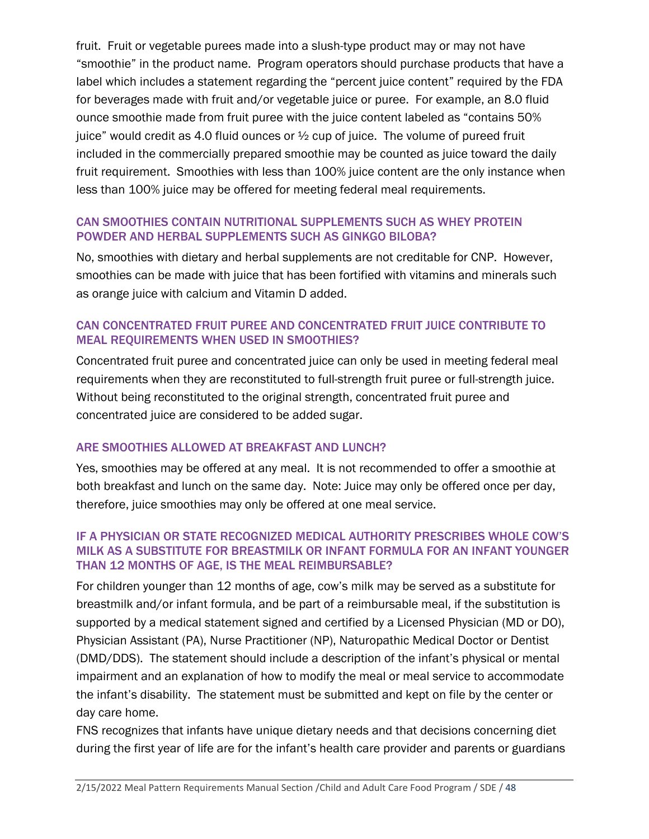fruit. Fruit or vegetable purees made into a slush-type product may or may not have "smoothie" in the product name. Program operators should purchase products that have a label which includes a statement regarding the "percent juice content" required by the FDA for beverages made with fruit and/or vegetable juice or puree. For example, an 8.0 fluid ounce smoothie made from fruit puree with the juice content labeled as "contains 50% juice" would credit as 4.0 fluid ounces or  $\frac{1}{2}$  cup of juice. The volume of pureed fruit included in the commercially prepared smoothie may be counted as juice toward the daily fruit requirement. Smoothies with less than 100% juice content are the only instance when less than 100% juice may be offered for meeting federal meal requirements.

# CAN SMOOTHIES CONTAIN NUTRITIONAL SUPPLEMENTS SUCH AS WHEY PROTEIN POWDER AND HERBAL SUPPLEMENTS SUCH AS GINKGO BILOBA?

No, smoothies with dietary and herbal supplements are not creditable for CNP. However, smoothies can be made with juice that has been fortified with vitamins and minerals such as orange juice with calcium and Vitamin D added.

# CAN CONCENTRATED FRUIT PUREE AND CONCENTRATED FRUIT JUICE CONTRIBUTE TO MEAL REQUIREMENTS WHEN USED IN SMOOTHIES?

Concentrated fruit puree and concentrated juice can only be used in meeting federal meal requirements when they are reconstituted to full-strength fruit puree or full-strength juice. Without being reconstituted to the original strength, concentrated fruit puree and concentrated juice are considered to be added sugar.

# ARE SMOOTHIES ALLOWED AT BREAKFAST AND LUNCH?

Yes, smoothies may be offered at any meal. It is not recommended to offer a smoothie at both breakfast and lunch on the same day. Note: Juice may only be offered once per day, therefore, juice smoothies may only be offered at one meal service.

# IF A PHYSICIAN OR STATE RECOGNIZED MEDICAL AUTHORITY PRESCRIBES WHOLE COW'S MILK AS A SUBSTITUTE FOR BREASTMILK OR INFANT FORMULA FOR AN INFANT YOUNGER THAN 12 MONTHS OF AGE, IS THE MEAL REIMBURSABLE?

For children younger than 12 months of age, cow's milk may be served as a substitute for breastmilk and/or infant formula, and be part of a reimbursable meal, if the substitution is supported by a medical statement signed and certified by a Licensed Physician (MD or DO), Physician Assistant (PA), Nurse Practitioner (NP), Naturopathic Medical Doctor or Dentist (DMD/DDS). The statement should include a description of the infant's physical or mental impairment and an explanation of how to modify the meal or meal service to accommodate the infant's disability. The statement must be submitted and kept on file by the center or day care home.

FNS recognizes that infants have unique dietary needs and that decisions concerning diet during the first year of life are for the infant's health care provider and parents or guardians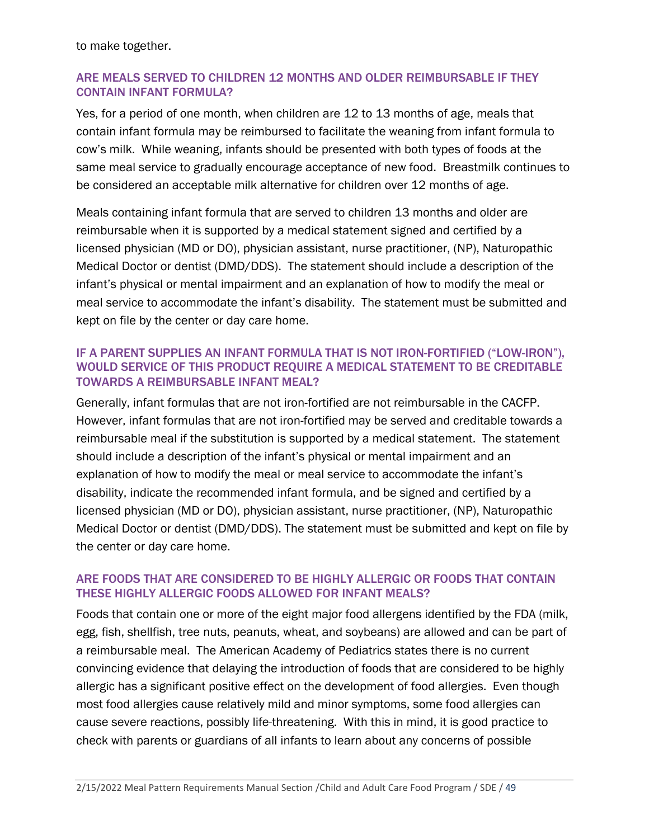to make together.

# ARE MEALS SERVED TO CHILDREN 12 MONTHS AND OLDER REIMBURSABLE IF THEY CONTAIN INFANT FORMULA?

Yes, for a period of one month, when children are 12 to 13 months of age, meals that contain infant formula may be reimbursed to facilitate the weaning from infant formula to cow's milk. While weaning, infants should be presented with both types of foods at the same meal service to gradually encourage acceptance of new food. Breastmilk continues to be considered an acceptable milk alternative for children over 12 months of age.

Meals containing infant formula that are served to children 13 months and older are reimbursable when it is supported by a medical statement signed and certified by a licensed physician (MD or DO), physician assistant, nurse practitioner, (NP), Naturopathic Medical Doctor or dentist (DMD/DDS). The statement should include a description of the infant's physical or mental impairment and an explanation of how to modify the meal or meal service to accommodate the infant's disability. The statement must be submitted and kept on file by the center or day care home.

# IF A PARENT SUPPLIES AN INFANT FORMULA THAT IS NOT IRON-FORTIFIED ("LOW-IRON"), WOULD SERVICE OF THIS PRODUCT REQUIRE A MEDICAL STATEMENT TO BE CREDITABLE TOWARDS A REIMBURSABLE INFANT MEAL?

Generally, infant formulas that are not iron-fortified are not reimbursable in the CACFP. However, infant formulas that are not iron-fortified may be served and creditable towards a reimbursable meal if the substitution is supported by a medical statement. The statement should include a description of the infant's physical or mental impairment and an explanation of how to modify the meal or meal service to accommodate the infant's disability, indicate the recommended infant formula, and be signed and certified by a licensed physician (MD or DO), physician assistant, nurse practitioner, (NP), Naturopathic Medical Doctor or dentist (DMD/DDS). The statement must be submitted and kept on file by the center or day care home.

# ARE FOODS THAT ARE CONSIDERED TO BE HIGHLY ALLERGIC OR FOODS THAT CONTAIN THESE HIGHLY ALLERGIC FOODS ALLOWED FOR INFANT MEALS?

Foods that contain one or more of the eight major food allergens identified by the FDA (milk, egg, fish, shellfish, tree nuts, peanuts, wheat, and soybeans) are allowed and can be part of a reimbursable meal. The American Academy of Pediatrics states there is no current convincing evidence that delaying the introduction of foods that are considered to be highly allergic has a significant positive effect on the development of food allergies. Even though most food allergies cause relatively mild and minor symptoms, some food allergies can cause severe reactions, possibly life-threatening. With this in mind, it is good practice to check with parents or guardians of all infants to learn about any concerns of possible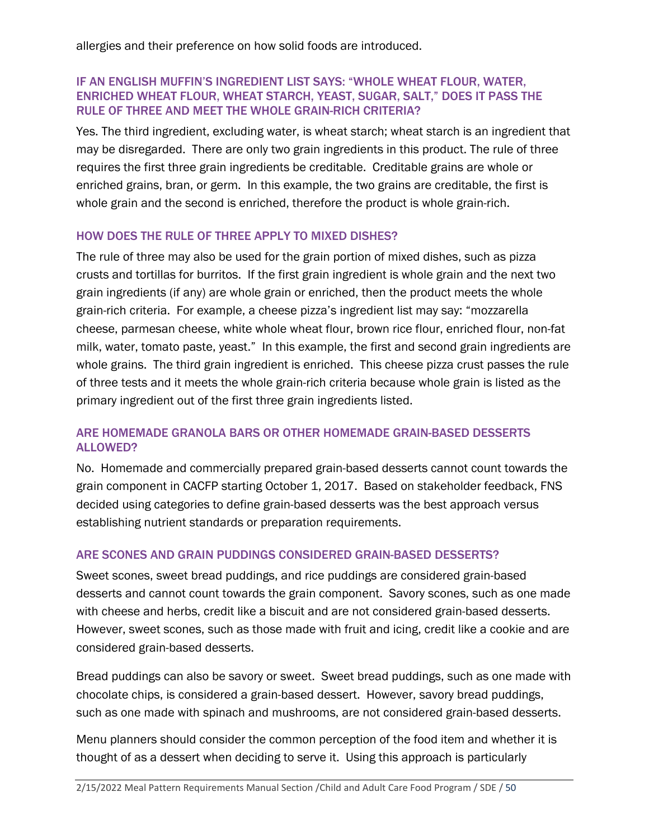allergies and their preference on how solid foods are introduced.

#### IF AN ENGLISH MUFFIN'S INGREDIENT LIST SAYS: "WHOLE WHEAT FLOUR, WATER, ENRICHED WHEAT FLOUR, WHEAT STARCH, YEAST, SUGAR, SALT," DOES IT PASS THE RULE OF THREE AND MEET THE WHOLE GRAIN-RICH CRITERIA?

Yes. The third ingredient, excluding water, is wheat starch; wheat starch is an ingredient that may be disregarded. There are only two grain ingredients in this product. The rule of three requires the first three grain ingredients be creditable. Creditable grains are whole or enriched grains, bran, or germ. In this example, the two grains are creditable, the first is whole grain and the second is enriched, therefore the product is whole grain-rich.

# HOW DOES THE RULE OF THREE APPLY TO MIXED DISHES?

The rule of three may also be used for the grain portion of mixed dishes, such as pizza crusts and tortillas for burritos. If the first grain ingredient is whole grain and the next two grain ingredients (if any) are whole grain or enriched, then the product meets the whole grain-rich criteria. For example, a cheese pizza's ingredient list may say: "mozzarella cheese, parmesan cheese, white whole wheat flour, brown rice flour, enriched flour, non-fat milk, water, tomato paste, yeast." In this example, the first and second grain ingredients are whole grains. The third grain ingredient is enriched. This cheese pizza crust passes the rule of three tests and it meets the whole grain-rich criteria because whole grain is listed as the primary ingredient out of the first three grain ingredients listed.

# ARE HOMEMADE GRANOLA BARS OR OTHER HOMEMADE GRAIN-BASED DESSERTS ALLOWED?

No. Homemade and commercially prepared grain-based desserts cannot count towards the grain component in CACFP starting October 1, 2017. Based on stakeholder feedback, FNS decided using categories to define grain-based desserts was the best approach versus establishing nutrient standards or preparation requirements.

# ARE SCONES AND GRAIN PUDDINGS CONSIDERED GRAIN-BASED DESSERTS?

Sweet scones, sweet bread puddings, and rice puddings are considered grain-based desserts and cannot count towards the grain component. Savory scones, such as one made with cheese and herbs, credit like a biscuit and are not considered grain-based desserts. However, sweet scones, such as those made with fruit and icing, credit like a cookie and are considered grain-based desserts.

Bread puddings can also be savory or sweet. Sweet bread puddings, such as one made with chocolate chips, is considered a grain-based dessert. However, savory bread puddings, such as one made with spinach and mushrooms, are not considered grain-based desserts.

Menu planners should consider the common perception of the food item and whether it is thought of as a dessert when deciding to serve it. Using this approach is particularly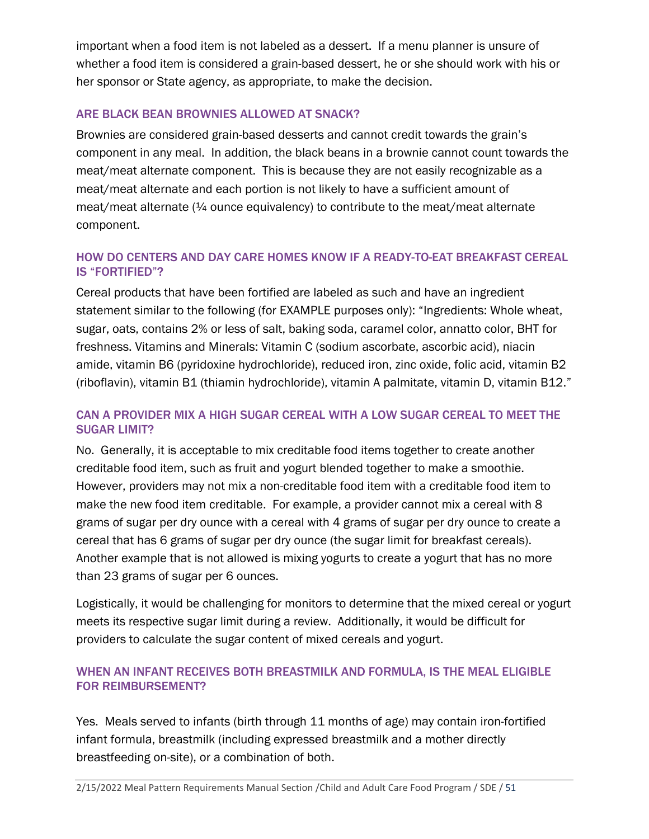important when a food item is not labeled as a dessert. If a menu planner is unsure of whether a food item is considered a grain-based dessert, he or she should work with his or her sponsor or State agency, as appropriate, to make the decision.

# ARE BLACK BEAN BROWNIES ALLOWED AT SNACK?

Brownies are considered grain-based desserts and cannot credit towards the grain's component in any meal. In addition, the black beans in a brownie cannot count towards the meat/meat alternate component. This is because they are not easily recognizable as a meat/meat alternate and each portion is not likely to have a sufficient amount of meat/meat alternate (¼ ounce equivalency) to contribute to the meat/meat alternate component.

# HOW DO CENTERS AND DAY CARE HOMES KNOW IF A READY-TO-EAT BREAKFAST CEREAL IS "FORTIFIED"?

Cereal products that have been fortified are labeled as such and have an ingredient statement similar to the following (for EXAMPLE purposes only): "Ingredients: Whole wheat, sugar, oats, contains 2% or less of salt, baking soda, caramel color, annatto color, BHT for freshness. Vitamins and Minerals: Vitamin C (sodium ascorbate, ascorbic acid), niacin amide, vitamin B6 (pyridoxine hydrochloride), reduced iron, zinc oxide, folic acid, vitamin B2 (riboflavin), vitamin B1 (thiamin hydrochloride), vitamin A palmitate, vitamin D, vitamin B12."

# CAN A PROVIDER MIX A HIGH SUGAR CEREAL WITH A LOW SUGAR CEREAL TO MEET THE SUGAR LIMIT?

No. Generally, it is acceptable to mix creditable food items together to create another creditable food item, such as fruit and yogurt blended together to make a smoothie. However, providers may not mix a non-creditable food item with a creditable food item to make the new food item creditable. For example, a provider cannot mix a cereal with 8 grams of sugar per dry ounce with a cereal with 4 grams of sugar per dry ounce to create a cereal that has 6 grams of sugar per dry ounce (the sugar limit for breakfast cereals). Another example that is not allowed is mixing yogurts to create a yogurt that has no more than 23 grams of sugar per 6 ounces.

Logistically, it would be challenging for monitors to determine that the mixed cereal or yogurt meets its respective sugar limit during a review. Additionally, it would be difficult for providers to calculate the sugar content of mixed cereals and yogurt.

# WHEN AN INFANT RECEIVES BOTH BREASTMILK AND FORMULA, IS THE MEAL ELIGIBLE FOR REIMBURSEMENT?

Yes. Meals served to infants (birth through 11 months of age) may contain iron-fortified infant formula, breastmilk (including expressed breastmilk and a mother directly breastfeeding on-site), or a combination of both.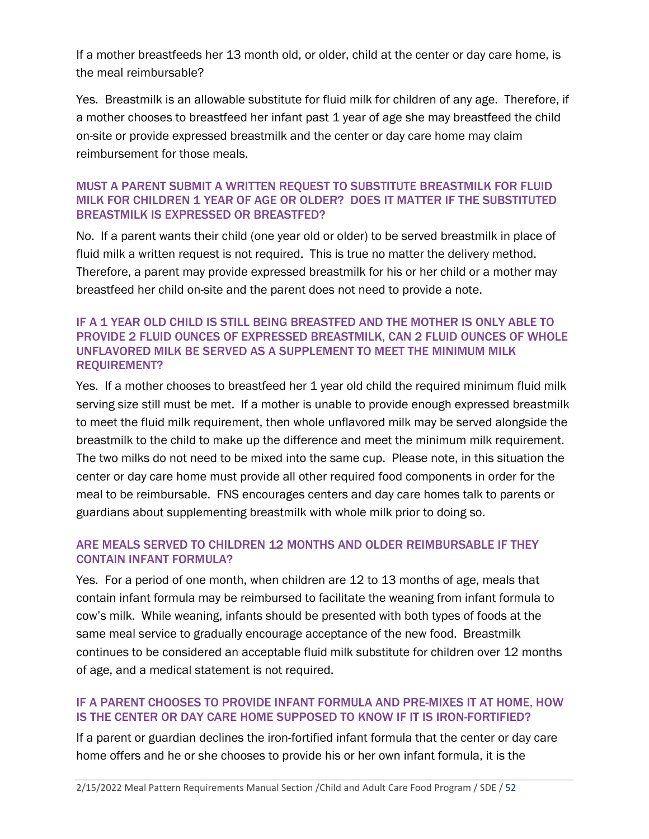If a mother breastfeeds her 13 month old, or older, child at the center or day care home, is the meal reimbursable?

Yes. Breastmilk is an allowable substitute for fluid milk for children of any age. Therefore, if a mother chooses to breastfeed her infant past 1 year of age she may breastfeed the child on-site or provide expressed breastmilk and the center or day care home may claim reimbursement for those meals.

#### MUST A PARENT SUBMIT A WRITTEN REQUEST TO SUBSTITUTE BREASTMILK FOR FLUID MILK FOR CHILDREN 1 YEAR OF AGE OR OLDER? DOES IT MATTER IF THE SUBSTITUTED BREASTMILK IS EXPRESSED OR BREASTFED?

No. If a parent wants their child (one year old or older) to be served breastmilk in place of fluid milk a written request is not required. This is true no matter the delivery method. Therefore, a parent may provide expressed breastmilk for his or her child or a mother may breastfeed her child on-site and the parent does not need to provide a note.

#### IF A 1 YEAR OLD CHILD IS STILL BEING BREASTFED AND THE MOTHER IS ONLY ABLE TO PROVIDE 2 FLUID OUNCES OF EXPRESSED BREASTMILK, CAN 2 FLUID OUNCES OF WHOLE UNFLAVORED MILK BE SERVED AS A SUPPLEMENT TO MEET THE MINIMUM MILK REQUIREMENT?

Yes. If a mother chooses to breastfeed her 1 year old child the required minimum fluid milk serving size still must be met. If a mother is unable to provide enough expressed breastmilk to meet the fluid milk requirement, then whole unflavored milk may be served alongside the breastmilk to the child to make up the difference and meet the minimum milk requirement. The two milks do not need to be mixed into the same cup. Please note, in this situation the center or day care home must provide all other required food components in order for the meal to be reimbursable. FNS encourages centers and day care homes talk to parents or guardians about supplementing breastmilk with whole milk prior to doing so.

# ARE MEALS SERVED TO CHILDREN 12 MONTHS AND OLDER REIMBURSABLE IF THEY CONTAIN INFANT FORMULA?

Yes. For a period of one month, when children are 12 to 13 months of age, meals that contain infant formula may be reimbursed to facilitate the weaning from infant formula to cow's milk. While weaning, infants should be presented with both types of foods at the same meal service to gradually encourage acceptance of the new food. Breastmilk continues to be considered an acceptable fluid milk substitute for children over 12 months of age, and a medical statement is not required.

# IF A PARENT CHOOSES TO PROVIDE INFANT FORMULA AND PRE-MIXES IT AT HOME, HOW IS THE CENTER OR DAY CARE HOME SUPPOSED TO KNOW IF IT IS IRON-FORTIFIED?

If a parent or guardian declines the iron-fortified infant formula that the center or day care home offers and he or she chooses to provide his or her own infant formula, it is the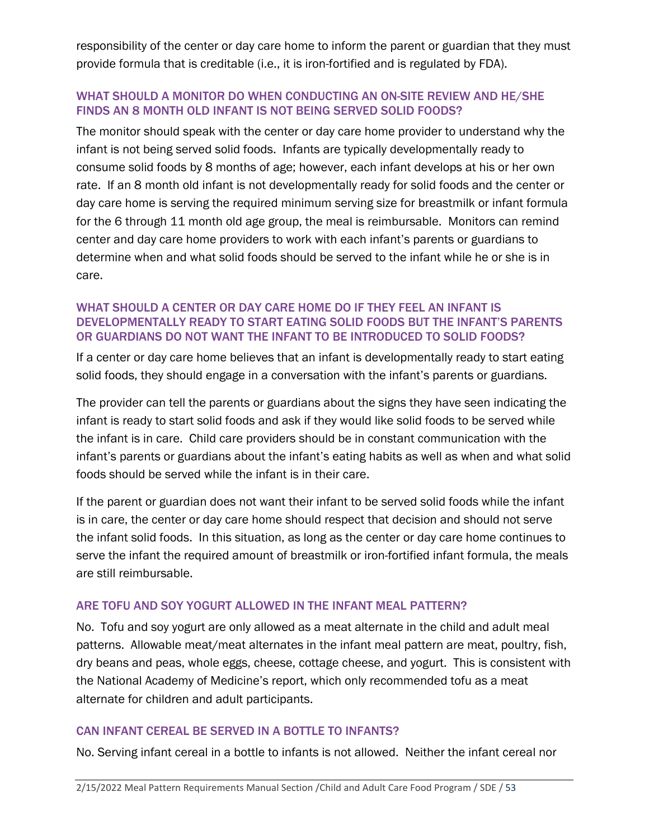responsibility of the center or day care home to inform the parent or guardian that they must provide formula that is creditable (i.e., it is iron-fortified and is regulated by FDA).

### WHAT SHOULD A MONITOR DO WHEN CONDUCTING AN ON-SITE REVIEW AND HE/SHE FINDS AN 8 MONTH OLD INFANT IS NOT BEING SERVED SOLID FOODS?

The monitor should speak with the center or day care home provider to understand why the infant is not being served solid foods. Infants are typically developmentally ready to consume solid foods by 8 months of age; however, each infant develops at his or her own rate. If an 8 month old infant is not developmentally ready for solid foods and the center or day care home is serving the required minimum serving size for breastmilk or infant formula for the 6 through 11 month old age group, the meal is reimbursable. Monitors can remind center and day care home providers to work with each infant's parents or guardians to determine when and what solid foods should be served to the infant while he or she is in care.

# WHAT SHOULD A CENTER OR DAY CARE HOME DO IF THEY FEEL AN INFANT IS DEVELOPMENTALLY READY TO START EATING SOLID FOODS BUT THE INFANT'S PARENTS OR GUARDIANS DO NOT WANT THE INFANT TO BE INTRODUCED TO SOLID FOODS?

If a center or day care home believes that an infant is developmentally ready to start eating solid foods, they should engage in a conversation with the infant's parents or guardians.

The provider can tell the parents or guardians about the signs they have seen indicating the infant is ready to start solid foods and ask if they would like solid foods to be served while the infant is in care. Child care providers should be in constant communication with the infant's parents or guardians about the infant's eating habits as well as when and what solid foods should be served while the infant is in their care.

If the parent or guardian does not want their infant to be served solid foods while the infant is in care, the center or day care home should respect that decision and should not serve the infant solid foods. In this situation, as long as the center or day care home continues to serve the infant the required amount of breastmilk or iron-fortified infant formula, the meals are still reimbursable.

# ARE TOFU AND SOY YOGURT ALLOWED IN THE INFANT MEAL PATTERN?

No. Tofu and soy yogurt are only allowed as a meat alternate in the child and adult meal patterns. Allowable meat/meat alternates in the infant meal pattern are meat, poultry, fish, dry beans and peas, whole eggs, cheese, cottage cheese, and yogurt. This is consistent with the National Academy of Medicine's report, which only recommended tofu as a meat alternate for children and adult participants.

#### CAN INFANT CEREAL BE SERVED IN A BOTTLE TO INFANTS?

No. Serving infant cereal in a bottle to infants is not allowed. Neither the infant cereal nor